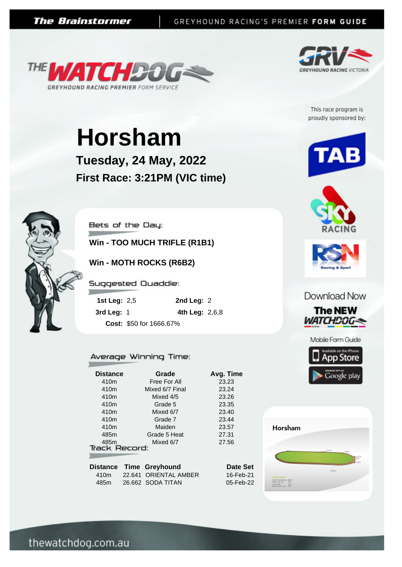



This race program is proudly sponsored by:

# **Horsham**

**Tuesday, 24 May, 2022 First Race: 3:21PM (VIC time)**



Bets of the Day:

**Win - TOO MUCH TRIFLE (R1B1)**

**Win - MOTH ROCKS (R6B2)**

Suggested Quaddie:

| 1st Leg: $2,5$ | 2nd Leg: $2$            |  |
|----------------|-------------------------|--|
| 3rd Leg: $1$   | 4th Leg: 2,6,8          |  |
|                | Cost: \$50 for 1666.67% |  |

#### Average Winning Time:

| <b>Distance</b> | Grade           | Avg. Time                                                                |
|-----------------|-----------------|--------------------------------------------------------------------------|
|                 | Free For All    | 23.23                                                                    |
|                 | Mixed 6/7 Final | 23.24                                                                    |
|                 | Mixed 4/5       | 23.26                                                                    |
|                 | Grade 5         | 23.35                                                                    |
|                 | Mixed 6/7       | 23.40                                                                    |
|                 | Grade 7         | 23.44                                                                    |
|                 | Maiden          | 23.57                                                                    |
|                 | Grade 5 Heat    | 27.31                                                                    |
|                 | Mixed 6/7       | 27.56                                                                    |
|                 |                 |                                                                          |
|                 |                 |                                                                          |
|                 |                 | Date Set                                                                 |
|                 |                 | 16-Feb-21                                                                |
|                 |                 | <b>Track Record:</b><br>Distance Time Greyhound<br>22.641 ORIENTAL AMBER |











#### Download Now



Mobile Form Guide



**Horsham** k Circumference: 600m<br>ius Top Turr: 55m<br>k Width: 5.5m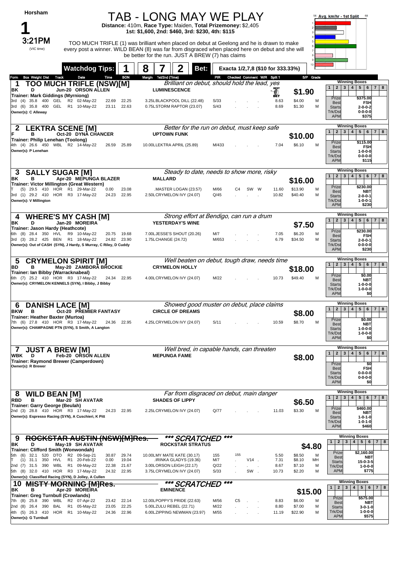| Horsham<br>3:21PM<br>(VIC time)                                                                                                           |                                                                                            |                | TAB - LONG MAY WE PLAY<br>Distance: 410m, Race Type: Maiden, Total Prizemoney: \$2,405<br>1st: \$1,600, 2nd: \$460, 3rd: \$230, 4th: \$115<br>TOO MUCH TRIFLE (1) was brilliant when placed on debut at Geelong and he is drawn to make<br>every post a winner. WILD BEAN (8) was far from disgraced when placed here on debut and she will |              |                                   |                     |                              | 58 Avg. km/hr - 1st Split<br>68                                                                                                                                                                                                     |
|-------------------------------------------------------------------------------------------------------------------------------------------|--------------------------------------------------------------------------------------------|----------------|---------------------------------------------------------------------------------------------------------------------------------------------------------------------------------------------------------------------------------------------------------------------------------------------------------------------------------------------|--------------|-----------------------------------|---------------------|------------------------------|-------------------------------------------------------------------------------------------------------------------------------------------------------------------------------------------------------------------------------------|
|                                                                                                                                           | <b>Watchdog Tips:</b>                                                                      | 8              | be better for the run. JUST A BREW (7) has claims<br>Bet:                                                                                                                                                                                                                                                                                   |              | Exacta 1/2,7,8 (\$10 for 333.33%) |                     |                              |                                                                                                                                                                                                                                     |
| <b>Box Weight Dist Track</b><br>Form<br>1<br>ΒK<br>D                                                                                      | Date<br>Time<br><b>TOO MUCH TRIFLE (NSW)[M]</b><br>Jun-20 ORSON ALLEN                      | <b>BON</b>     | Margin 1st/2nd (Time)<br>Brilliant on debut, should hold the lead, yes<br><b>LUMINESCENCE</b>                                                                                                                                                                                                                                               |              | PIR Checked Comment W/R Split 1   | O)                  | S/P Grade<br>\$1.90          | <b>Winning Boxes</b><br>2 3 4 5 6 7 8<br>1 <sup>1</sup>                                                                                                                                                                             |
| <b>Trainer: Mark Giddings (Myrniong)</b><br>3rd (4) 35.8 400 GEL R2 02-May-22<br>3rd (6) 35.8 400 GEL R1 10-May-22<br>Owner(s): C Alleway | 22.69<br>23.11                                                                             | 22.25<br>22.63 | 3.25LBLACKPOOL DILL (22.48)<br>0.75LSTORM RAPTOR (23.07)                                                                                                                                                                                                                                                                                    | S/33<br>S/43 | $\sim$                            | вĚт<br>8.63<br>8.69 | \$4.00<br>м<br>M<br>\$1.30   | Prize<br>\$375.00<br><b>Best</b><br>FSH<br>$2 - 0 - 0 - 2$<br><b>Starts</b><br>Trk/Dst<br>$0 - 0 - 0 - 0$<br><b>APM</b><br>\$375                                                                                                    |
| в                                                                                                                                         | <b>LEKTRA SCENE [M]</b><br>Oct-20 DYNA CHANCER                                             |                | Better for the run on debut, must keep safe<br><b>UPTOWN FUNK</b>                                                                                                                                                                                                                                                                           |              |                                   |                     | \$10.00                      | <b>Winning Boxes</b><br>$2 \mid 3 \mid$<br>5 <br>1 <sup>1</sup><br>4 <br>$6 \mid$<br>$7 \mid 8$                                                                                                                                     |
| Trainer: Philip Lenehan (Toolong)<br>4th (4) 26.6 450 WBL R2 14-May-22<br>Owner(s): P Lenehan                                             | 26.59                                                                                      | 25.89          | 10.00LLEKTRA APRIL (25.89)                                                                                                                                                                                                                                                                                                                  | M/433        |                                   | 7.04                | \$6.10<br>M                  | Prize<br>\$115.00<br><b>Best</b><br><b>FSH</b><br>$1 - 0 - 0 - 0$<br><b>Starts</b><br>Trk/Dst<br>$0 - 0 - 0 - 0$<br><b>APM</b><br>\$115                                                                                             |
| <b>SALLY SUGAR [M]</b><br>3                                                                                                               |                                                                                            |                | Steady to date, needs to show more, risky                                                                                                                                                                                                                                                                                                   |              |                                   |                     |                              | <b>Winning Boxes</b><br>3 <br>$5 \mid 6 \mid 7 \mid 8$<br>1<br>2 <sup>1</sup><br>4                                                                                                                                                  |
| ΒK<br>в<br>Trainer: Victor Millington (Great Western)                                                                                     | Apr-20 MEPUNGA BLAZER                                                                      |                | <b>MALLARD</b>                                                                                                                                                                                                                                                                                                                              |              |                                   |                     | \$16.00                      | \$230.00<br>Prize                                                                                                                                                                                                                   |
| (5) 29.5 410 HOR R1 29-Mar-22<br>3rd (1) 29.2 410 HOR R3 17-May-22<br>Owner(s): V Millington                                              | 0.00<br>24.23                                                                              | 23.08<br>22.95 | .MASTER LOGAN (23.57)<br>2.50LCRYMELON IVY (24.07)                                                                                                                                                                                                                                                                                          | M/66<br>Q/45 | SW W<br>C4                        | 11.60<br>10.82      | \$13.90<br>M<br>\$40.40<br>м | <b>Best</b><br><b>NBT</b><br><b>Starts</b><br>$2 - 0 - 0 - 1$<br>Trk/Dst<br>$1 - 0 - 0 - 1$<br><b>APM</b><br>\$230                                                                                                                  |
| 4<br>ΒK<br>D                                                                                                                              | <b>WHERE'S MY CASH [M]</b><br>Jan-20 MOREIRA                                               |                | Strong effort at Bendigo, can run a drum<br>YESTERDAY'S WINE                                                                                                                                                                                                                                                                                |              |                                   |                     |                              | <b>Winning Boxes</b><br>4 <br>$5 \mid 6 \mid 7 \mid 8$<br>$1 \mid 2 \mid$<br>3                                                                                                                                                      |
| Trainer: Jason Hardy (Heathcote)<br>6th (8) 28.4 350 HVL R9 10-May-22                                                                     | 20.75 19.68                                                                                |                | 7.00LJESSE'S SHOUT (20.26)                                                                                                                                                                                                                                                                                                                  | M/7          |                                   | 7.05                | \$7.50<br>\$6.20<br>M        | Prize<br>\$230.00                                                                                                                                                                                                                   |
| 3rd (3) 28.2 425 BEN R1 18-May-22                                                                                                         | 24.82 23.90<br>Owner(s): Out of CASH (SYN), J Hardy, S Murray, C Riley, D Cuddy            |                | 1.75LCHANGE (24.72)                                                                                                                                                                                                                                                                                                                         | M/653        |                                   | 6.79                | \$34.50<br>M                 | <b>Best</b><br><b>FSH</b><br><b>Starts</b><br>$2 - 0 - 0 - 1$<br>Trk/Dst<br>$0 - 0 - 0 - 0$<br>\$230<br><b>APM</b>                                                                                                                  |
| 5<br>в<br>BD                                                                                                                              | <b>CRYMELON SPIRIT [M]</b><br>May-20 ZAMBORA BROCKIE                                       |                | Well beaten on debut, tough draw, needs time<br><b>CRYMELON HOLLY</b>                                                                                                                                                                                                                                                                       |              |                                   |                     |                              | <b>Winning Boxes</b><br>2 <br>3 <br>4 <br>5 <sup>1</sup><br>$6 \mid$<br>$7 \mid 8$<br>1 <sup>1</sup>                                                                                                                                |
| Trainer: Ian Bibby (Warracknabeal)<br>6th (7) 25.2 410 HOR R3 17-May-22                                                                   | 24.34 22.95<br>Owner(s): CRYMELON KENNELS (SYN), I Bibby, J Bibby                          |                | 4.00LCRYMELON IVY (24.07)                                                                                                                                                                                                                                                                                                                   | M/22         |                                   | 10.73               | \$18.00<br>\$49.40<br>M      | Prize<br>\$0.00<br><b>Best</b><br><b>NBT</b><br>$1 - 0 - 0 - 0$<br><b>Starts</b><br>Trk/Dst<br>$1 - 0 - 0 - 0$<br><b>APM</b><br>\$0                                                                                                 |
| <b>DANISH LACE [M]</b><br>6                                                                                                               |                                                                                            |                | Showed good muster on debut, place claims                                                                                                                                                                                                                                                                                                   |              |                                   |                     |                              | <b>Winning Boxes</b><br>5 <sup>1</sup><br>6 <br>$7 \mid 8$<br>1 <br>2 <br>3 <br>4                                                                                                                                                   |
| BKW<br>- B<br>Trainer: Heather Baxter (Murtoa)<br>7th (6) 27.8 410 HOR R3 17-May-22                                                       | Oct-20 PREMIER FANTASY<br>24.36 22.95<br>Owner(s): CHAMPAGNE PTN (SYN), S Smith, A Langton |                | <b>CIRCLE OF DREAMS</b><br>4.25LCRYMELON IVY (24.07)                                                                                                                                                                                                                                                                                        | S/11         |                                   | 10.59               | \$8.00<br>\$8.70<br>M        | Prize<br>\$0.00<br><b>Best</b><br>NBT<br><b>Starts</b><br>$1 - 0 - 0 - 0$<br>Trk/Dst<br>$1 - 0 - 0 - 0$<br><b>APM</b><br>\$0                                                                                                        |
| <b>JUST A BREW [M]</b><br>7<br>WBK<br>D<br>Trainer: Raymond Brewer (Camperdown)<br>Owner(s): R Brewer                                     | Feb-20 ORSON ALLEN                                                                         |                | Well bred, in capable hands, can threaten<br><b>MEPUNGA FAME</b>                                                                                                                                                                                                                                                                            |              |                                   |                     | \$8.00                       | <b>Winning Boxes</b><br>3 <br>4 <br>5 <sub>1</sub><br>$6 \mid 7 \mid 8$<br>1 <br>2 <sub>1</sub><br>Prize<br>\$0<br><b>FSH</b><br><b>Best</b><br><b>Starts</b><br>$0 - 0 - 0 - 0$<br>Trk/Dst<br>$0 - 0 - 0 - 0$<br><b>APM</b><br>\$0 |
| <b>WILD BEAN [M]</b><br>8<br><b>RBD</b><br>в                                                                                              | Mar-20 SH AVATAR                                                                           |                | Far from disgraced on debut, main danger<br><b>SHADES OF LIPPY</b>                                                                                                                                                                                                                                                                          |              |                                   |                     |                              | <b>Winning Boxes</b><br>2 <sup>1</sup><br>3 <br>4 <br>5   6   7   8<br>1 <sup>1</sup>                                                                                                                                               |
| Trainer: Garry George (Beulah)<br>2nd (3) 28.8 410 HOR R3 17-May-22<br>Owner(s): Espresso Racing (SYN), A Cuschieri, K Pitt               | 24.23 22.95                                                                                |                | 2.25LCRYMELON IVY (24.07)                                                                                                                                                                                                                                                                                                                   | Q/77         |                                   | 11.03               | \$6.50<br>\$3.30<br>M        | Prize<br>\$460.00<br><b>Best</b><br><b>NBT</b><br><b>Starts</b><br>$1 - 0 - 1 - 0$<br>Trk/Dst<br>$1 - 0 - 1 - 0$<br><b>APM</b><br>\$460                                                                                             |
| 9<br>D<br>ΒK                                                                                                                              | ROCKSTAR AUSTIN (NSW)[M]Res.<br>May-19 SH AVATAR                                           |                | *** SCRATCHED<br>ROCKSTAR STRATUS                                                                                                                                                                                                                                                                                                           | ***          |                                   |                     | \$4.80                       | <b>Winning Boxes</b><br>$\overline{2}$<br> 4 5 6 7 8<br>$\mathbf{3}$<br>$\mathbf{1}$                                                                                                                                                |
| Trainer: Clifford Smith (Wonwondah)<br>32.1<br>520<br>DTO<br>5th<br>(6)<br>350<br>HVL<br>31.1<br>(1)                                      | R2 09-Sep-21<br>30.87<br>R1<br>20-Feb-22<br>0.00                                           | 29.74<br>19.04 | 10.00LMY MATE KATE (30.17)<br>.IRINKA GLADYS (19.36)                                                                                                                                                                                                                                                                                        | 155<br>M/7   | 155<br>$V14$ .                    | 5.50<br>7.31        | \$8.50<br>м<br>\$8.10<br>MН  | Prize<br>\$2,160.00<br><b>Best</b><br>NBT                                                                                                                                                                                           |
| 2nd (7) 31.5 390<br>5th (8) 32.0 410 HOR R3 17-May-22<br>Owner(s): Classified Racing (SYN), D Jolley, A Cullen                            | WBL R1 09-May-22<br>22.38<br>24.32 22.95                                                   | 21.67          | 3.00LORSON LEIGH (22.17)<br>3.75LCRYMELON IVY (24.07)                                                                                                                                                                                                                                                                                       | Q/22<br>S/33 | SW.                               | 8.67<br>10.73       | \$7.10<br>M<br>\$2.20<br>M   | <b>Starts</b><br>$15 - 0 - 3 - 5$<br>Trk/Dst<br>$1 - 0 - 0 - 0$<br><b>APM</b><br>\$775                                                                                                                                              |
| 10<br>в                                                                                                                                   | <b>MISTY MORNING [M]Res.</b>                                                               |                | *** SCRATCHED<br><b>EMINENCE</b>                                                                                                                                                                                                                                                                                                            | ***          |                                   |                     |                              | <b>Winning Boxes</b><br>$1 \mid 2 \mid 3 \mid 4 \mid 5 \mid 6 \mid 7 \mid 8$                                                                                                                                                        |
| BK<br>Trainer: Greg Turnbull (Crowlands)<br>7th (8) 25.8 390                                                                              | Apr-20 MOREIRA<br>WBL R2 07-Apr-22<br>23.42                                                | 22.14          | 12.00LPOPPY'S PRIDE (22.63)                                                                                                                                                                                                                                                                                                                 | M/56         | C5<br>$\sim$ $\sim$               | 8.83                | \$15.00<br>\$6.00<br>м       | Prize<br>\$575.00                                                                                                                                                                                                                   |
| 2nd (8) 26.4 390<br>BAL<br>4th (5) 26.3 410<br>Owner(s): G Turnbull                                                                       | R1 05-May-22<br>23.05<br>HOR R1 10-May-22<br>24.36 22.96                                   | 22.25          | 5.00LZULU REBEL (22.71)<br>6.00LZIPPING NEWMAN (23.97)                                                                                                                                                                                                                                                                                      | M/22<br>M/55 | $\mathcal{L}$                     | 8.80<br>11.19       | \$7.00<br>M<br>\$22.90<br>M  | <b>Best</b><br>NBT<br><b>Starts</b><br>$3 - 0 - 1 - 0$<br>Trk/Dst<br>$1 - 0 - 0 - 0$<br><b>APM</b><br>\$575                                                                                                                         |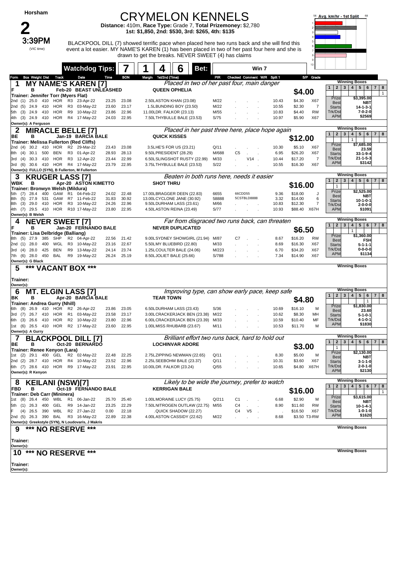| Horsham                                                                             |                                             |                                  | <b>CRYMELON KENNELS</b>                                                                                                                                                                          |               |                                  |                |                                             | Avg. km/hr - 1st Split                                                                                                             |
|-------------------------------------------------------------------------------------|---------------------------------------------|----------------------------------|--------------------------------------------------------------------------------------------------------------------------------------------------------------------------------------------------|---------------|----------------------------------|----------------|---------------------------------------------|------------------------------------------------------------------------------------------------------------------------------------|
|                                                                                     |                                             |                                  | Distance: 410m, Race Type: Grade 7, Total Prizemoney: \$2,780<br>1st: \$1,850, 2nd: \$530, 3rd: \$265, 4th: \$135                                                                                |               |                                  |                |                                             |                                                                                                                                    |
| 3:39PM                                                                              |                                             |                                  |                                                                                                                                                                                                  |               |                                  |                |                                             |                                                                                                                                    |
| (VIC time)                                                                          |                                             |                                  | BLACKPOOL DILL (7) showed terrific pace when placed here two runs back and she will find this<br>event a lot easier. MY NAME'S KAREN (1) has been placed in two of her past four here and she is |               |                                  |                |                                             |                                                                                                                                    |
|                                                                                     |                                             |                                  | drawn to get the breaks. NEVER SWEET (4) has claims                                                                                                                                              |               |                                  |                |                                             |                                                                                                                                    |
|                                                                                     | <b>Watchdog Tips:</b>                       |                                  | 6<br>Bet:                                                                                                                                                                                        |               | Win 7                            |                | 10                                          |                                                                                                                                    |
| <b>Box Weight Dist</b><br>Track<br>Form                                             | Date<br>Time                                | <b>BON</b>                       | 1st/2nd (Time)<br>Margin                                                                                                                                                                         | PR            | Checked Comment W/R Split 1      |                | S/P Grade                                   | <b>Winning Boxes</b>                                                                                                               |
| NAME<br>1<br>MY<br>F<br>в                                                           | 'S KAREN [7]<br>Feb-20 BEAST UNLEASHED      |                                  | Placed in two of her past four, main danger<br><b>QUEEN OPHELIA</b>                                                                                                                              |               |                                  |                | \$4.00                                      | 4 <br>5   6   7  <br>2 <br>3 <br>8<br>$\mathbf{1}$                                                                                 |
| Trainer: Jennifer Torr (Myers Flat)<br>410<br>2nd (1)<br>25.0<br>HOR                | R3<br>23-Apr-22                             | 23.08<br>23.25                   | 2.50LASTON KHAN (23.08)                                                                                                                                                                          | M/22          |                                  | 10.43          | X67<br>\$4.30                               | $\mathbf{1}$<br>Prize<br>\$3,395.00                                                                                                |
| 2nd (5)<br>24.9<br>HOR<br>- 410                                                     | R3 03-May-22                                | 23.17<br>23.60                   | 1.5LBUNDING BOY (23.50)                                                                                                                                                                          | M/22          |                                  | 10.55          | \$2.30<br>7                                 | NBT<br><b>Best</b><br><b>Starts</b><br>$14 - 1 - 3 - 1$                                                                            |
| 24.9<br>410<br>HOR<br>5th (3)<br>4th (3) 24.9 410<br>HOR                            | R9<br>10-May-22<br>R4 17-May-22             | 23.86<br>22.96<br>24.03<br>22.95 | 11.00LDR. FALKOR (23.13)<br>7.50LTHYBULLE BALE (23.53)                                                                                                                                           | M/55<br>S/75  |                                  | 10.83<br>10.97 | \$4.40<br>RW<br>\$5.90<br>X67               | Trk/Dst<br>7-0-2-0<br><b>APM</b><br>\$2569                                                                                         |
| Owner(s): A Ferguson                                                                |                                             |                                  | Placed in her past three here, place hope again                                                                                                                                                  |               |                                  |                |                                             | <b>Winning Boxes</b>                                                                                                               |
| 2<br><b>MIRACLE BELLE [7]</b><br>ВE<br>в                                            | Jan-19 BARCIA BALE                          |                                  | <b>QUICK KISSES</b>                                                                                                                                                                              |               |                                  |                | \$12.00                                     | 4 <br>5   6   7   8<br>2 <sup>1</sup><br>3 <sup>1</sup><br>$\mathbf{1}$<br>$\mathbf{1}$                                            |
| <b>Trainer: Melissa Fullerton (Red Cliffs)</b><br>30.2<br>410<br>HOR<br>2nd (4)     | R2 29-Mar-22                                | 23.08<br>23.43                   | 3.5LHE'S FOR US (23.21)                                                                                                                                                                          | Q/11          |                                  | 10.30          | \$5.10<br>X67                               | Prize<br>\$7,685.00                                                                                                                |
| 30.1<br>500<br>BEN<br>8th<br>(4)                                                    | R3 01-Apr-22                                | 28.93<br>28.13                   | 9.50LPRESIDENT (28.29)                                                                                                                                                                           | M/688         | C <sub>5</sub>                   | 6.95           | \$26.20<br>X67                              | <b>Best</b><br>23.59<br><b>Starts</b><br>$33-1-9-4$                                                                                |
| 3rd (4)<br>30.3 410<br>HOR<br>3rd (6)<br>30.6 410<br>HOR                            | R3 12-Apr-22<br>R4 17-May-22                | 23.44<br>22.99<br>23.79<br>22.95 | 6.50LSLINGSHOT RUSTY (22.99)<br>3.75LTHYBULLE BALE (23.53)                                                                                                                                       | M/33<br>S/22  | V14                              | 10.44<br>10.55 | $\overline{7}$<br>\$17.20<br>X67<br>\$16.30 | Trk/Dst<br>$21 - 1 - 5 - 3$<br><b>APM</b><br>\$3142                                                                                |
| Owner(s): FULLO (SYN), B Fullerton, M Fullerton<br><b>KRUGER LASS [7]</b><br>3      |                                             |                                  | Beaten in both runs here, needs it easier                                                                                                                                                        |               |                                  |                |                                             | <b>Winning Boxes</b>                                                                                                               |
| WBK<br>в                                                                            | Apr-20 ASTON KIMETTO                        |                                  | <b>SHOT THRU</b>                                                                                                                                                                                 |               |                                  |                | \$16.00                                     | 4 <br>5   6   7   8<br>$\mathbf{1}$<br>$\overline{2}$<br>$\mathbf{3}$<br>$\mathbf{1}$                                              |
| Trainer: Bronwyn Welsh (Mildura)<br>28.4<br>400<br>GAW<br>5th<br>(7)                | R <sub>1</sub><br>04-Feb-22                 | 22.48<br>24.02                   | 17.00LBRAGGER DEEN (22.83)                                                                                                                                                                       | 6655          | 66CDD55                          | 9.36           | \$18.00<br>J                                | Prize<br>\$2,525.00<br><b>Best</b><br>NBT                                                                                          |
| 531<br>27.9<br>GAW<br>8th<br>(5)<br>29.0<br>HOR<br>8th<br>(3)<br>410                | R7 11-Feb-22<br>R3 10-May-22                | 30.92<br>31.83<br>22.96<br>24.26 | 13.00LCYCLONE JANE (30.92)<br>9.50LDURHAM LASS (23.61)                                                                                                                                           | 58888<br>M/66 | 5CSTBLD8888                      | 3.32<br>10.83  | \$14.00<br>6<br>\$12.30<br>7                | <b>Starts</b><br>$10 - 1 - 0 - 1$<br>Trk/Dst<br>2-0-0-0                                                                            |
| 4th (7) 29.5 410<br>HOR<br>Owner(s): B Welsh                                        | R10 17-May-22                               | 23.80<br>22.95                   | 4.50LASTON REINA (23.49)                                                                                                                                                                         | S/77          |                                  | 10.93          | \$88.40<br>X67H                             | <b>APM</b><br>\$1091                                                                                                               |
| <b>NEVER SWEET [7]</b><br>4                                                         |                                             |                                  | Far from disgraced two runs back, can threaten                                                                                                                                                   |               |                                  |                |                                             | <b>Winning Boxes</b>                                                                                                               |
| в<br>F<br>Trainer: Lisa Delbridge (Balliang)                                        | Jan-20 FERNANDO BALE                        |                                  | <b>NEVER DUPLICATED</b>                                                                                                                                                                          |               |                                  |                | \$6.50                                      | 5   6   7   8<br>$\overline{2}$<br>$\mathbf{3}$<br>4 <sup>1</sup><br>$\mathbf{1}$<br>1                                             |
| 385<br>SHP<br>8th (5)<br>27.9                                                       | R2 04-Apr-22                                | 22.56<br>21.42                   | 9.00LSYDNEY SHOWGIRL (21.94)                                                                                                                                                                     | M/87          | C7                               | 8.67           | RW<br>\$16.20                               | Prize<br>\$1,360.00<br><b>Best</b><br>FSH                                                                                          |
| 2nd (1)<br>28.0<br>400<br>WGL<br>28.0<br>425<br>BEN<br>3rd (4)                      | R3 10-May-22<br>R9 13-May-22                | 22.67<br>23.16<br>24.14<br>23.74 | 5.50LMY BLUEBIRD (22.80)<br>1.25LCOULTER BALE (24.06)                                                                                                                                            | M/33<br>M/223 |                                  | 8.69<br>6.70   | \$16.30<br>X67<br>\$34.20<br>X67            | <b>Starts</b><br>$5 - 1 - 1 - 1$<br>Trk/Dst<br>0-0-0-0                                                                             |
| 7th (6) 28.0 450<br>BAL<br>Owner(s): G Black                                        | R9<br>19-May-22                             | 25.19<br>26.24                   | 8.50LJOLIET BALE (25.66)                                                                                                                                                                         | S/788         |                                  | 7.34           | X67<br>\$14.90                              | <b>APM</b><br>\$1134                                                                                                               |
| 5<br>VACANT BOX                                                                     | ***                                         |                                  |                                                                                                                                                                                                  |               |                                  |                |                                             | <b>Winning Boxes</b>                                                                                                               |
| Trainer:                                                                            |                                             |                                  |                                                                                                                                                                                                  |               |                                  |                |                                             |                                                                                                                                    |
| Owner(s):<br><b>MT. ELGIN LASS [7]</b><br>6                                         |                                             |                                  | Improving type, can show early pace, keep safe                                                                                                                                                   |               |                                  |                |                                             | <b>Winning Boxes</b>                                                                                                               |
| ΒK<br>в                                                                             | Apr-20 BARCIA BALE                          |                                  | <b>TEAR TOWN</b>                                                                                                                                                                                 |               |                                  |                | \$4.80                                      | 5 <sub>5</sub><br>$7 \mid 8$<br>$\mathbf{3}$<br>4 <sup>1</sup><br>6<br>$\mathbf{2}$<br>$\mathbf{1}$                                |
| Trainer: Andrea Gurry (Nhill)<br>6th (8) 26.9 410 HOR                               | R2 26-Apr-22                                | 23.05<br>23.86                   | 6.50LDURHAM LASS (23.43)                                                                                                                                                                         | S/36          |                                  | 10.69          | \$16.10<br>м                                | Prize<br>\$1,830.00<br><b>Best</b><br>23.60                                                                                        |
| 26.7<br>HOR<br>3rd (7)<br>410<br>26.6 410<br>HOR<br>6th (3)                         | R <sub>1</sub><br>03-May-22<br>R2 10-May-22 | 23.58<br>23.17<br>22.96<br>23.80 | 3.00LCRACKERJACK BEN (23.38)<br>6.00LCRACKERJACK BEN (23.39)                                                                                                                                     | M/22<br>M/33  |                                  | 10.62<br>10.59 | \$8.30<br>MН<br>\$10.40<br>MF               | $5 - 1 - 0 - 1$<br><b>Starts</b><br>Trk/Dst<br>$4 - 1 - 0 - 1$                                                                     |
| 1st (6) 26.5 410 HOR R2 17-May-22                                                   |                                             | 23.60<br>22.95                   | 1.00LMISS RHUBARB (23.67)                                                                                                                                                                        | M/11          |                                  | 10.53          | \$11.70<br>м                                | <b>APM</b><br>\$1830                                                                                                               |
| Owner(s): A Gurry<br>7                                                              | <b>ACKPOOL DILL [7]</b>                     |                                  | Brilliant effort two runs back, hard to hold out                                                                                                                                                 |               |                                  |                |                                             | <b>Winning Boxes</b>                                                                                                               |
| ВE<br>в                                                                             | Oct-20 BERNARDO                             |                                  | <b>LOCHINVAR ADORE</b>                                                                                                                                                                           |               |                                  |                | \$3.00                                      | 3<br>4 <sup>1</sup><br>5 6 <br>$\mathbf{1}$<br>$\mathbf{2}$<br>7   8<br>$\mathbf{1}$                                               |
| Trainer: Renee Kenyon (Lara)<br>1st (2) 29.1 400<br>GEL                             | R2 02-May-22                                | 22.25<br>22.48                   | 2.75LZIPPING NEWMAN (22.65)                                                                                                                                                                      | Q/11          |                                  | 8.30           | \$5.00<br>M                                 | Prize<br>\$2,130.00<br><b>Best</b><br>NBT                                                                                          |
| 2nd (2) 28.7 410<br>HOR<br>6th (7) 28.6 410 HOR R9 17-May-22                        | R4 10-May-22                                | 23.52<br>22.96<br>23.91<br>22.95 | 2.25LSEEBOHM BALE (23.37)<br>10.00LDR. FALKOR (23.24)                                                                                                                                            | Q/11<br>Q/55  |                                  | 10.31<br>10.65 | \$3.60<br>X67<br>\$4.80 X67H                | <b>Starts</b><br>3-1-1-0<br>Trk/Dst<br>$2 - 0 - 1 - 0$                                                                             |
| Owner(s): R Kenyon                                                                  |                                             |                                  |                                                                                                                                                                                                  |               |                                  |                |                                             | <b>APM</b><br>\$2130                                                                                                               |
| 8<br>KEILANI (NSW)[7]                                                               |                                             |                                  | Likely to be wide the journey, prefer to watch                                                                                                                                                   |               |                                  |                |                                             | <b>Winning Boxes</b><br>$\mathbf{2}$<br>3<br>$\overline{\mathbf{4}}$<br>5 <sup>1</sup><br>6<br>7 <sup>1</sup><br>8<br>$\mathbf{1}$ |
| <b>FBD</b><br>в<br>Trainer: Deb Carr (Mininera)                                     | Oct-19 FERNANDO BALE                        |                                  | <b>KERRIGAN BALE</b>                                                                                                                                                                             |               |                                  |                | \$16.00                                     | $\mathbf{1}$                                                                                                                       |
| 1st (8)<br>26.4<br>450<br>WBL<br>5th (1)<br>26.3<br>400<br>GEL                      | R1<br>06-Jan-22<br>R9 14-Jan-22             | 25.70<br>25.40<br>23.25<br>22.29 | 1.00LMORAINE LUCY (25.75)<br>7.50LNITROGEN OUTLAW (22.75)                                                                                                                                        | Q/211<br>M/55 | C1<br>C4                         | 6.68<br>8.90   | \$2.90<br>м<br>\$11.60<br>RW                | Prize<br>\$3,615.00<br><b>Best</b><br>NBT                                                                                          |
| 26.5 390<br>WBL<br>(4)                                                              | R2 27-Jan-22                                | 0.00<br>22.18                    | .QUICK SHADOW (22.27)                                                                                                                                                                            |               | V <sub>5</sub><br>C <sub>4</sub> |                | \$16.50<br>X67                              | <b>Starts</b><br>$10 - 1 - 4 - 1$<br>Trk/Dst<br>$1 - 0 - 1 - 0$                                                                    |
| 2nd (5)<br>26.3<br>390<br>BAL<br>Owner(s): Greekstyle (SYN), N Loudovaris, J Makris | R3 16-May-22                                | 22.89<br>22.38                   | 4.00LASTON CASSIDY (22.62)                                                                                                                                                                       | M/22          |                                  | 8.68           | \$3.50 T3-RW                                | <b>APM</b><br>\$1620                                                                                                               |
| *** NO RESERVE<br>9                                                                 | ***                                         |                                  |                                                                                                                                                                                                  |               |                                  |                |                                             | <b>Winning Boxes</b>                                                                                                               |
| Trainer:                                                                            |                                             |                                  |                                                                                                                                                                                                  |               |                                  |                |                                             |                                                                                                                                    |
| Owner(s):<br>***<br>10<br><b>NO RESERVE</b>                                         | ***                                         |                                  |                                                                                                                                                                                                  |               |                                  |                |                                             | <b>Winning Boxes</b>                                                                                                               |
|                                                                                     |                                             |                                  |                                                                                                                                                                                                  |               |                                  |                |                                             |                                                                                                                                    |
| Trainer:<br>Owner(s):                                                               |                                             |                                  |                                                                                                                                                                                                  |               |                                  |                |                                             |                                                                                                                                    |
|                                                                                     |                                             |                                  |                                                                                                                                                                                                  |               |                                  |                |                                             |                                                                                                                                    |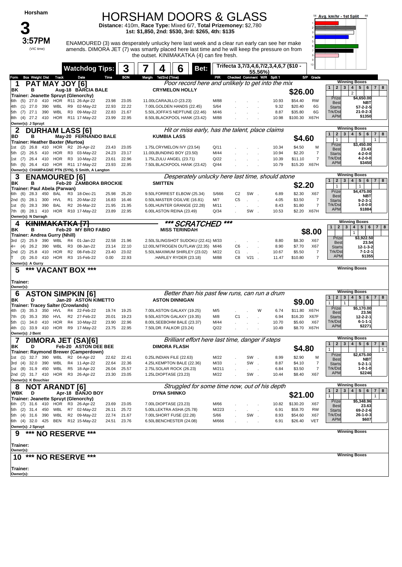#### HORSHAM DOORS & GLASS

**Distance:** 410m, **Race Type:** Mixed 6/7, **Total Prizemoney:** \$2,780 **1st: \$1,850, 2nd: \$530, 3rd: \$265, 4th: \$135**

**3** (VIC time)

3:57PM ENAMOURED (3) was desperately unlucky here last week and a clear run early can see her make amends. DIMORA JET (7) was smartly placed here last time and he will keep the pressure on from the outset. KINIMAKATKA (4) can fire fresh.



|                                                                           | <b>Watchdog Tips:</b>             |                | 3              |                          | 6                                                                  | Bet:                                              |                                  |                | Trifecta 3,7/3,4,6,7/2,3,4,6,7 (\$10 - |                     | 10 <sub>1</sub>                  |                                                |                                                               |
|---------------------------------------------------------------------------|-----------------------------------|----------------|----------------|--------------------------|--------------------------------------------------------------------|---------------------------------------------------|----------------------------------|----------------|----------------------------------------|---------------------|----------------------------------|------------------------------------------------|---------------------------------------------------------------|
| Box Weight Dist Track<br>Form                                             | Date                              | Time           | <b>BON</b>     | 1st/2nd (Time)<br>Margin |                                                                    | PIR                                               |                                  |                | 55.56%)<br>Checked Comment W/R Split 1 |                     | S/P Grade                        |                                                |                                                               |
| <b>PAT MAY JOY [6]</b><br>1                                               |                                   |                |                |                          |                                                                    | Poor record here and unlikely to get into the mix |                                  |                |                                        |                     |                                  |                                                | <b>Winning Boxes</b>                                          |
| в<br>ΒK                                                                   | Aug-18 BARCIA BALE                |                |                |                          | <b>CRYMELON HOLLY</b>                                              |                                                   |                                  |                |                                        |                     |                                  | $\mathbf{2}$<br>$\vert 3 \vert$<br>1           | 4 5 6 7 8                                                     |
| Trainer: Jeanette Spruyt (Glenorchy)                                      |                                   |                |                |                          |                                                                    |                                                   |                                  |                |                                        | \$26.00             |                                  | Prize                                          | $\overline{2}$<br>\$4,650.00                                  |
| 27.0<br>410<br>(5)<br>6th                                                 | HOR R11 26-Apr-22                 | 23.98          | 23.05          | 11.00LCARAJILLO (23.23)  |                                                                    | M/88                                              |                                  |                | 10.93                                  | \$54.40             | RW                               | <b>Best</b>                                    | NBT                                                           |
| $(1)$ 27.0<br>390<br>WBL<br>4th                                           | R9 02-May-22                      | 22.93          | 22.22          |                          | 7.00LGOLDEN HANDS (22.45)                                          | S/64                                              |                                  |                | 9.32                                   | \$20.40             | 6G                               | <b>Starts</b>                                  | $57 - 2 - 2 - 5$                                              |
| WBL<br>27.1<br>390<br>(7)<br>5th<br>8th (4) 27.2 410                      | R3 09-May-22<br>HOR R11 17-May-22 | 22.83<br>23.99 | 21.67<br>22.95 |                          | 5.50LJOFFA'S NEPTUNE (22.46)<br>8.50LBLACKPOOL HANK (23.42)        | M/46<br>M/88                                      |                                  |                | 8.87<br>10.98                          | \$35.80<br>\$100.30 | 6G<br>X67H                       | Trk/Ds<br><b>APM</b>                           | $21 - 0 - 2 - 3$<br>\$1350                                    |
| Owner(s): J Spruyt                                                        |                                   |                |                |                          |                                                                    |                                                   |                                  |                |                                        |                     |                                  |                                                |                                                               |
| 2<br><b>DURHAM LASS [6]</b>                                               |                                   |                |                |                          |                                                                    | Hit or miss early, has the talent, place claims   |                                  |                |                                        |                     |                                  |                                                | <b>Winning Boxes</b>                                          |
| в<br>IBD.                                                                 | May-20 FERNANDO BALE              |                |                | <b>KUMBIA LASS</b>       |                                                                    |                                                   |                                  |                |                                        |                     |                                  | $\mathbf{1}$<br>$\overline{2}$<br>$\mathbf{3}$ | $\overline{4}$<br>$5 \mid 6$<br>$\overline{7}$<br>8           |
| Trainer: Heather Baxter (Murtoa)                                          |                                   |                |                |                          |                                                                    |                                                   |                                  |                |                                        | \$4.60              |                                  | $\mathbf{1}$<br>Prize                          | $\mathbf{1}$<br>\$3,450.00                                    |
| $(2)$ 26.8<br>410<br>HOR<br>1st                                           | R2 26-Apr-22                      | 23.43          | 23.05          |                          | 1.75LCRYMELON IVY (23.54)                                          | Q/11                                              |                                  |                | 10.34                                  | \$4.50              | M                                | <b>Best</b>                                    | 23.43                                                         |
| 26.5<br>410<br>HOR<br>5th (2)                                             | R3 03-May-22                      | 24.23          | 23.17          |                          | 11.00LBUNDING BOY (23.50)                                          | M/44                                              |                                  |                | 10.94                                  | \$2.20              | 7                                | <b>Starts</b>                                  | 4-2-0-0                                                       |
| HOR<br>(7)<br>26.4<br>410<br>1st<br>26.4 410 HOR R11 17-May-22<br>5th (5) | R3 10-May-22                      | 23.61<br>23.93 | 22.96<br>22.95 |                          | 1.75LZULU ANGEL (23.71)<br>7.50LBLACKPOOL HANK (23.42)             | Q/22<br>Q/44                                      |                                  |                | 10.39<br>10.79                         | \$11.10             | $\overline{7}$<br>\$15.20 X67H   | Trk/Dst<br><b>APM</b>                          | 4-2-0-0<br>\$3450                                             |
| Owner(s): CHAMPAGNE PTN (SYN), S Smith, A Langton                         |                                   |                |                |                          |                                                                    |                                                   |                                  |                |                                        |                     |                                  |                                                |                                                               |
| 3<br><b>ENAMOURED [6]</b>                                                 |                                   |                |                |                          |                                                                    | Desperately unlucky here last time, should atone  |                                  |                |                                        |                     |                                  |                                                | <b>Winning Boxes</b>                                          |
| ΒK<br>в                                                                   | Feb-20 ZAMBORA BROCKIE            |                |                | <b>SMITTEN</b>           |                                                                    |                                                   |                                  |                |                                        |                     |                                  | $\mathbf{2}$<br>1                              | 5   6   7   8<br>$3 \mid 4 \mid$                              |
| Trainer: Paul Abela (Parwan)                                              |                                   |                |                |                          |                                                                    |                                                   |                                  |                |                                        | \$2.20              |                                  | $\mathbf{1}$<br>Prize                          | $\mathbf{1}$<br>\$4,475.00                                    |
| 28.3<br>450<br>(6)<br>BAL<br>6th                                          | R3<br>18-Dec-21                   | 25.98          | 25.20          |                          | 9.50LFORREST ELBOW (25.34)                                         | S/666                                             | C <sub>2</sub>                   | SW.            | 6.89                                   | \$2.30              | X67                              | <b>Best</b>                                    | <b>NBT</b>                                                    |
| 2nd (5)<br>28.1<br>300<br>HVL                                             | R1<br>20-Mar-22                   | 16.83          | 16.46          |                          | 0.50LMASTER OGILVIE (16.81)                                        | M/7                                               | C <sub>5</sub>                   | $\sim$         | 4.05                                   | \$3.50              | $\overline{7}$<br>$\overline{7}$ | <b>Starts</b><br>Trk/Ds                        | 9-2-3-1<br>$1 - 0 - 0 - 0$                                    |
| 28.3<br>390<br><b>BAL</b><br>(5)<br>1st<br>HOR<br>7th (8)<br>28.1 410     | R2 26-Mar-22<br>R10 17-May-22     | 21.95<br>23.89 | 21.95<br>22.95 |                          | 5.00LHUNTER GRANGE (22.28)<br>6.00LASTON REINA (23.49)             | M/11<br>Q/34                                      |                                  | SW.            | 8.43<br>10.53                          | \$1.80<br>\$2.20    | X67H                             | <b>APM</b>                                     | \$1884                                                        |
| Owner(s): N Darragh                                                       |                                   |                |                |                          |                                                                    |                                                   |                                  |                |                                        |                     |                                  |                                                |                                                               |
| <b>KINIMAKATKA [7]</b><br>4                                               |                                   |                |                |                          | *** SCRATCHED                                                      |                                                   | ***                              |                |                                        |                     |                                  |                                                | <b>Winning Boxes</b>                                          |
| ΒK<br>в                                                                   | Feb-20 MY BRO FABIO               |                |                |                          | <b>MISS TERINDAH</b>                                               |                                                   |                                  |                |                                        |                     | \$8.00                           | $\overline{2}$<br>1                            | 3   4   5   6   7   8                                         |
| Trainer: Andrea Gurry (Nhill)                                             |                                   |                |                |                          |                                                                    |                                                   |                                  |                |                                        |                     |                                  | Prize                                          | $\mathbf{1}$<br>\$3,922.50                                    |
| 390<br>WBL<br>(2)<br>25.9<br>3rd                                          | R4<br>01-Jan-22                   | 22.58          | 21.96          |                          | 2.50LSLINGSHOT SUDOKU (22.41) M/33                                 |                                                   |                                  |                | 8.80                                   | \$8.30              | X67                              | <b>Best</b>                                    | 23.54                                                         |
| (4)<br>390<br>WBL<br>26.2<br>4=<br>(2)<br>HOR<br>2nd<br>25.8<br>410       | R3<br>08-Jan-22<br>R2 08-Feb-22   | 23.14<br>23.40 | 22.10<br>23.02 |                          | 12.00LNITROGEN OUTLAW (22.35) M/46<br>5.50LMAXIMUM SHIRLEY (23.02) | M/22                                              | C <sub>6</sub><br>C <sub>1</sub> |                | 8.90<br>10.67                          | \$7.70<br>\$5.50    | X67<br>$\overline{7}$            | <b>Starts</b><br>Trk/Dst                       | $12 - 1 - 3 - 2$<br>$7 - 1 - 2 - 1$                           |
| $(3)$ 26.0<br>410<br>HOR                                                  | R3 15-Feb-22                      | 0.00           | 22.93          |                          | .HARLEY RYDER (23.18)                                              | M/88                                              | C8                               | $V21$ .        | 11.47                                  | \$10.80             | 7                                | <b>APM</b>                                     | \$1355                                                        |
| Owner(s): A Gurry                                                         |                                   |                |                |                          |                                                                    |                                                   |                                  |                |                                        |                     |                                  |                                                |                                                               |
| 5<br>*** VACANT BOX ***                                                   |                                   |                |                |                          |                                                                    |                                                   |                                  |                |                                        |                     |                                  |                                                | <b>Winning Boxes</b>                                          |
|                                                                           |                                   |                |                |                          |                                                                    |                                                   |                                  |                |                                        |                     |                                  |                                                |                                                               |
|                                                                           |                                   |                |                |                          |                                                                    |                                                   |                                  |                |                                        |                     |                                  |                                                |                                                               |
| Trainer:                                                                  |                                   |                |                |                          |                                                                    |                                                   |                                  |                |                                        |                     |                                  |                                                |                                                               |
| Owner(s):                                                                 |                                   |                |                |                          |                                                                    |                                                   |                                  |                |                                        |                     |                                  |                                                | <b>Winning Boxes</b>                                          |
| <b>ASTON SIMPKIN [6]</b><br>6<br>ΒK<br>D                                  | Jan-20 ASTON KIMETTO              |                |                |                          | <b>ASTON DINNIGAN</b>                                              | Better than his past few runs, can run a drum     |                                  |                |                                        |                     |                                  | $\overline{2}$<br>$\mathbf{1}$<br>3            | 4   5   6<br> 7 <br>8                                         |
| <b>Trainer: Tracey Salter (Crowlands)</b>                                 |                                   |                |                |                          |                                                                    |                                                   |                                  |                |                                        | \$9.00              |                                  | $\mathbf{1}$                                   |                                                               |
| 35.3<br>350<br>HVL<br>(3)<br>4th l                                        | R4 22-Feb-22                      | 19.74          | 19.25          |                          | 7.00LASTON GALAXY (19.25)                                          | M/5                                               |                                  |                | 6.74<br>W                              |                     | \$11.80 X67H                     | Prize<br>Best                                  | \$5,170.00<br>23.56                                           |
| 7th (3)<br>35.3<br>350<br>HVL                                             | R2 27-Feb-22                      | 20.01          | 19.23          |                          | 9.50LASTON GALAXY (19.35)                                          | M/8                                               | C <sub>1</sub>                   |                | 6.94                                   | \$16.20             | X67F                             | <b>Starts</b>                                  | $12 - 2 - 2 - 1$                                              |
| 410<br>HOR<br>5th (1)<br>34.0                                             | R4 10-May-22                      | 23.90          | 22.96          |                          | 8.00LSEEBOHM BALE (23.37)                                          | M/44<br>Q/22                                      |                                  |                | 10.70<br>10.49                         | \$5.60              | X67                              | Trk/Dst<br><b>APM</b>                          | 6-1-1-1<br>\$2271                                             |
| 4th (1) 33.9 410 HOR R9 17-May-22<br>Owner(s): J Bent                     |                                   | 23.75          | 22.95          | 7.50LDR. FALKOR (23.24)  |                                                                    |                                                   |                                  |                |                                        | \$8.70              | X67H                             |                                                |                                                               |
|                                                                           |                                   |                |                |                          |                                                                    | Brilliant effort here last time, danger if steps  |                                  |                |                                        |                     |                                  |                                                | <b>Winning Boxes</b>                                          |
| DIMORA JET (SA)[6]<br>ΙBΚ<br>D                                            | Feb-20 ASTON DEE BEE              |                |                |                          | <b>DIMORA FLASH</b>                                                |                                                   |                                  |                |                                        |                     |                                  | $\mathbf{2}$<br>$\mathbf{3}$<br>$\mathbf{1}$   | $5\phantom{.0}$<br>$\overline{4}$<br>6<br>$\overline{7}$<br>8 |
| Trainer: Raymond Brewer (Camperdown)                                      |                                   |                |                |                          |                                                                    |                                                   |                                  |                |                                        | \$4.80              |                                  | $\mathbf{1}$<br>Prize                          | $\mathbf{1}$<br>\$2,675.00                                    |
| $(1)$ 32.7 390<br>WBL<br>1st                                              | R2 04-Apr-22                      | 22.62          | 22.41          | 0.25LINDIAN FILE (22.63) |                                                                    | M/22                                              |                                  | SW.            | 8.99                                   | \$2.90              | M                                | <b>Best</b>                                    | NBT                                                           |
| 3rd (4) 32.0 390                                                          | WBL R4 11-Apr-22                  | 22.64          | 22.36          |                          | 4.25LKEMPTON BALE (22.36)                                          | M/33                                              |                                  | SW.            | 8.87                                   | \$4.10              | 7                                | <b>Starts</b>                                  | $5 - 2 - 1 - 1$                                               |
| 1st (8) 31.9 450 WBL R5 18-Apr-22<br>2nd (2) 31.7 410 HOR R3 26-Apr-22    |                                   | 26.04<br>23.30 | 25.57<br>23.05 | 1.25LDIOPTASE (23.23)    | 2.75LSOLAR ROCK (26.23)                                            | M/211<br>M/22                                     |                                  | $\cdot$<br>SW. | 6.84<br>10.44                          | \$3.50<br>\$8.40    | $\overline{7}$<br>X67            | Trk/Dst<br><b>APM</b>                          | $1 - 0 - 1 - 0$<br>\$2246                                     |
| Owner(s): K Bouchier                                                      |                                   |                |                |                          |                                                                    |                                                   |                                  |                |                                        |                     |                                  |                                                |                                                               |
| 8<br><b>NOT ARANDT [6]</b>                                                |                                   |                |                |                          |                                                                    | Struggled for some time now, out of his depth     |                                  |                |                                        |                     |                                  |                                                | <b>Winning Boxes</b>                                          |
| WBK<br>D                                                                  | Apr-18 BANJO BOY                  |                |                | <b>DYNA SHINKO</b>       |                                                                    |                                                   |                                  |                |                                        |                     |                                  | $\mathbf{2}$<br>$\mathbf{3}$<br>1              | 4   5   6<br>$7 \mid 8$                                       |
| Trainer: Jeanette Spruyt (Glenorchy)                                      |                                   |                |                |                          |                                                                    |                                                   |                                  |                |                                        | \$21.00             |                                  | $\mathbf{1}$<br>Prize                          | \$5,348.96                                                    |
| 6th (7) 31.6 410 HOR R3 26-Apr-22                                         |                                   | 23.69          | 23.05          | 7.00LDIOPTASE (23.23)    |                                                                    | M/66                                              |                                  |                | 10.82                                  | \$130.20            | X67                              | Best                                           | 23.63                                                         |
| 5th (2) 31.4 450<br>WBL<br>5th (4) 31.6<br>390<br>WBL                     | R7 02-May-22<br>R2 09-May-22      | 26.11<br>22.74 | 25.72<br>21.67 |                          | 5.00LLEKTRA ASHA (25.78)<br>7.00LSHORT FUSE (22.28)                | M/223<br>S/66                                     |                                  | SW.            | 6.91<br>8.93                           | \$58.70<br>\$54.60  | RW<br>X67                        | <b>Starts</b><br>Trk/Dst                       | 69-2-2-6<br>$26 - 1 - 0 - 3$                                  |
| 6th (4) 32.0 425<br>BEN                                                   | R12 15-May-22                     | 24.51          | 23.76          |                          | 6.50LBENCHESTER (24.08)                                            | M/666                                             |                                  |                | 6.91                                   | \$26.40             | <b>VET</b>                       | <b>APM</b>                                     | \$607                                                         |
| Owner(s): J Spruyt                                                        |                                   |                |                |                          |                                                                    |                                                   |                                  |                |                                        |                     |                                  |                                                |                                                               |
| *** NO RESERVE ***<br>9                                                   |                                   |                |                |                          |                                                                    |                                                   |                                  |                |                                        |                     |                                  |                                                | <b>Winning Boxes</b>                                          |
|                                                                           |                                   |                |                |                          |                                                                    |                                                   |                                  |                |                                        |                     |                                  |                                                |                                                               |
| Trainer:                                                                  |                                   |                |                |                          |                                                                    |                                                   |                                  |                |                                        |                     |                                  |                                                |                                                               |
| Owner(s):                                                                 |                                   |                |                |                          |                                                                    |                                                   |                                  |                |                                        |                     |                                  |                                                | <b>Winning Boxes</b>                                          |
| $10***$                                                                   | <b>NO RESERVE ***</b>             |                |                |                          |                                                                    |                                                   |                                  |                |                                        |                     |                                  |                                                |                                                               |
| Trainer:                                                                  |                                   |                |                |                          |                                                                    |                                                   |                                  |                |                                        |                     |                                  |                                                |                                                               |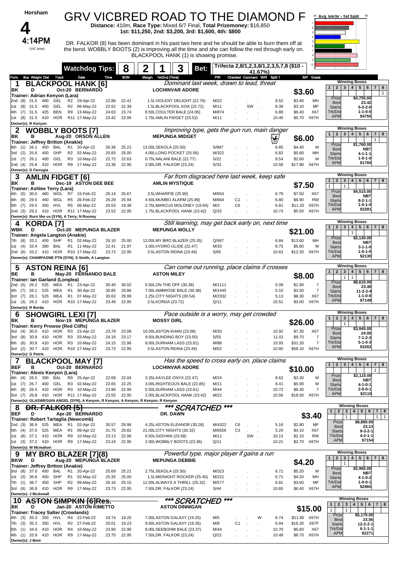| Horsham                                                                            |                                                |                                  | GRV VICBRED ROAD TO THE DIAMOND F<br>Distance: 410m, Race Type: Mixed 6/7 Final, Total Prizemoney: \$16,850<br>1st: \$11,250, 2nd: \$3,200, 3rd: \$1,600, 4th: \$800                                                                           |                  |                                                     |                |                                      | Avg. km/hr - 1st Split<br>68                                                                                         |
|------------------------------------------------------------------------------------|------------------------------------------------|----------------------------------|------------------------------------------------------------------------------------------------------------------------------------------------------------------------------------------------------------------------------------------------|------------------|-----------------------------------------------------|----------------|--------------------------------------|----------------------------------------------------------------------------------------------------------------------|
| 4:14PM<br>(VIC time)                                                               |                                                |                                  | DR. FALKOR (8) has been dominant in his past two here and he should be able to burn them off at<br>the bend. WOBBLY BOOTS (2) is improving all the time and she can follow the red through early on.<br>BLACKPOOL HANK (1) is showing promise. |                  |                                                     |                |                                      |                                                                                                                      |
|                                                                                    | <b>Watchdog Tips:</b>                          | 8                                | 2<br>3<br>Bet:                                                                                                                                                                                                                                 |                  | Trifecta 2,8/1,2,3,8/1,2,3,5,7,8 (\$10 -<br>41.67%) |                |                                      |                                                                                                                      |
| <b>Box Weight Dist Track</b><br>Form                                               | Date                                           | <b>BON</b><br>Time               | Margin 1st/2nd (Time)                                                                                                                                                                                                                          |                  | PIR Checked Comment W/R Split 1                     |                | S/P<br>Grade                         | <b>Winning Boxes</b>                                                                                                 |
| 1<br>D<br>ΒK                                                                       | <b>BLACKPOOL HANK [6]</b><br>Oct-20 BERNARDO   |                                  | Dominant last week, drawn to lead, threat<br><b>LOCHINVAR ADORE</b>                                                                                                                                                                            |                  |                                                     |                |                                      | 2   3   4   5   6<br>$\mathbf{1}$<br>$\overline{7}$<br>8                                                             |
| Trainer: Adrian Kenyon (Lara)                                                      |                                                |                                  |                                                                                                                                                                                                                                                |                  |                                                     |                | \$3.60                               | $\overline{2}$<br>Prize<br>\$4,755.00                                                                                |
| 400<br>GEL<br>2nd (8)<br>31.5<br>31.5 400<br>GEL<br>1st (8)                        | R2 29-Apr-22<br>R2 06-May-22                   | 22.41<br>22.86<br>22.39<br>22.62 | 1.5LVIOLENT DELIGHT (22.76)<br>1.5LBLACKPOOL KOA (22.72)                                                                                                                                                                                       | M/22<br>M/11     | SW.                                                 | 8.52<br>8.38   | \$3.40<br>MН<br>\$3.10<br>MF         | 23.42<br><b>Best</b>                                                                                                 |
| 31.5<br>425<br>BEN<br>4th<br>(7)                                                   | R9 13-May-22                                   | 24.63<br>23.74                   | 8.50LCOULTER BALE (24.06)                                                                                                                                                                                                                      | M/874            |                                                     | 6.88           | \$6.40<br>X67                        | <b>Starts</b><br>5-2-2-0<br>Trk/Dst<br>$1 - 1 - 0 - 0$                                                               |
| 1st (8) 31.5 410<br>HOR<br>Owner(s): R Kenyon                                      | R11 17-May-22                                  | 22.95<br>23.42                   | 1.75LAMLIN FIDGET (23.52)                                                                                                                                                                                                                      | M/11             |                                                     | 10.40          | \$5.70<br>X67H                       | <b>APM</b><br>\$4755                                                                                                 |
| <b>WOBBLY BOOTS [7]</b><br>2                                                       |                                                |                                  | Improving type, gets the gun run, main danger                                                                                                                                                                                                  |                  |                                                     |                |                                      | <b>Winning Boxes</b><br>2 3 4 5 <br>6<br>8<br>$\mathbf{1}$<br>$\overline{7}$                                         |
| в<br>ΒK<br>Trainer: Jeffrey Britton (Anakie)                                       | Aug-20 ORSON ALLEN                             |                                  | <b>MEPUNGA MIDGET</b>                                                                                                                                                                                                                          |                  |                                                     | у              | \$6.00                               |                                                                                                                      |
| 450<br>8th (1) 26.1<br>BAL                                                         | R1 20-Apr-22                                   | 26.36<br>25.21                   | 13.00LSEKOLA (25.50)                                                                                                                                                                                                                           | S/887            |                                                     | 6.85           | \$4.40<br>м                          | Prize<br>\$1,760.00<br><b>Best</b><br><b>NBT</b>                                                                     |
| (2)<br>25.6<br>450<br>SHP<br>3rd                                                   | R2 02-May-22                                   | 25.00<br>25.83                   | 4.00LLONG POCKET (25.56)                                                                                                                                                                                                                       | M/322            |                                                     | 6.82           | \$5.60<br>MН                         | 4-1-1-1<br><b>Starts</b>                                                                                             |
| GEL<br>26.1<br>400<br>1st (7)<br><b>HOR</b><br>2nd (4) 25.8<br>410                 | R <sub>3</sub><br>10-May-22<br>R9 17-May-22    | 22.72<br>22.63<br>22.95<br>23.36 | 0.75LNALANI BALE (22.77)<br>2.00LDR. FALKOR (23.24)                                                                                                                                                                                            | S/22<br>S/33     |                                                     | 8.54<br>10.58  | \$2.60<br>M<br>\$17.80<br>X67H       | Trk/Dst<br>1-0-1-0<br><b>APM</b><br>\$1760                                                                           |
| Owner(s): G Farrugia                                                               |                                                |                                  |                                                                                                                                                                                                                                                |                  |                                                     |                |                                      | <b>Winning Boxes</b>                                                                                                 |
| З<br><b>AMLIN FIDGET [6]</b><br>в<br>ΒK                                            | Dec-19 ASTON DEE BEE                           |                                  | Far from disgraced here last week, keep safe<br><b>AMLIN MYSTIQUE</b>                                                                                                                                                                          |                  |                                                     |                |                                      | $\mathbf{2}$<br>3 <br>4   5   6<br>$\mathbf{1}$<br>7 <sup>1</sup><br>8                                               |
| Trainer: Ashlee Terry (Lara)                                                       |                                                |                                  |                                                                                                                                                                                                                                                |                  |                                                     |                | \$7.50                               | $\mathbf{1}$<br>$\mathbf{1}$<br>Prize<br>\$4,515.00                                                                  |
| 30.0<br>460<br>WGL<br>4th<br>(5)<br>29.5<br>460<br>WGL<br>4th<br>(6)               | R7<br>15-Feb-22<br>R5<br>26-Feb-22             | 25.67<br>26.14<br>26.29<br>25.94 | 3.5LWHARFIE (25.90)<br>4.50LMUMBO ALARM (25.99)                                                                                                                                                                                                | M/654<br>M/664   | C <sub>1</sub>                                      | 6.79<br>6.80   | \$7.50<br>X67<br>\$6.90<br><b>RW</b> | <b>NBT</b><br><b>Best</b>                                                                                            |
| HVL<br>29.5<br>350<br>5th<br>(7)                                                   | R5<br>06-Mar-22                                | 20.03<br>19.38                   | 2.75LMARCUS MOLONEY (19.84)                                                                                                                                                                                                                    | M/3              | C <sub>6</sub>                                      | 6.81           | \$11.20<br>X67H                      | <b>Starts</b><br>$8 - 2 - 1 - 1$<br>Trk/Dst<br>1-0-1-0                                                               |
| 29.2 410 HOR R11 17-May-22<br>2nd (3)                                              |                                                | 22.95<br>23.52                   | 1.75LBLACKPOOL HANK (23.42)                                                                                                                                                                                                                    | Q/33             |                                                     | 10.73          | \$5.50<br>X67H                       | \$2281<br><b>APM</b>                                                                                                 |
| Owner(s): Burn like us (SYN), A Terry, N Rooney<br><b>KORDA [7]</b><br>4           |                                                |                                  | Still learning, may get back early on, next time                                                                                                                                                                                               |                  |                                                     |                |                                      | <b>Winning Boxes</b>                                                                                                 |
| WBK<br>D                                                                           | Oct-20 MEPUNGA BLAZER                          |                                  | <b>MEPUNGA MOLLY</b>                                                                                                                                                                                                                           |                  |                                                     |                | \$21.00                              | 5 <sup>1</sup><br>$2 \mid 3 \mid$<br>4 <sup>1</sup><br>6<br>7 <sup>1</sup><br>8<br>$\mathbf{1}$                      |
| Trainer: Angela Langton (Anakie)                                                   |                                                |                                  |                                                                                                                                                                                                                                                |                  |                                                     |                |                                      | $\mathbf{1}$<br>Prize<br>\$2,130.00                                                                                  |
| 33.1<br>450<br>SHP<br>7th (8)<br><b>BAL</b><br>1st (4)<br>33.4 390                 | R1 02-May-22<br>R1 11-May-22                   | 25.00<br>26.16<br>22.41<br>21.97 | 12.00LMY BRO BLAZER (25.35)<br>1.00LHYDRO GLIDE (22.47)                                                                                                                                                                                        | Q/567<br>M/33    |                                                     | 6.84<br>8.75   | \$13.60<br>MН<br>\$5.80              | <b>Best</b><br><b>NBT</b><br>М<br>$3 - 1 - 1 - 0$<br><b>Starts</b>                                                   |
| 2nd (6) 33.2 410 HOR R10 17-May-22                                                 |                                                | 23.72 22.95                      | 3.5LASTON REINA (23.49)                                                                                                                                                                                                                        | S/65             |                                                     | 10.63          | \$12.20 X67H                         | Trk/Dst<br>1-0-1-0<br><b>APM</b><br>\$2130                                                                           |
| Owner(s): CHAMPAGNE PTN (SYN), S Smith, A Langton                                  |                                                |                                  |                                                                                                                                                                                                                                                |                  |                                                     |                |                                      |                                                                                                                      |
| <b>ASTON REINA [6]</b><br>5                                                        |                                                |                                  | Can come out running, place claims if crosses                                                                                                                                                                                                  |                  |                                                     |                |                                      | <b>Winning Boxes</b><br>$4 \mid 5 \mid$<br>6 <sup>1</sup><br>7 8<br>$\mathbf{1}$<br>2 <sub>1</sub><br>3 <sup>1</sup> |
| BE<br>в<br>Trainer: Ian Garland (Longlea)                                          | May-20 FERNANDO BALE                           |                                  | <b>ASTON MILEY</b>                                                                                                                                                                                                                             |                  |                                                     |                | \$8.00                               | $\mathbf{1}$<br>$\mathbf{1}$                                                                                         |
| 26.2 525<br>MEA<br>2nd (5)                                                         | R1 23-Apr-22                                   | 30.40<br>30.02                   | 0.50LON THE OFF (30.38)                                                                                                                                                                                                                        | M/1111           |                                                     | 5.09           | \$1.90                               | \$8.610.00<br>Prize<br>7<br><b>Best</b><br>23.49                                                                     |
| 26.1<br>525<br>MEA<br>4th<br>(7)<br>525<br>MEA<br>(7)<br>26.1<br>3rd               | R1 30-Apr-22<br>R1 07-May-22                   | 30.85<br>29.86<br>29.99<br>30.63 | 7.00LAMBROSE BALE (30.38)<br>1.25LCITY NIGHTS (30.54)                                                                                                                                                                                          | M/1445<br>M/2332 |                                                     | 5.10<br>5.13   | \$3.50<br>\$8.30<br>X67              | $\overline{7}$<br>$11 - 2 - 2 - 4$<br>Starts<br>Trk/Dst<br>1-1-0-0                                                   |
| 1st (3) 26.2 410 HOR R10 17-May-22                                                 |                                                | 22.95<br>23.49                   | 3.5LKORDA (23.72)                                                                                                                                                                                                                              | Q/11             |                                                     | 10.51          | X67H<br>\$3.00                       | <b>APM</b><br>\$7149                                                                                                 |
| Owner(s): R Borda                                                                  |                                                |                                  |                                                                                                                                                                                                                                                |                  |                                                     |                |                                      | <b>Winning Boxes</b>                                                                                                 |
| <b>SHOWGIRL LEXI [7]</b><br>6<br>ΒK<br>в                                           | Nov-19 MEPUNGA BLAZER                          |                                  | Pace outside is a worry, may get crowded<br><b>MOSSY GIRL</b>                                                                                                                                                                                  |                  |                                                     |                |                                      | $\overline{2}$<br>3 <sup>1</sup><br>4   5   6  <br>$\mathbf{1}$<br>7 <sup>1</sup><br>8                               |
| Trainer: Kerry Prowse (Red Cliffs)                                                 |                                                |                                  |                                                                                                                                                                                                                                                |                  |                                                     |                | \$26.00                              | \$3,945.00<br>Prize                                                                                                  |
| (4) 30.0 410 HOR R3 23-Apr-22<br>3rd<br>3rd (8)<br>30.8 410<br>HOR                 | R3 03-May-22                                   | 23.78<br>23.08<br>24.16<br>23.17 | 10.00LASTON KHAN (23.08)<br>9.50LBUNDING BOY (23.50)                                                                                                                                                                                           | M/33<br>S/55     |                                                     | 10.92<br>11.01 | \$7.30<br>X67<br>\$9.70              | <b>Best</b><br>24.00<br>7<br>$7 - 1 - 2 - 3$<br><b>Starts</b>                                                        |
| HOR<br>30.8<br>410<br>6th<br>(6)                                                   | R3 10-May-22                                   | 22.96<br>24.15                   | 8.00LDURHAM LASS (23.61)                                                                                                                                                                                                                       | M/88             |                                                     | 10.93          | \$31.20                              | Trk/Dst<br>$5 - 1 - 0 - 3$<br>$\overline{7}$                                                                         |
| 3rd (2) 30.7 410 HOR R10 17-May-22<br>Owner(s): G Petrie                           |                                                | 22.95<br>23.73                   | 3.5LASTON REINA (23.49)                                                                                                                                                                                                                        | M/52             |                                                     | 10.60          | \$58.10 X67H                         | <b>APM</b><br>\$3262                                                                                                 |
| 7                                                                                  | <b>BLACKPOOL MAY [7]</b>                       |                                  | Has the speed to cross early on, place claims                                                                                                                                                                                                  |                  |                                                     |                |                                      | <b>Winning Boxes</b>                                                                                                 |
| <b>BEF</b><br>в                                                                    | Oct-20 BERNARDO                                |                                  | <b>LOCHINVAR ADORE</b>                                                                                                                                                                                                                         |                  |                                                     |                | \$10.00                              | 2 <br>3 <sup>2</sup><br>$4 \mid 5 \mid$<br>$7 \mid 8$<br>$\mathbf{1}$<br>6                                           |
| Trainer: Alexis Kenyon (Lara)<br>4th (4) 26.5 390<br>BAL                           | R9<br>25-Apr-22                                | 22.04<br>22.69                   | 3.25LKAYLEE ONYX (22.47)                                                                                                                                                                                                                       | M/24             |                                                     | 8.62           | \$3.30<br>м                          | Prize<br>\$2,115.00                                                                                                  |
| 400<br>GEL<br>1st (7)<br>26.7                                                      | R3 02-May-22                                   | 22.65<br>22.25                   | 3.00LRIGHTEOUS BALE (22.85)                                                                                                                                                                                                                    | M/11             |                                                     | 8.41           | \$5.90                               | <b>Best</b><br>NBT<br>М<br>4-1-0-1<br><b>Starts</b>                                                                  |
| HOR<br>4th (8)<br>26.5 410<br>3rd (7) 26.8 410 HOR R11 17-May-22                   | R3 10-May-22                                   | 23.96<br>22.96<br>23.55<br>22.95 | 5.50LDURHAM LASS (23.61)                                                                                                                                                                                                                       | M/44<br>M/22     |                                                     | 10.72          | \$6.30<br>\$18.50 X67H               | Trk/Dst<br>$2 - 0 - 0 - 1$<br>$\overline{7}$<br><b>APM</b><br>\$2115                                                 |
| Owner(s): GLASWEGIAN ANGEL (SYN), A Kenyon, R Kenyon, A Kenyon, R Kenyon, R Kenyon |                                                |                                  | 2.00LBLACKPOOL HANK (23.42)                                                                                                                                                                                                                    |                  |                                                     | 10.56          |                                      |                                                                                                                      |
| <del>FALKOR [5</del> ]<br>୪                                                        |                                                |                                  | *** SCRATCHED                                                                                                                                                                                                                                  | $***$            |                                                     |                |                                      | <b>Winning Boxes</b><br>1<br>4<br>5 <sup>1</sup><br>$\mathbf{2}$<br>$\mathbf{3}$<br>6 <br>$\overline{7}$<br>8        |
| <b>BEF</b><br>D<br>Trainer: Robert Tartaglia (Newcomb)                             | Apr-20 BERNARDO                                |                                  | DR. DAWN                                                                                                                                                                                                                                       |                  |                                                     |                | \$3.40                               | $\mathbf{1}$<br>$\mathbf{1}$<br>$\mathbf{1}$                                                                         |
| 36.9<br>525<br>MEA<br>2nd (3)                                                      | R <sub>1</sub><br>02-Apr-22                    | 30.57<br>29.96                   | 4.25LASTON ELEANOR (30.28)                                                                                                                                                                                                                     | M/4322           | C6                                                  | 5.16           | \$2.80<br>MF                         | Prize<br>\$8,890.00<br>23.13<br><b>Best</b>                                                                          |
| 525<br>MEA<br>5th (4)<br>37.0<br>HOR<br>1st (8) 37.1<br>410                        | R <sub>1</sub><br>09-Apr-22<br>R9<br>10-May-22 | 29.82<br>31.75<br>22.96<br>23.13 | 21.00LCITY NIGHTS (30.32)<br>6.50LGIOVANI (23.58)                                                                                                                                                                                              | M/6556<br>M/11   | C <sub>3</sub><br>SW.                               | 5.29<br>10.13  | \$4.10<br>X67<br>\$2.10<br><b>RW</b> | <b>Starts</b><br>$9 - 3 - 2 - 1$<br>Trk/Dst<br>$4 - 2 - 1 - 1$                                                       |
| 1st (3) 37.2 410                                                                   | HOR R9 17-May-22                               | 22.95<br>23.24                   | 2.00LWOBBLY BOOTS (23.36)                                                                                                                                                                                                                      | Q/11             |                                                     | 10.21          | \$2.70 X67H                          | \$7154<br><b>APM</b>                                                                                                 |
| Owner(s): W Mcmahon                                                                |                                                |                                  | Powerful type, major player if gains a run                                                                                                                                                                                                     |                  |                                                     |                |                                      | <b>Winning Boxes</b>                                                                                                 |
| 9<br><b>BKW</b><br>D                                                               | MY BRO BLAZER [7](8)<br>Aug-20 MEPUNGA BLAZER  |                                  | <b>MEPUNGA DEBBIE</b>                                                                                                                                                                                                                          |                  |                                                     |                |                                      | 2 <br>$\mathbf{3}$<br>4 <sup>1</sup><br>5 <sup>1</sup><br>$7 \mid 8$<br>$\mathbf{1}$<br>6                            |
| Trainer: Jeffrey Britton (Anakie)                                                  |                                                |                                  |                                                                                                                                                                                                                                                |                  |                                                     |                | \$4.20                               | $\mathbf{1}$<br>\$2,965.00<br>Prize                                                                                  |
| 3rd (8)<br>37.0<br>450<br>BAL<br>1st (3) 36.8<br>SHP<br>450                        | 20-Apr-22<br>R1<br>R1 02-May-22                | 25.21<br>25.69<br>25.00<br>25.35 | 2.75LSEKOLA (25.50)<br>1.5LMIDNIGHT ROCKER (25.45)                                                                                                                                                                                             | M/323<br>M/221   |                                                     | 6.71<br>6.71   | \$5.20<br>м<br>\$4.20<br>MН          | <b>Best</b><br>NBT<br>4-1-0-2<br><b>Starts</b>                                                                       |
| 7th (1) 36.7 450<br>SHP                                                            | R2 09-May-22                                   | 25.15<br>26.16                   | 12.00LALWAYS A THRILL (25.32)                                                                                                                                                                                                                  | M/577            |                                                     | 6.81           | \$3.60<br>MF                         | Trk/Dst<br>$1 - 0 - 0 - 1$                                                                                           |
| 3rd (6) 36.8 410<br>Owner(s): J Mcdowall                                           | HOR R9 17-May-22                               | 22.95<br>23.73                   | 7.50LDR. FALKOR (23.24)                                                                                                                                                                                                                        | S/44             |                                                     | 10.65          | \$6.40<br>X67H                       | <b>APM</b><br>\$2965                                                                                                 |
| 10                                                                                 | <b>ASTON SIMPKIN [6]Res.</b>                   |                                  | *** SCRATCHED                                                                                                                                                                                                                                  | ***              |                                                     |                |                                      | <b>Winning Boxes</b>                                                                                                 |
| D<br>ΒK                                                                            | Jan-20 ASTON KIMETTO                           |                                  | <b>ASTON DINNIGAN</b>                                                                                                                                                                                                                          |                  |                                                     |                | \$15.00                              | 1<br>$\mathbf{2}$<br>3 <br>4 <br>5   6   7  <br>8<br>$\mathbf{1}$<br>$\mathbf{1}$                                    |
| <b>Trainer: Tracey Salter (Crowlands)</b><br>$(3)$ 35.3<br>4th<br>350<br>HVL       | 22-Feb-22<br>R4                                | 19.25<br>19.74                   | 7.00LASTON GALAXY (19.25)                                                                                                                                                                                                                      | M/5              | W                                                   | 6.74           | \$11.80 X67H                         | Prize<br>\$5,170.00                                                                                                  |
| 35.3<br>350<br>HVL<br>7th (3)                                                      | R <sub>2</sub><br>27-Feb-22                    | 20.01<br>19.23                   | 9.50LASTON GALAXY (19.35)                                                                                                                                                                                                                      | M/8              | C <sub>1</sub>                                      | 6.94           | \$16.20<br>X67F                      | 23.56<br><b>Best</b><br><b>Starts</b><br>$12 - 2 - 2 - 1$                                                            |
| HOR<br>34.0<br>410<br>5th<br>(1)<br>4th (1) 33.9                                   | R4<br>10-May-22<br>410 HOR R9 17-May-22        | 22.96<br>23.90<br>22.95<br>23.75 | 8.00LSEEBOHM BALE (23.37)<br>7.50LDR. FALKOR (23.24)                                                                                                                                                                                           | M/44<br>Q/22     |                                                     | 10.70<br>10.49 | \$5.60<br>X67<br>\$8.70 X67H         | Trk/Dst<br>$6 - 1 - 1 - 1$<br>\$2271<br><b>APM</b>                                                                   |
| Owner(s): J Bent                                                                   |                                                |                                  |                                                                                                                                                                                                                                                |                  |                                                     |                |                                      |                                                                                                                      |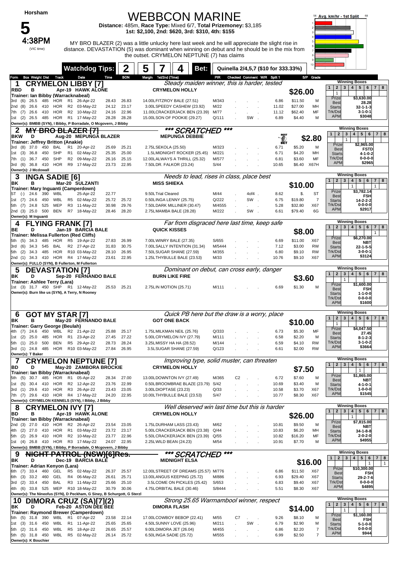### WEBBCON MARINE

**Distance:** 485m, **Race Type:** Mixed 6/7, **Total Prizemoney:** \$3,185 **1st: \$2,100, 2nd: \$620, 3rd: \$310, 4th: \$155**



**4:38PM** MY BRO BLAZER (2) was a little unlucky here last week and he will appreciate the slight rise in distance. DEVASTATION (5) was dominant when winning on debut and he should be in the mix from the outset. CRYMELON NEPTUNE (7) has claims



| PIR Checked Comment W/R Split 1<br>S/P Grade<br><b>Box Weight Dist Track</b><br><b>BON</b><br>Margin 1st/2nd (Time)<br>Time<br>Form<br>Date<br><b>Winning Boxes</b><br>Steady maiden winner, this is harder, tested<br><b>CRYMELON LIBBY [7]</b><br>1<br>4   5   6   7   8<br>$\mathbf{2}$<br>$\mathbf{3}$<br><b>RBD</b><br>в<br>Apr-19 HAWK ALONE<br><b>CRYMELON HOLLY</b><br>\$26.00<br>$\mathbf{1}$<br>Trainer: Ian Bibby (Warracknabeal)<br>Prize<br>\$3,630.00<br>HOR<br>R <sub>1</sub><br>26-Apr-22<br>14.00LFITZROY BALE (27.51)<br>\$11.50<br>(6)<br>26.5<br>485<br>28.43<br>26.83<br>M/343<br>6.86<br>M<br>3rd<br><b>Best</b><br>28.28<br><b>HOR</b><br>R2<br>23.17<br>3.00LSPEEDY CASHEW (23.92)<br>\$27.00<br>26.6<br>410<br>03-May-22<br>24.12<br>M/22<br>11.02<br>MН<br>2nd (8)<br><b>Starts</b><br>$32 - 1 - 1 - 3$<br>$3 - 1 - 0 - 1$<br><b>HOR</b><br>R <sub>2</sub><br>10-May-22<br>22.96<br>11.00LCRACKERJACK BEN (23.39)<br>\$62.40<br>Trk/Dst<br>26.6<br>410<br>24.16<br>M/77<br>11.12<br>MF<br>7th (7)<br><b>APM</b><br>\$3048<br><b>HOR</b><br>R1 17-May-22<br>15.00LSON OF POOKIE (29.27)<br>SW<br>1st(2)<br>26.5<br>485<br>28.28<br>28.28<br>Q/111<br>6.89<br>\$4.40<br>M<br>$\sim$<br>Owner(s): BMBB (SYN), I Bibby, P Borradale, O Mcgovern, J Bibby<br><b>Winning Boxes</b><br>***<br>*** SCRATCHED<br><b>BRO BLAZER [7]</b><br>2<br>$\mathbf{2}$<br>5 <sub>5</sub><br>$6 \mid 7 \mid$<br>$\mathbf{1}$<br>3<br>4<br>8<br>Aug-20 MEPUNGA BLAZER<br><b>MEPUNGA DEBBIE</b><br><b>BKW</b><br>D<br>\$2.80<br>$\mathbf{1}$<br>Trainer: Jeffrey Britton (Anakie)<br>Prize<br>\$2,965.00<br>37.0<br>450<br><b>BAL</b><br>25.21<br>2.75LSEKOLA (25.50)<br>M/323<br>\$5.20<br>3rd<br>(8)<br>R1<br>20-Apr-22<br>25.69<br>6.71<br>м<br><b>Best</b><br><b>FSTD</b><br>SHP<br>25.00<br>M/221<br>\$4.20<br>36.8<br>450<br>R1 02-May-22<br>25.35<br>1.5LMIDNIGHT ROCKER (25.45)<br>MН<br>(3)<br>6.71<br>1st<br><b>Starts</b><br>4-1-0-2<br>Trk/Dst<br>$0 - 0 - 0 - 0$<br><b>SHP</b><br>09-May-22<br>MF<br>36.7<br>450<br>R <sub>2</sub><br>26.16<br>25.15<br>12.00LALWAYS A THRILL (25.32)<br>M/577<br>6.81<br>\$3.60<br>(1)<br>7th<br><b>APM</b><br>\$2965<br><b>HOR</b><br>R <sub>9</sub><br>22.95<br>X67H<br>3rd<br>(6)<br>36.8<br>410<br>17-May-22<br>23.73<br>7.50LDR. FALKOR (23.24)<br>S/44<br>10.65<br>\$6.40<br>Owner(s): J Mcdowall<br><b>Winning Boxes</b><br>Needs to lead, rises in class, place best<br><b>INGA SADIE [6]</b><br>З<br>$\mathbf{2}$<br>5 <sub>1</sub><br>$7 \mid 8$<br>$\mathbf{1}$<br>$\mathbf{3}$<br>4 <br>$6\overline{6}$<br>в<br>Mar-20 SULZANTI<br><b>MISS SHIEKA</b><br>ΒK<br>\$10.00<br>$\mathbf{1}$<br>$\mathbf{1}$<br>Trainer: Mary Inguanti (Camperdown)<br>Prize<br>\$3,782.14<br>\$.<br>390<br>WBL<br>25-Apr-22<br>9.50LTrial Cleared<br>M/44<br>4of4.<br>8.62<br>ST<br>$(\text{-})$<br>24.6<br>22.77<br>ST<br><b>FSH</b><br><b>Best</b><br><b>WBL</b><br>Q/222<br>SW.<br>\$19.80<br>24.6<br>R <sub>5</sub><br>02-May-22<br>25.72<br>25.72<br>0.50LINGA LENNY (25.75)<br>6.75<br>7<br>(7)<br>450<br>1st<br><b>Starts</b><br>14-2-2-2<br><b>MEP</b><br>R <sub>3</sub><br>11-May-22<br>30.98<br>29.76<br>7.50LDARK MILLINER (30.47)<br>M/4555<br>\$32.80<br>X67<br>Trk/Dst<br>$0 - 0 - 0 - 0$<br>5th (7)<br>24.8<br>525<br>5.28<br><b>APM</b><br>\$2917<br>25.0<br><b>BEN</b><br>R7 18-May-22<br>M/222<br>6G<br>2nd (3)<br>500<br>28.46<br>28.20<br>2.75LMAMBA BALE (28.28)<br>SW.<br>\$79.40<br>6.61<br>Owner(s): M Inguanti<br><b>Winning Boxes</b><br>Far from disgraced here last time, keep safe<br><b>FLYING FRANK [7]</b><br>4<br>4<br>5 <sup>1</sup><br>$\mathbf{1}$<br>$\overline{2}$<br>$\mathbf{3}$<br>6<br>$7 \mid 8$<br>Jan-19 BARCIA BALE<br><b>QUICK KISSES</b><br>BE<br>D<br>\$8.00<br>$\mathbf{1}$<br><b>Trainer: Melissa Fullerton (Red Cliffs)</b><br>Prize<br>\$6,270.00<br>485<br>HOR<br>R5<br>19-Apr-22<br>26.99<br>7.00LWINRY BALE (27.35)<br>S/655<br>\$11.00<br>X67<br>(5)<br>34.3<br>27.83<br>6.69<br>5th<br><b>Best</b><br>NBT<br>30.75<br>7.00LSALLY INTENTION (31.34)<br>M/5444<br>\$3.00<br><b>RW</b><br>34.3<br>545<br>BAL<br>R2 27-Apr-22<br>31.83<br>7.12<br>(6)<br>3rd<br><b>Starts</b><br>$22 - 1 - 5 - 5$<br>Trk/Dst<br>$3 - 0 - 0 - 1$<br>HOR<br>R10 03-May-22<br>26.95<br>7.50LSUGAR SHANE (27.59)<br>M/355<br><b>RW</b><br>(2)<br>34.3<br>485<br>28.10<br>6.80<br>\$9.10<br>5th<br><b>APM</b><br>\$3124<br>410 HOR<br>R4 17-May-22<br>23.61<br>22.95<br>X67<br>2nd (1) 34.3<br>1.25LTHYBULLE BALE (23.53)<br>M/33<br>10.76<br>\$9.10<br>Owner(s): FULLO (SYN), B Fullerton, M Fullerton<br><b>Winning Boxes</b><br>Dominant on debut, can cross early, danger<br><b>DEVASTATION [7]</b><br>ა<br>$\overline{2}$<br>4   5   6  <br>7 8<br>3<br>$\mathbf{1}$<br><b>BURN LIKE FIRE</b><br>D<br>Sep-20 FERNANDO BALE<br>ΒK<br>\$3.60<br>$\mathbf{1}$<br><b>Trainer: Ashlee Terry (Lara)</b><br>\$1,600.00<br>Prize<br>1st (3) 31.7 450 SHP<br>R1 12-May-22<br>25.21<br>2.75LIN MOTION (25.71)<br>\$1.30<br>25.53<br>M/111<br>6.69<br>M<br><b>FSH</b><br><b>Best</b><br>Owner(s): Burn like us (SYN), A Terry, N Rooney<br><b>Starts</b><br>$1 - 1 - 0 - 0$<br>Trk/Dst<br>$0 - 0 - 0 - 0$<br><b>APM</b><br>\$1600<br><b>Winning Boxes</b><br>Quick PB here but the draw is a worry, place<br><b>GOT MY STAR [7]</b><br>6<br>5 <br>$\mathbf{2}$<br>$\mathbf{3}$<br>$\overline{4}$<br>6<br>7 8<br>$\mathbf{1}$<br><b>GOT ONE BACK</b><br>в<br>May-20 FERNANDO BALE<br>ΒK<br>\$10.00<br>$\mathbf{1}$<br>Trainer: Garry George (Beulah)<br>Prize<br>\$4,047.50<br>Q/333<br>24.6<br>450<br>WBL<br>R <sub>2</sub><br>21-Apr-22<br>25.88<br>25.17<br>1.75LMILKMAN NEIL (25.76)<br>6.73<br>\$5.30<br>MF<br>(7)<br>27.45<br><b>Best</b><br><b>HOR</b><br>R1 23-Apr-22<br>27.22<br>5.00LCRYMELON IVY (27.79)<br>M/111<br>\$2.20<br>(2)<br>25.0<br>485<br>27.45<br>6.58<br>M<br>1st<br>$8 - 1 - 2 - 3$<br><b>Starts</b><br>Trk/Dst<br>$3-1-0-2$<br><b>BEN</b><br>R <sub>5</sub><br>29-Apr-22<br><b>RW</b><br>25.0<br>500<br>28.73<br>28.24<br>3.25LMISSY HA HA (28.52)<br>M/144<br>\$4.10<br>5th (1)<br>6.59<br><b>APM</b><br>\$3664<br>485<br>HOR<br>R10 03-May-22<br>26.95<br>Q/123<br>\$2.00<br><b>RW</b><br>3rd (1) 24.8<br>27.84<br>3.5LSUGAR SHANE (27.59)<br>6.61<br>Owner(s): T Baker<br><b>Winning Boxes</b><br>Improving type, solid muster, can threaten<br><b>CRYMELON NEPTUNE [7]</b><br>2 3 4 5 6 7 8<br>1 <sup>1</sup><br><b>CRYMELON HOLLY</b><br>BD<br>May-20 ZAMBORA BROCKIE<br>\$7.50<br>$\mathbf{1}$<br>Trainer: Ian Bibby (Warracknabeal)<br>Prize<br>\$1,865.00<br>5th (5) 30.7 485 HOR<br>R1 05-Apr-22<br>13.00LDOWNTON IVY (27.49)<br>27.00<br>M/365<br>C <sub>2</sub><br>6.72<br>\$7.60<br>M<br>28.34<br><b>NBT</b><br><b>Best</b><br>0.50LBROOMBRAE BLAZE (23.79) S/42<br>1st (5)<br>30.4 410<br>HOR<br>R2 12-Apr-22<br>23.76<br>22.99<br>10.69<br>\$3.40<br>M<br>4-1-0-1<br><b>Starts</b><br>Trk/Dst<br>$1 - 0 - 0 - 0$<br>29.6 410 HOR<br>R <sub>3</sub><br>26-Apr-22<br>X67<br>23.43<br>23.05<br>3.00LDIOPTASE (23.23)<br>Q/33<br>\$3.70<br>3rd (1)<br>10.58<br><b>APM</b><br>\$1545<br>29.6 410 HOR R4 17-May-22<br>24.20<br>22.95<br>10.00LTHYBULLE BALE (23.53)<br>7th (7)<br>S/47<br>10.77<br>\$8.30<br>X67<br>Owner(s): CRYMELON KENNELS (SYN), I Bibby, J Bibby<br><b>Winning Boxes</b><br>Well deserved win last time but this is harder<br>8<br><b>CRYMELON IVY [7]</b><br>5 6 <br>$\mathbf{2}$<br>3<br>$\overline{\mathbf{4}}$<br>7 8<br>$\mathbf{1}$<br>BD<br><b>CRYMELON HOLLY</b><br>в<br>Apr-19 HAWK ALONE<br>\$26.00<br>$\mathbf{1}$<br>Trainer: Ian Bibby (Warracknabeal)<br>Prize<br>\$7,815.00<br>R2 26-Apr-22<br>27.0<br>410 HOR<br>1.75LDURHAM LASS (23.43)<br>\$9.50<br>2nd (3)<br>23.54<br>23.05<br>M/62<br>10.81<br>M<br><b>NBT</b><br><b>Best</b><br>4th (2) 27.0<br>410 HOR R1 03-May-22<br>23.72<br>23.17<br>5.00LCRACKERJACK BEN (23.38)<br>Q/44<br>\$6.20<br>MН<br>10.83<br>$34 - 1 - 8 - 8$<br>÷,<br><b>Starts</b><br>Trk/Dst<br>$2 - 0 - 2 - 0$<br>HOR<br>R <sub>2</sub><br>5th (2)<br>26.9<br>410<br>10-May-22<br>23.77<br>22.96<br>5.50LCRACKERJACK BEN (23.39)<br>MF<br>Q/55<br>10.82<br>\$16.20<br><b>APM</b><br>\$4955<br>1st (4) 26.8 410 HOR R3 17-May-22<br>24.07<br>22.95<br>2.25LWILD BEAN (24.23)<br>\$7.70<br>M<br>M/54<br>10.91<br>Owner(s): BMBB (SYN), I Bibby, P Borradale, O Mcgovern, J Bibby<br><b>Winning Boxes</b><br>***<br><b>NIGHT PATROL (NSW)[6]Res.</b><br>*** SCRATCHED<br>9<br>5 <sub>5</sub><br>$\mathbf{2}$<br>3<br>4<br>6<br>$\overline{7}$<br>8<br>1<br>Dec-19 BARCIA BALE<br>ΒK<br>D<br><b>MIDNIGHT ELSA</b><br>\$16.00<br>$\mathbf{1}$<br>$\overline{1}$<br>Trainer: Adrian Kenyon (Lara)<br>Prize<br>\$10,300.00<br>33.4 460<br>GEL<br>R <sub>5</sub><br>02-May-22<br>25.57<br>12.00LSTREET OF DREAMS (25.57) M/776<br>6.86<br>\$11.50<br>X67<br>(7)<br>26.37<br>6th<br><b>Best</b><br><b>FSH</b><br>33.2<br>460<br>GEL<br>R4<br>06-May-22<br>26.61<br>25.71<br>13.00LANGUS KEEPING (25.72)<br>M/886<br>6.93<br>\$29.40<br>X67<br>6th (3)<br>29-2-7-6<br><b>Starts</b><br>Trk/Dst<br>$0 - 0 - 0 - 0$<br><b>BAL</b><br>R3 11-May-22<br>33.4 450<br>25.66<br>25.10<br>3.5LCOME ON PICKLES (25.42)<br>S/653<br>\$9.40<br>X67<br>3rd (2)<br>6.83<br><b>APM</b><br>\$4895<br>33.8 525 MEP<br>R10 18-May-22<br>30.79<br>4.75LORBITAL BALE (30.46)<br>X67<br>4th (6)<br>30.06<br>S/8444<br>5.51<br>\$8.30<br>Owner(s): The Nineofus (SYN), D Peckham, G Siney, B Schurgott, G Sterzl<br><b>Winning Boxes</b><br>Strong 25.65 Warrnambool winner, respect<br>10<br><b>DIMORA CRUZ (SA)[7](2)</b><br>5 <br>$\mathbf{2}$<br>3<br>$\overline{4}$<br>$6\overline{6}$<br>7 8<br>Feb-20 ASTON DEE BEE<br>D<br><b>DIMORA FLASH</b><br>ΒK<br>\$14.00<br>1<br>Trainer: Raymond Brewer (Camperdown)<br>\$1,160.00<br>Prize<br>5th (5) 31.8 390 WBL<br>R1 07-Apr-22<br>22.14<br>17.00LCOWBOY BEBOP (22.41)<br>9.26<br>\$8.10<br>23.58<br>M/55<br>C7<br>M<br><b>FSH</b><br><b>Best</b><br>SW.<br>1st (3) 31.6<br>450<br>WBL<br>R1 11-Apr-22<br>25.65<br>25.65<br>4.50LSUNNY LOVE (25.96)<br>M/211<br>\$2.90<br>M<br>6.79<br>$5 - 1 - 0 - 0$<br><b>Starts</b><br>Trk/Dst<br>$0 - 0 - 0 - 0$<br><b>WBL</b><br>7<br>31.6<br>450<br>R <sub>5</sub><br>18-Apr-22<br>26.65<br>9.00LDIMORA JET (26.04)<br>M/455<br>\$2.20<br>5th<br>(2)<br>25.57<br>6.86<br><b>APM</b><br>\$944<br>7<br>5th (5) 31.8<br>450<br>WBL<br>R5<br>02-May-22<br>25.72<br>6.50LINGA SADIE (25.72)<br>M/555<br>6.99<br>\$2.50<br>26.14<br>Owner(s): K Bouchier | <b>Watchdog Tips:</b> | 5<br>Bet: |  | Quinella 2/4,5,7 (\$10 for 333.33%) |  |  |
|----------------------------------------------------------------------------------------------------------------------------------------------------------------------------------------------------------------------------------------------------------------------------------------------------------------------------------------------------------------------------------------------------------------------------------------------------------------------------------------------------------------------------------------------------------------------------------------------------------------------------------------------------------------------------------------------------------------------------------------------------------------------------------------------------------------------------------------------------------------------------------------------------------------------------------------------------------------------------------------------------------------------------------------------------------------------------------------------------------------------------------------------------------------------------------------------------------------------------------------------------------------------------------------------------------------------------------------------------------------------------------------------------------------------------------------------------------------------------------------------------------------------------------------------------------------------------------------------------------------------------------------------------------------------------------------------------------------------------------------------------------------------------------------------------------------------------------------------------------------------------------------------------------------------------------------------------------------------------------------------------------------------------------------------------------------------------------------------------------------------------------------------------------------------------------------------------------------------------------------------------------------------------------------------------------------------------------------------------------------------------------------------------------------------------------------------------------------------------------------------------------------------------------------------------------------------------------------------------------------------------------------------------------------------------------------------------------------------------------------------------------------------------------------------------------------------------------------------------------------------------------------------------------------------------------------------------------------------------------------------------------------------------------------------------------------------------------------------------------------------------------------------------------------------------------------------------------------------------------------------------------------------------------------------------------------------------------------------------------------------------------------------------------------------------------------------------------------------------------------------------------------------------------------------------------------------------------------------------------------------------------------------------------------------------------------------------------------------------------------------------------------------------------------------------------------------------------------------------------------------------------------------------------------------------------------------------------------------------------------------------------------------------------------------------------------------------------------------------------------------------------------------------------------------------------------------------------------------------------------------------------------------------------------------------------------------------------------------------------------------------------------------------------------------------------------------------------------------------------------------------------------------------------------------------------------------------------------------------------------------------------------------------------------------------------------------------------------------------------------------------------------------------------------------------------------------------------------------------------------------------------------------------------------------------------------------------------------------------------------------------------------------------------------------------------------------------------------------------------------------------------------------------------------------------------------------------------------------------------------------------------------------------------------------------------------------------------------------------------------------------------------------------------------------------------------------------------------------------------------------------------------------------------------------------------------------------------------------------------------------------------------------------------------------------------------------------------------------------------------------------------------------------------------------------------------------------------------------------------------------------------------------------------------------------------------------------------------------------------------------------------------------------------------------------------------------------------------------------------------------------------------------------------------------------------------------------------------------------------------------------------------------------------------------------------------------------------------------------------------------------------------------------------------------------------------------------------------------------------------------------------------------------------------------------------------------------------------------------------------------------------------------------------------------------------------------------------------------------------------------------------------------------------------------------------------------------------------------------------------------------------------------------------------------------------------------------------------------------------------------------------------------------------------------------------------------------------------------------------------------------------------------------------------------------------------------------------------------------------------------------------------------------------------------------------------------------------------------------------------------------------------------------------------------------------------------------------------------------------------------------------------------------------------------------------------------------------------------------------------------------------------------------------------------------------------------------------------------------------------------------------------------------------------------------------------------------------------------------------------------------------------------------------------------------------------------------------------------------------------------------------------------------------------------------------------------------------------------------------------------------------------------------------------------------------------------------------------------------------------------------------------------------------------------------------------------------------------------------------------------------------------------------------------------------------------------------------------------------------------------------------------------------------------------------------------------------------------------------------------------------------------------------------------------------------------------------------------------------------------------------------------------------------------------------------------------------------------------------------------------------------------------------------------------------------------------------------------------------------------------------------------------------------------------------------------------------------------------------------------------------------------------------------------------------------------------------------------------------------------------------------------------------------------------------------------------------------------------------------------------------------------------------------------------------------------------------------------------------------------------------------------------------------------------------------------------------------------------------------------------------------------------------------------------------------------------------------------------------------------------------------------------------------------------------------------------------------------------------------------------------------------------------------------------------------------------------------------------------------------------------------------------------------------------------------------------------------------------------------------------------------------------------------------------------------------------------------------------------------------------------------------------------------------------------------------------------------------------------------------------------------------------------------------------------------------------------------------------------------|-----------------------|-----------|--|-------------------------------------|--|--|
|                                                                                                                                                                                                                                                                                                                                                                                                                                                                                                                                                                                                                                                                                                                                                                                                                                                                                                                                                                                                                                                                                                                                                                                                                                                                                                                                                                                                                                                                                                                                                                                                                                                                                                                                                                                                                                                                                                                                                                                                                                                                                                                                                                                                                                                                                                                                                                                                                                                                                                                                                                                                                                                                                                                                                                                                                                                                                                                                                                                                                                                                                                                                                                                                                                                                                                                                                                                                                                                                                                                                                                                                                                                                                                                                                                                                                                                                                                                                                                                                                                                                                                                                                                                                                                                                                                                                                                                                                                                                                                                                                                                                                                                                                                                                                                                                                                                                                                                                                                                                                                                                                                                                                                                                                                                                                                                                                                                                                                                                                                                                                                                                                                                                                                                                                                                                                                                                                                                                                                                                                                                                                                                                                                                                                                                                                                                                                                                                                                                                                                                                                                                                                                                                                                                                                                                                                                                                                                                                                                                                                                                                                                                                                                                                                                                                                                                                                                                                                                                                                                                                                                                                                                                                                                                                                                                                                                                                                                                                                                                                                                                                                                                                                                                                                                                                                                                                                                                                                                                                                                                                                                                                                                                                                                                                                                                                                                                                                                                                                                                                                                                                                                                                                                                                                                                                                                                                                                                                                                                                                                                                                                                                                                                                                                                                                                                                                                                                                                                                                                                                                                                                                                                                                                                                                                                                                                                                                                                                                                                                                  |                       |           |  |                                     |  |  |
|                                                                                                                                                                                                                                                                                                                                                                                                                                                                                                                                                                                                                                                                                                                                                                                                                                                                                                                                                                                                                                                                                                                                                                                                                                                                                                                                                                                                                                                                                                                                                                                                                                                                                                                                                                                                                                                                                                                                                                                                                                                                                                                                                                                                                                                                                                                                                                                                                                                                                                                                                                                                                                                                                                                                                                                                                                                                                                                                                                                                                                                                                                                                                                                                                                                                                                                                                                                                                                                                                                                                                                                                                                                                                                                                                                                                                                                                                                                                                                                                                                                                                                                                                                                                                                                                                                                                                                                                                                                                                                                                                                                                                                                                                                                                                                                                                                                                                                                                                                                                                                                                                                                                                                                                                                                                                                                                                                                                                                                                                                                                                                                                                                                                                                                                                                                                                                                                                                                                                                                                                                                                                                                                                                                                                                                                                                                                                                                                                                                                                                                                                                                                                                                                                                                                                                                                                                                                                                                                                                                                                                                                                                                                                                                                                                                                                                                                                                                                                                                                                                                                                                                                                                                                                                                                                                                                                                                                                                                                                                                                                                                                                                                                                                                                                                                                                                                                                                                                                                                                                                                                                                                                                                                                                                                                                                                                                                                                                                                                                                                                                                                                                                                                                                                                                                                                                                                                                                                                                                                                                                                                                                                                                                                                                                                                                                                                                                                                                                                                                                                                                                                                                                                                                                                                                                                                                                                                                                                                                                                                                  |                       |           |  |                                     |  |  |
|                                                                                                                                                                                                                                                                                                                                                                                                                                                                                                                                                                                                                                                                                                                                                                                                                                                                                                                                                                                                                                                                                                                                                                                                                                                                                                                                                                                                                                                                                                                                                                                                                                                                                                                                                                                                                                                                                                                                                                                                                                                                                                                                                                                                                                                                                                                                                                                                                                                                                                                                                                                                                                                                                                                                                                                                                                                                                                                                                                                                                                                                                                                                                                                                                                                                                                                                                                                                                                                                                                                                                                                                                                                                                                                                                                                                                                                                                                                                                                                                                                                                                                                                                                                                                                                                                                                                                                                                                                                                                                                                                                                                                                                                                                                                                                                                                                                                                                                                                                                                                                                                                                                                                                                                                                                                                                                                                                                                                                                                                                                                                                                                                                                                                                                                                                                                                                                                                                                                                                                                                                                                                                                                                                                                                                                                                                                                                                                                                                                                                                                                                                                                                                                                                                                                                                                                                                                                                                                                                                                                                                                                                                                                                                                                                                                                                                                                                                                                                                                                                                                                                                                                                                                                                                                                                                                                                                                                                                                                                                                                                                                                                                                                                                                                                                                                                                                                                                                                                                                                                                                                                                                                                                                                                                                                                                                                                                                                                                                                                                                                                                                                                                                                                                                                                                                                                                                                                                                                                                                                                                                                                                                                                                                                                                                                                                                                                                                                                                                                                                                                                                                                                                                                                                                                                                                                                                                                                                                                                                                                                  |                       |           |  |                                     |  |  |
|                                                                                                                                                                                                                                                                                                                                                                                                                                                                                                                                                                                                                                                                                                                                                                                                                                                                                                                                                                                                                                                                                                                                                                                                                                                                                                                                                                                                                                                                                                                                                                                                                                                                                                                                                                                                                                                                                                                                                                                                                                                                                                                                                                                                                                                                                                                                                                                                                                                                                                                                                                                                                                                                                                                                                                                                                                                                                                                                                                                                                                                                                                                                                                                                                                                                                                                                                                                                                                                                                                                                                                                                                                                                                                                                                                                                                                                                                                                                                                                                                                                                                                                                                                                                                                                                                                                                                                                                                                                                                                                                                                                                                                                                                                                                                                                                                                                                                                                                                                                                                                                                                                                                                                                                                                                                                                                                                                                                                                                                                                                                                                                                                                                                                                                                                                                                                                                                                                                                                                                                                                                                                                                                                                                                                                                                                                                                                                                                                                                                                                                                                                                                                                                                                                                                                                                                                                                                                                                                                                                                                                                                                                                                                                                                                                                                                                                                                                                                                                                                                                                                                                                                                                                                                                                                                                                                                                                                                                                                                                                                                                                                                                                                                                                                                                                                                                                                                                                                                                                                                                                                                                                                                                                                                                                                                                                                                                                                                                                                                                                                                                                                                                                                                                                                                                                                                                                                                                                                                                                                                                                                                                                                                                                                                                                                                                                                                                                                                                                                                                                                                                                                                                                                                                                                                                                                                                                                                                                                                                                                                  |                       |           |  |                                     |  |  |
|                                                                                                                                                                                                                                                                                                                                                                                                                                                                                                                                                                                                                                                                                                                                                                                                                                                                                                                                                                                                                                                                                                                                                                                                                                                                                                                                                                                                                                                                                                                                                                                                                                                                                                                                                                                                                                                                                                                                                                                                                                                                                                                                                                                                                                                                                                                                                                                                                                                                                                                                                                                                                                                                                                                                                                                                                                                                                                                                                                                                                                                                                                                                                                                                                                                                                                                                                                                                                                                                                                                                                                                                                                                                                                                                                                                                                                                                                                                                                                                                                                                                                                                                                                                                                                                                                                                                                                                                                                                                                                                                                                                                                                                                                                                                                                                                                                                                                                                                                                                                                                                                                                                                                                                                                                                                                                                                                                                                                                                                                                                                                                                                                                                                                                                                                                                                                                                                                                                                                                                                                                                                                                                                                                                                                                                                                                                                                                                                                                                                                                                                                                                                                                                                                                                                                                                                                                                                                                                                                                                                                                                                                                                                                                                                                                                                                                                                                                                                                                                                                                                                                                                                                                                                                                                                                                                                                                                                                                                                                                                                                                                                                                                                                                                                                                                                                                                                                                                                                                                                                                                                                                                                                                                                                                                                                                                                                                                                                                                                                                                                                                                                                                                                                                                                                                                                                                                                                                                                                                                                                                                                                                                                                                                                                                                                                                                                                                                                                                                                                                                                                                                                                                                                                                                                                                                                                                                                                                                                                                                                                  |                       |           |  |                                     |  |  |
|                                                                                                                                                                                                                                                                                                                                                                                                                                                                                                                                                                                                                                                                                                                                                                                                                                                                                                                                                                                                                                                                                                                                                                                                                                                                                                                                                                                                                                                                                                                                                                                                                                                                                                                                                                                                                                                                                                                                                                                                                                                                                                                                                                                                                                                                                                                                                                                                                                                                                                                                                                                                                                                                                                                                                                                                                                                                                                                                                                                                                                                                                                                                                                                                                                                                                                                                                                                                                                                                                                                                                                                                                                                                                                                                                                                                                                                                                                                                                                                                                                                                                                                                                                                                                                                                                                                                                                                                                                                                                                                                                                                                                                                                                                                                                                                                                                                                                                                                                                                                                                                                                                                                                                                                                                                                                                                                                                                                                                                                                                                                                                                                                                                                                                                                                                                                                                                                                                                                                                                                                                                                                                                                                                                                                                                                                                                                                                                                                                                                                                                                                                                                                                                                                                                                                                                                                                                                                                                                                                                                                                                                                                                                                                                                                                                                                                                                                                                                                                                                                                                                                                                                                                                                                                                                                                                                                                                                                                                                                                                                                                                                                                                                                                                                                                                                                                                                                                                                                                                                                                                                                                                                                                                                                                                                                                                                                                                                                                                                                                                                                                                                                                                                                                                                                                                                                                                                                                                                                                                                                                                                                                                                                                                                                                                                                                                                                                                                                                                                                                                                                                                                                                                                                                                                                                                                                                                                                                                                                                                                                  |                       |           |  |                                     |  |  |
|                                                                                                                                                                                                                                                                                                                                                                                                                                                                                                                                                                                                                                                                                                                                                                                                                                                                                                                                                                                                                                                                                                                                                                                                                                                                                                                                                                                                                                                                                                                                                                                                                                                                                                                                                                                                                                                                                                                                                                                                                                                                                                                                                                                                                                                                                                                                                                                                                                                                                                                                                                                                                                                                                                                                                                                                                                                                                                                                                                                                                                                                                                                                                                                                                                                                                                                                                                                                                                                                                                                                                                                                                                                                                                                                                                                                                                                                                                                                                                                                                                                                                                                                                                                                                                                                                                                                                                                                                                                                                                                                                                                                                                                                                                                                                                                                                                                                                                                                                                                                                                                                                                                                                                                                                                                                                                                                                                                                                                                                                                                                                                                                                                                                                                                                                                                                                                                                                                                                                                                                                                                                                                                                                                                                                                                                                                                                                                                                                                                                                                                                                                                                                                                                                                                                                                                                                                                                                                                                                                                                                                                                                                                                                                                                                                                                                                                                                                                                                                                                                                                                                                                                                                                                                                                                                                                                                                                                                                                                                                                                                                                                                                                                                                                                                                                                                                                                                                                                                                                                                                                                                                                                                                                                                                                                                                                                                                                                                                                                                                                                                                                                                                                                                                                                                                                                                                                                                                                                                                                                                                                                                                                                                                                                                                                                                                                                                                                                                                                                                                                                                                                                                                                                                                                                                                                                                                                                                                                                                                                                                  |                       |           |  |                                     |  |  |
|                                                                                                                                                                                                                                                                                                                                                                                                                                                                                                                                                                                                                                                                                                                                                                                                                                                                                                                                                                                                                                                                                                                                                                                                                                                                                                                                                                                                                                                                                                                                                                                                                                                                                                                                                                                                                                                                                                                                                                                                                                                                                                                                                                                                                                                                                                                                                                                                                                                                                                                                                                                                                                                                                                                                                                                                                                                                                                                                                                                                                                                                                                                                                                                                                                                                                                                                                                                                                                                                                                                                                                                                                                                                                                                                                                                                                                                                                                                                                                                                                                                                                                                                                                                                                                                                                                                                                                                                                                                                                                                                                                                                                                                                                                                                                                                                                                                                                                                                                                                                                                                                                                                                                                                                                                                                                                                                                                                                                                                                                                                                                                                                                                                                                                                                                                                                                                                                                                                                                                                                                                                                                                                                                                                                                                                                                                                                                                                                                                                                                                                                                                                                                                                                                                                                                                                                                                                                                                                                                                                                                                                                                                                                                                                                                                                                                                                                                                                                                                                                                                                                                                                                                                                                                                                                                                                                                                                                                                                                                                                                                                                                                                                                                                                                                                                                                                                                                                                                                                                                                                                                                                                                                                                                                                                                                                                                                                                                                                                                                                                                                                                                                                                                                                                                                                                                                                                                                                                                                                                                                                                                                                                                                                                                                                                                                                                                                                                                                                                                                                                                                                                                                                                                                                                                                                                                                                                                                                                                                                                                                  |                       |           |  |                                     |  |  |
|                                                                                                                                                                                                                                                                                                                                                                                                                                                                                                                                                                                                                                                                                                                                                                                                                                                                                                                                                                                                                                                                                                                                                                                                                                                                                                                                                                                                                                                                                                                                                                                                                                                                                                                                                                                                                                                                                                                                                                                                                                                                                                                                                                                                                                                                                                                                                                                                                                                                                                                                                                                                                                                                                                                                                                                                                                                                                                                                                                                                                                                                                                                                                                                                                                                                                                                                                                                                                                                                                                                                                                                                                                                                                                                                                                                                                                                                                                                                                                                                                                                                                                                                                                                                                                                                                                                                                                                                                                                                                                                                                                                                                                                                                                                                                                                                                                                                                                                                                                                                                                                                                                                                                                                                                                                                                                                                                                                                                                                                                                                                                                                                                                                                                                                                                                                                                                                                                                                                                                                                                                                                                                                                                                                                                                                                                                                                                                                                                                                                                                                                                                                                                                                                                                                                                                                                                                                                                                                                                                                                                                                                                                                                                                                                                                                                                                                                                                                                                                                                                                                                                                                                                                                                                                                                                                                                                                                                                                                                                                                                                                                                                                                                                                                                                                                                                                                                                                                                                                                                                                                                                                                                                                                                                                                                                                                                                                                                                                                                                                                                                                                                                                                                                                                                                                                                                                                                                                                                                                                                                                                                                                                                                                                                                                                                                                                                                                                                                                                                                                                                                                                                                                                                                                                                                                                                                                                                                                                                                                                                                  |                       |           |  |                                     |  |  |
|                                                                                                                                                                                                                                                                                                                                                                                                                                                                                                                                                                                                                                                                                                                                                                                                                                                                                                                                                                                                                                                                                                                                                                                                                                                                                                                                                                                                                                                                                                                                                                                                                                                                                                                                                                                                                                                                                                                                                                                                                                                                                                                                                                                                                                                                                                                                                                                                                                                                                                                                                                                                                                                                                                                                                                                                                                                                                                                                                                                                                                                                                                                                                                                                                                                                                                                                                                                                                                                                                                                                                                                                                                                                                                                                                                                                                                                                                                                                                                                                                                                                                                                                                                                                                                                                                                                                                                                                                                                                                                                                                                                                                                                                                                                                                                                                                                                                                                                                                                                                                                                                                                                                                                                                                                                                                                                                                                                                                                                                                                                                                                                                                                                                                                                                                                                                                                                                                                                                                                                                                                                                                                                                                                                                                                                                                                                                                                                                                                                                                                                                                                                                                                                                                                                                                                                                                                                                                                                                                                                                                                                                                                                                                                                                                                                                                                                                                                                                                                                                                                                                                                                                                                                                                                                                                                                                                                                                                                                                                                                                                                                                                                                                                                                                                                                                                                                                                                                                                                                                                                                                                                                                                                                                                                                                                                                                                                                                                                                                                                                                                                                                                                                                                                                                                                                                                                                                                                                                                                                                                                                                                                                                                                                                                                                                                                                                                                                                                                                                                                                                                                                                                                                                                                                                                                                                                                                                                                                                                                                                                  |                       |           |  |                                     |  |  |
|                                                                                                                                                                                                                                                                                                                                                                                                                                                                                                                                                                                                                                                                                                                                                                                                                                                                                                                                                                                                                                                                                                                                                                                                                                                                                                                                                                                                                                                                                                                                                                                                                                                                                                                                                                                                                                                                                                                                                                                                                                                                                                                                                                                                                                                                                                                                                                                                                                                                                                                                                                                                                                                                                                                                                                                                                                                                                                                                                                                                                                                                                                                                                                                                                                                                                                                                                                                                                                                                                                                                                                                                                                                                                                                                                                                                                                                                                                                                                                                                                                                                                                                                                                                                                                                                                                                                                                                                                                                                                                                                                                                                                                                                                                                                                                                                                                                                                                                                                                                                                                                                                                                                                                                                                                                                                                                                                                                                                                                                                                                                                                                                                                                                                                                                                                                                                                                                                                                                                                                                                                                                                                                                                                                                                                                                                                                                                                                                                                                                                                                                                                                                                                                                                                                                                                                                                                                                                                                                                                                                                                                                                                                                                                                                                                                                                                                                                                                                                                                                                                                                                                                                                                                                                                                                                                                                                                                                                                                                                                                                                                                                                                                                                                                                                                                                                                                                                                                                                                                                                                                                                                                                                                                                                                                                                                                                                                                                                                                                                                                                                                                                                                                                                                                                                                                                                                                                                                                                                                                                                                                                                                                                                                                                                                                                                                                                                                                                                                                                                                                                                                                                                                                                                                                                                                                                                                                                                                                                                                                                                  |                       |           |  |                                     |  |  |
|                                                                                                                                                                                                                                                                                                                                                                                                                                                                                                                                                                                                                                                                                                                                                                                                                                                                                                                                                                                                                                                                                                                                                                                                                                                                                                                                                                                                                                                                                                                                                                                                                                                                                                                                                                                                                                                                                                                                                                                                                                                                                                                                                                                                                                                                                                                                                                                                                                                                                                                                                                                                                                                                                                                                                                                                                                                                                                                                                                                                                                                                                                                                                                                                                                                                                                                                                                                                                                                                                                                                                                                                                                                                                                                                                                                                                                                                                                                                                                                                                                                                                                                                                                                                                                                                                                                                                                                                                                                                                                                                                                                                                                                                                                                                                                                                                                                                                                                                                                                                                                                                                                                                                                                                                                                                                                                                                                                                                                                                                                                                                                                                                                                                                                                                                                                                                                                                                                                                                                                                                                                                                                                                                                                                                                                                                                                                                                                                                                                                                                                                                                                                                                                                                                                                                                                                                                                                                                                                                                                                                                                                                                                                                                                                                                                                                                                                                                                                                                                                                                                                                                                                                                                                                                                                                                                                                                                                                                                                                                                                                                                                                                                                                                                                                                                                                                                                                                                                                                                                                                                                                                                                                                                                                                                                                                                                                                                                                                                                                                                                                                                                                                                                                                                                                                                                                                                                                                                                                                                                                                                                                                                                                                                                                                                                                                                                                                                                                                                                                                                                                                                                                                                                                                                                                                                                                                                                                                                                                                                                                  |                       |           |  |                                     |  |  |
|                                                                                                                                                                                                                                                                                                                                                                                                                                                                                                                                                                                                                                                                                                                                                                                                                                                                                                                                                                                                                                                                                                                                                                                                                                                                                                                                                                                                                                                                                                                                                                                                                                                                                                                                                                                                                                                                                                                                                                                                                                                                                                                                                                                                                                                                                                                                                                                                                                                                                                                                                                                                                                                                                                                                                                                                                                                                                                                                                                                                                                                                                                                                                                                                                                                                                                                                                                                                                                                                                                                                                                                                                                                                                                                                                                                                                                                                                                                                                                                                                                                                                                                                                                                                                                                                                                                                                                                                                                                                                                                                                                                                                                                                                                                                                                                                                                                                                                                                                                                                                                                                                                                                                                                                                                                                                                                                                                                                                                                                                                                                                                                                                                                                                                                                                                                                                                                                                                                                                                                                                                                                                                                                                                                                                                                                                                                                                                                                                                                                                                                                                                                                                                                                                                                                                                                                                                                                                                                                                                                                                                                                                                                                                                                                                                                                                                                                                                                                                                                                                                                                                                                                                                                                                                                                                                                                                                                                                                                                                                                                                                                                                                                                                                                                                                                                                                                                                                                                                                                                                                                                                                                                                                                                                                                                                                                                                                                                                                                                                                                                                                                                                                                                                                                                                                                                                                                                                                                                                                                                                                                                                                                                                                                                                                                                                                                                                                                                                                                                                                                                                                                                                                                                                                                                                                                                                                                                                                                                                                                                                  |                       |           |  |                                     |  |  |
|                                                                                                                                                                                                                                                                                                                                                                                                                                                                                                                                                                                                                                                                                                                                                                                                                                                                                                                                                                                                                                                                                                                                                                                                                                                                                                                                                                                                                                                                                                                                                                                                                                                                                                                                                                                                                                                                                                                                                                                                                                                                                                                                                                                                                                                                                                                                                                                                                                                                                                                                                                                                                                                                                                                                                                                                                                                                                                                                                                                                                                                                                                                                                                                                                                                                                                                                                                                                                                                                                                                                                                                                                                                                                                                                                                                                                                                                                                                                                                                                                                                                                                                                                                                                                                                                                                                                                                                                                                                                                                                                                                                                                                                                                                                                                                                                                                                                                                                                                                                                                                                                                                                                                                                                                                                                                                                                                                                                                                                                                                                                                                                                                                                                                                                                                                                                                                                                                                                                                                                                                                                                                                                                                                                                                                                                                                                                                                                                                                                                                                                                                                                                                                                                                                                                                                                                                                                                                                                                                                                                                                                                                                                                                                                                                                                                                                                                                                                                                                                                                                                                                                                                                                                                                                                                                                                                                                                                                                                                                                                                                                                                                                                                                                                                                                                                                                                                                                                                                                                                                                                                                                                                                                                                                                                                                                                                                                                                                                                                                                                                                                                                                                                                                                                                                                                                                                                                                                                                                                                                                                                                                                                                                                                                                                                                                                                                                                                                                                                                                                                                                                                                                                                                                                                                                                                                                                                                                                                                                                                                                  |                       |           |  |                                     |  |  |
|                                                                                                                                                                                                                                                                                                                                                                                                                                                                                                                                                                                                                                                                                                                                                                                                                                                                                                                                                                                                                                                                                                                                                                                                                                                                                                                                                                                                                                                                                                                                                                                                                                                                                                                                                                                                                                                                                                                                                                                                                                                                                                                                                                                                                                                                                                                                                                                                                                                                                                                                                                                                                                                                                                                                                                                                                                                                                                                                                                                                                                                                                                                                                                                                                                                                                                                                                                                                                                                                                                                                                                                                                                                                                                                                                                                                                                                                                                                                                                                                                                                                                                                                                                                                                                                                                                                                                                                                                                                                                                                                                                                                                                                                                                                                                                                                                                                                                                                                                                                                                                                                                                                                                                                                                                                                                                                                                                                                                                                                                                                                                                                                                                                                                                                                                                                                                                                                                                                                                                                                                                                                                                                                                                                                                                                                                                                                                                                                                                                                                                                                                                                                                                                                                                                                                                                                                                                                                                                                                                                                                                                                                                                                                                                                                                                                                                                                                                                                                                                                                                                                                                                                                                                                                                                                                                                                                                                                                                                                                                                                                                                                                                                                                                                                                                                                                                                                                                                                                                                                                                                                                                                                                                                                                                                                                                                                                                                                                                                                                                                                                                                                                                                                                                                                                                                                                                                                                                                                                                                                                                                                                                                                                                                                                                                                                                                                                                                                                                                                                                                                                                                                                                                                                                                                                                                                                                                                                                                                                                                                                  |                       |           |  |                                     |  |  |
|                                                                                                                                                                                                                                                                                                                                                                                                                                                                                                                                                                                                                                                                                                                                                                                                                                                                                                                                                                                                                                                                                                                                                                                                                                                                                                                                                                                                                                                                                                                                                                                                                                                                                                                                                                                                                                                                                                                                                                                                                                                                                                                                                                                                                                                                                                                                                                                                                                                                                                                                                                                                                                                                                                                                                                                                                                                                                                                                                                                                                                                                                                                                                                                                                                                                                                                                                                                                                                                                                                                                                                                                                                                                                                                                                                                                                                                                                                                                                                                                                                                                                                                                                                                                                                                                                                                                                                                                                                                                                                                                                                                                                                                                                                                                                                                                                                                                                                                                                                                                                                                                                                                                                                                                                                                                                                                                                                                                                                                                                                                                                                                                                                                                                                                                                                                                                                                                                                                                                                                                                                                                                                                                                                                                                                                                                                                                                                                                                                                                                                                                                                                                                                                                                                                                                                                                                                                                                                                                                                                                                                                                                                                                                                                                                                                                                                                                                                                                                                                                                                                                                                                                                                                                                                                                                                                                                                                                                                                                                                                                                                                                                                                                                                                                                                                                                                                                                                                                                                                                                                                                                                                                                                                                                                                                                                                                                                                                                                                                                                                                                                                                                                                                                                                                                                                                                                                                                                                                                                                                                                                                                                                                                                                                                                                                                                                                                                                                                                                                                                                                                                                                                                                                                                                                                                                                                                                                                                                                                                                                                  |                       |           |  |                                     |  |  |
|                                                                                                                                                                                                                                                                                                                                                                                                                                                                                                                                                                                                                                                                                                                                                                                                                                                                                                                                                                                                                                                                                                                                                                                                                                                                                                                                                                                                                                                                                                                                                                                                                                                                                                                                                                                                                                                                                                                                                                                                                                                                                                                                                                                                                                                                                                                                                                                                                                                                                                                                                                                                                                                                                                                                                                                                                                                                                                                                                                                                                                                                                                                                                                                                                                                                                                                                                                                                                                                                                                                                                                                                                                                                                                                                                                                                                                                                                                                                                                                                                                                                                                                                                                                                                                                                                                                                                                                                                                                                                                                                                                                                                                                                                                                                                                                                                                                                                                                                                                                                                                                                                                                                                                                                                                                                                                                                                                                                                                                                                                                                                                                                                                                                                                                                                                                                                                                                                                                                                                                                                                                                                                                                                                                                                                                                                                                                                                                                                                                                                                                                                                                                                                                                                                                                                                                                                                                                                                                                                                                                                                                                                                                                                                                                                                                                                                                                                                                                                                                                                                                                                                                                                                                                                                                                                                                                                                                                                                                                                                                                                                                                                                                                                                                                                                                                                                                                                                                                                                                                                                                                                                                                                                                                                                                                                                                                                                                                                                                                                                                                                                                                                                                                                                                                                                                                                                                                                                                                                                                                                                                                                                                                                                                                                                                                                                                                                                                                                                                                                                                                                                                                                                                                                                                                                                                                                                                                                                                                                                                                                  |                       |           |  |                                     |  |  |
|                                                                                                                                                                                                                                                                                                                                                                                                                                                                                                                                                                                                                                                                                                                                                                                                                                                                                                                                                                                                                                                                                                                                                                                                                                                                                                                                                                                                                                                                                                                                                                                                                                                                                                                                                                                                                                                                                                                                                                                                                                                                                                                                                                                                                                                                                                                                                                                                                                                                                                                                                                                                                                                                                                                                                                                                                                                                                                                                                                                                                                                                                                                                                                                                                                                                                                                                                                                                                                                                                                                                                                                                                                                                                                                                                                                                                                                                                                                                                                                                                                                                                                                                                                                                                                                                                                                                                                                                                                                                                                                                                                                                                                                                                                                                                                                                                                                                                                                                                                                                                                                                                                                                                                                                                                                                                                                                                                                                                                                                                                                                                                                                                                                                                                                                                                                                                                                                                                                                                                                                                                                                                                                                                                                                                                                                                                                                                                                                                                                                                                                                                                                                                                                                                                                                                                                                                                                                                                                                                                                                                                                                                                                                                                                                                                                                                                                                                                                                                                                                                                                                                                                                                                                                                                                                                                                                                                                                                                                                                                                                                                                                                                                                                                                                                                                                                                                                                                                                                                                                                                                                                                                                                                                                                                                                                                                                                                                                                                                                                                                                                                                                                                                                                                                                                                                                                                                                                                                                                                                                                                                                                                                                                                                                                                                                                                                                                                                                                                                                                                                                                                                                                                                                                                                                                                                                                                                                                                                                                                                                                  |                       |           |  |                                     |  |  |
|                                                                                                                                                                                                                                                                                                                                                                                                                                                                                                                                                                                                                                                                                                                                                                                                                                                                                                                                                                                                                                                                                                                                                                                                                                                                                                                                                                                                                                                                                                                                                                                                                                                                                                                                                                                                                                                                                                                                                                                                                                                                                                                                                                                                                                                                                                                                                                                                                                                                                                                                                                                                                                                                                                                                                                                                                                                                                                                                                                                                                                                                                                                                                                                                                                                                                                                                                                                                                                                                                                                                                                                                                                                                                                                                                                                                                                                                                                                                                                                                                                                                                                                                                                                                                                                                                                                                                                                                                                                                                                                                                                                                                                                                                                                                                                                                                                                                                                                                                                                                                                                                                                                                                                                                                                                                                                                                                                                                                                                                                                                                                                                                                                                                                                                                                                                                                                                                                                                                                                                                                                                                                                                                                                                                                                                                                                                                                                                                                                                                                                                                                                                                                                                                                                                                                                                                                                                                                                                                                                                                                                                                                                                                                                                                                                                                                                                                                                                                                                                                                                                                                                                                                                                                                                                                                                                                                                                                                                                                                                                                                                                                                                                                                                                                                                                                                                                                                                                                                                                                                                                                                                                                                                                                                                                                                                                                                                                                                                                                                                                                                                                                                                                                                                                                                                                                                                                                                                                                                                                                                                                                                                                                                                                                                                                                                                                                                                                                                                                                                                                                                                                                                                                                                                                                                                                                                                                                                                                                                                                                                  |                       |           |  |                                     |  |  |
|                                                                                                                                                                                                                                                                                                                                                                                                                                                                                                                                                                                                                                                                                                                                                                                                                                                                                                                                                                                                                                                                                                                                                                                                                                                                                                                                                                                                                                                                                                                                                                                                                                                                                                                                                                                                                                                                                                                                                                                                                                                                                                                                                                                                                                                                                                                                                                                                                                                                                                                                                                                                                                                                                                                                                                                                                                                                                                                                                                                                                                                                                                                                                                                                                                                                                                                                                                                                                                                                                                                                                                                                                                                                                                                                                                                                                                                                                                                                                                                                                                                                                                                                                                                                                                                                                                                                                                                                                                                                                                                                                                                                                                                                                                                                                                                                                                                                                                                                                                                                                                                                                                                                                                                                                                                                                                                                                                                                                                                                                                                                                                                                                                                                                                                                                                                                                                                                                                                                                                                                                                                                                                                                                                                                                                                                                                                                                                                                                                                                                                                                                                                                                                                                                                                                                                                                                                                                                                                                                                                                                                                                                                                                                                                                                                                                                                                                                                                                                                                                                                                                                                                                                                                                                                                                                                                                                                                                                                                                                                                                                                                                                                                                                                                                                                                                                                                                                                                                                                                                                                                                                                                                                                                                                                                                                                                                                                                                                                                                                                                                                                                                                                                                                                                                                                                                                                                                                                                                                                                                                                                                                                                                                                                                                                                                                                                                                                                                                                                                                                                                                                                                                                                                                                                                                                                                                                                                                                                                                                                                                  |                       |           |  |                                     |  |  |
|                                                                                                                                                                                                                                                                                                                                                                                                                                                                                                                                                                                                                                                                                                                                                                                                                                                                                                                                                                                                                                                                                                                                                                                                                                                                                                                                                                                                                                                                                                                                                                                                                                                                                                                                                                                                                                                                                                                                                                                                                                                                                                                                                                                                                                                                                                                                                                                                                                                                                                                                                                                                                                                                                                                                                                                                                                                                                                                                                                                                                                                                                                                                                                                                                                                                                                                                                                                                                                                                                                                                                                                                                                                                                                                                                                                                                                                                                                                                                                                                                                                                                                                                                                                                                                                                                                                                                                                                                                                                                                                                                                                                                                                                                                                                                                                                                                                                                                                                                                                                                                                                                                                                                                                                                                                                                                                                                                                                                                                                                                                                                                                                                                                                                                                                                                                                                                                                                                                                                                                                                                                                                                                                                                                                                                                                                                                                                                                                                                                                                                                                                                                                                                                                                                                                                                                                                                                                                                                                                                                                                                                                                                                                                                                                                                                                                                                                                                                                                                                                                                                                                                                                                                                                                                                                                                                                                                                                                                                                                                                                                                                                                                                                                                                                                                                                                                                                                                                                                                                                                                                                                                                                                                                                                                                                                                                                                                                                                                                                                                                                                                                                                                                                                                                                                                                                                                                                                                                                                                                                                                                                                                                                                                                                                                                                                                                                                                                                                                                                                                                                                                                                                                                                                                                                                                                                                                                                                                                                                                                                                  |                       |           |  |                                     |  |  |
|                                                                                                                                                                                                                                                                                                                                                                                                                                                                                                                                                                                                                                                                                                                                                                                                                                                                                                                                                                                                                                                                                                                                                                                                                                                                                                                                                                                                                                                                                                                                                                                                                                                                                                                                                                                                                                                                                                                                                                                                                                                                                                                                                                                                                                                                                                                                                                                                                                                                                                                                                                                                                                                                                                                                                                                                                                                                                                                                                                                                                                                                                                                                                                                                                                                                                                                                                                                                                                                                                                                                                                                                                                                                                                                                                                                                                                                                                                                                                                                                                                                                                                                                                                                                                                                                                                                                                                                                                                                                                                                                                                                                                                                                                                                                                                                                                                                                                                                                                                                                                                                                                                                                                                                                                                                                                                                                                                                                                                                                                                                                                                                                                                                                                                                                                                                                                                                                                                                                                                                                                                                                                                                                                                                                                                                                                                                                                                                                                                                                                                                                                                                                                                                                                                                                                                                                                                                                                                                                                                                                                                                                                                                                                                                                                                                                                                                                                                                                                                                                                                                                                                                                                                                                                                                                                                                                                                                                                                                                                                                                                                                                                                                                                                                                                                                                                                                                                                                                                                                                                                                                                                                                                                                                                                                                                                                                                                                                                                                                                                                                                                                                                                                                                                                                                                                                                                                                                                                                                                                                                                                                                                                                                                                                                                                                                                                                                                                                                                                                                                                                                                                                                                                                                                                                                                                                                                                                                                                                                                                                                  |                       |           |  |                                     |  |  |
|                                                                                                                                                                                                                                                                                                                                                                                                                                                                                                                                                                                                                                                                                                                                                                                                                                                                                                                                                                                                                                                                                                                                                                                                                                                                                                                                                                                                                                                                                                                                                                                                                                                                                                                                                                                                                                                                                                                                                                                                                                                                                                                                                                                                                                                                                                                                                                                                                                                                                                                                                                                                                                                                                                                                                                                                                                                                                                                                                                                                                                                                                                                                                                                                                                                                                                                                                                                                                                                                                                                                                                                                                                                                                                                                                                                                                                                                                                                                                                                                                                                                                                                                                                                                                                                                                                                                                                                                                                                                                                                                                                                                                                                                                                                                                                                                                                                                                                                                                                                                                                                                                                                                                                                                                                                                                                                                                                                                                                                                                                                                                                                                                                                                                                                                                                                                                                                                                                                                                                                                                                                                                                                                                                                                                                                                                                                                                                                                                                                                                                                                                                                                                                                                                                                                                                                                                                                                                                                                                                                                                                                                                                                                                                                                                                                                                                                                                                                                                                                                                                                                                                                                                                                                                                                                                                                                                                                                                                                                                                                                                                                                                                                                                                                                                                                                                                                                                                                                                                                                                                                                                                                                                                                                                                                                                                                                                                                                                                                                                                                                                                                                                                                                                                                                                                                                                                                                                                                                                                                                                                                                                                                                                                                                                                                                                                                                                                                                                                                                                                                                                                                                                                                                                                                                                                                                                                                                                                                                                                                                                  |                       |           |  |                                     |  |  |
|                                                                                                                                                                                                                                                                                                                                                                                                                                                                                                                                                                                                                                                                                                                                                                                                                                                                                                                                                                                                                                                                                                                                                                                                                                                                                                                                                                                                                                                                                                                                                                                                                                                                                                                                                                                                                                                                                                                                                                                                                                                                                                                                                                                                                                                                                                                                                                                                                                                                                                                                                                                                                                                                                                                                                                                                                                                                                                                                                                                                                                                                                                                                                                                                                                                                                                                                                                                                                                                                                                                                                                                                                                                                                                                                                                                                                                                                                                                                                                                                                                                                                                                                                                                                                                                                                                                                                                                                                                                                                                                                                                                                                                                                                                                                                                                                                                                                                                                                                                                                                                                                                                                                                                                                                                                                                                                                                                                                                                                                                                                                                                                                                                                                                                                                                                                                                                                                                                                                                                                                                                                                                                                                                                                                                                                                                                                                                                                                                                                                                                                                                                                                                                                                                                                                                                                                                                                                                                                                                                                                                                                                                                                                                                                                                                                                                                                                                                                                                                                                                                                                                                                                                                                                                                                                                                                                                                                                                                                                                                                                                                                                                                                                                                                                                                                                                                                                                                                                                                                                                                                                                                                                                                                                                                                                                                                                                                                                                                                                                                                                                                                                                                                                                                                                                                                                                                                                                                                                                                                                                                                                                                                                                                                                                                                                                                                                                                                                                                                                                                                                                                                                                                                                                                                                                                                                                                                                                                                                                                                                                  |                       |           |  |                                     |  |  |
|                                                                                                                                                                                                                                                                                                                                                                                                                                                                                                                                                                                                                                                                                                                                                                                                                                                                                                                                                                                                                                                                                                                                                                                                                                                                                                                                                                                                                                                                                                                                                                                                                                                                                                                                                                                                                                                                                                                                                                                                                                                                                                                                                                                                                                                                                                                                                                                                                                                                                                                                                                                                                                                                                                                                                                                                                                                                                                                                                                                                                                                                                                                                                                                                                                                                                                                                                                                                                                                                                                                                                                                                                                                                                                                                                                                                                                                                                                                                                                                                                                                                                                                                                                                                                                                                                                                                                                                                                                                                                                                                                                                                                                                                                                                                                                                                                                                                                                                                                                                                                                                                                                                                                                                                                                                                                                                                                                                                                                                                                                                                                                                                                                                                                                                                                                                                                                                                                                                                                                                                                                                                                                                                                                                                                                                                                                                                                                                                                                                                                                                                                                                                                                                                                                                                                                                                                                                                                                                                                                                                                                                                                                                                                                                                                                                                                                                                                                                                                                                                                                                                                                                                                                                                                                                                                                                                                                                                                                                                                                                                                                                                                                                                                                                                                                                                                                                                                                                                                                                                                                                                                                                                                                                                                                                                                                                                                                                                                                                                                                                                                                                                                                                                                                                                                                                                                                                                                                                                                                                                                                                                                                                                                                                                                                                                                                                                                                                                                                                                                                                                                                                                                                                                                                                                                                                                                                                                                                                                                                                                                  |                       |           |  |                                     |  |  |
|                                                                                                                                                                                                                                                                                                                                                                                                                                                                                                                                                                                                                                                                                                                                                                                                                                                                                                                                                                                                                                                                                                                                                                                                                                                                                                                                                                                                                                                                                                                                                                                                                                                                                                                                                                                                                                                                                                                                                                                                                                                                                                                                                                                                                                                                                                                                                                                                                                                                                                                                                                                                                                                                                                                                                                                                                                                                                                                                                                                                                                                                                                                                                                                                                                                                                                                                                                                                                                                                                                                                                                                                                                                                                                                                                                                                                                                                                                                                                                                                                                                                                                                                                                                                                                                                                                                                                                                                                                                                                                                                                                                                                                                                                                                                                                                                                                                                                                                                                                                                                                                                                                                                                                                                                                                                                                                                                                                                                                                                                                                                                                                                                                                                                                                                                                                                                                                                                                                                                                                                                                                                                                                                                                                                                                                                                                                                                                                                                                                                                                                                                                                                                                                                                                                                                                                                                                                                                                                                                                                                                                                                                                                                                                                                                                                                                                                                                                                                                                                                                                                                                                                                                                                                                                                                                                                                                                                                                                                                                                                                                                                                                                                                                                                                                                                                                                                                                                                                                                                                                                                                                                                                                                                                                                                                                                                                                                                                                                                                                                                                                                                                                                                                                                                                                                                                                                                                                                                                                                                                                                                                                                                                                                                                                                                                                                                                                                                                                                                                                                                                                                                                                                                                                                                                                                                                                                                                                                                                                                                                                  |                       |           |  |                                     |  |  |
|                                                                                                                                                                                                                                                                                                                                                                                                                                                                                                                                                                                                                                                                                                                                                                                                                                                                                                                                                                                                                                                                                                                                                                                                                                                                                                                                                                                                                                                                                                                                                                                                                                                                                                                                                                                                                                                                                                                                                                                                                                                                                                                                                                                                                                                                                                                                                                                                                                                                                                                                                                                                                                                                                                                                                                                                                                                                                                                                                                                                                                                                                                                                                                                                                                                                                                                                                                                                                                                                                                                                                                                                                                                                                                                                                                                                                                                                                                                                                                                                                                                                                                                                                                                                                                                                                                                                                                                                                                                                                                                                                                                                                                                                                                                                                                                                                                                                                                                                                                                                                                                                                                                                                                                                                                                                                                                                                                                                                                                                                                                                                                                                                                                                                                                                                                                                                                                                                                                                                                                                                                                                                                                                                                                                                                                                                                                                                                                                                                                                                                                                                                                                                                                                                                                                                                                                                                                                                                                                                                                                                                                                                                                                                                                                                                                                                                                                                                                                                                                                                                                                                                                                                                                                                                                                                                                                                                                                                                                                                                                                                                                                                                                                                                                                                                                                                                                                                                                                                                                                                                                                                                                                                                                                                                                                                                                                                                                                                                                                                                                                                                                                                                                                                                                                                                                                                                                                                                                                                                                                                                                                                                                                                                                                                                                                                                                                                                                                                                                                                                                                                                                                                                                                                                                                                                                                                                                                                                                                                                                                                  |                       |           |  |                                     |  |  |
|                                                                                                                                                                                                                                                                                                                                                                                                                                                                                                                                                                                                                                                                                                                                                                                                                                                                                                                                                                                                                                                                                                                                                                                                                                                                                                                                                                                                                                                                                                                                                                                                                                                                                                                                                                                                                                                                                                                                                                                                                                                                                                                                                                                                                                                                                                                                                                                                                                                                                                                                                                                                                                                                                                                                                                                                                                                                                                                                                                                                                                                                                                                                                                                                                                                                                                                                                                                                                                                                                                                                                                                                                                                                                                                                                                                                                                                                                                                                                                                                                                                                                                                                                                                                                                                                                                                                                                                                                                                                                                                                                                                                                                                                                                                                                                                                                                                                                                                                                                                                                                                                                                                                                                                                                                                                                                                                                                                                                                                                                                                                                                                                                                                                                                                                                                                                                                                                                                                                                                                                                                                                                                                                                                                                                                                                                                                                                                                                                                                                                                                                                                                                                                                                                                                                                                                                                                                                                                                                                                                                                                                                                                                                                                                                                                                                                                                                                                                                                                                                                                                                                                                                                                                                                                                                                                                                                                                                                                                                                                                                                                                                                                                                                                                                                                                                                                                                                                                                                                                                                                                                                                                                                                                                                                                                                                                                                                                                                                                                                                                                                                                                                                                                                                                                                                                                                                                                                                                                                                                                                                                                                                                                                                                                                                                                                                                                                                                                                                                                                                                                                                                                                                                                                                                                                                                                                                                                                                                                                                                                                  |                       |           |  |                                     |  |  |
|                                                                                                                                                                                                                                                                                                                                                                                                                                                                                                                                                                                                                                                                                                                                                                                                                                                                                                                                                                                                                                                                                                                                                                                                                                                                                                                                                                                                                                                                                                                                                                                                                                                                                                                                                                                                                                                                                                                                                                                                                                                                                                                                                                                                                                                                                                                                                                                                                                                                                                                                                                                                                                                                                                                                                                                                                                                                                                                                                                                                                                                                                                                                                                                                                                                                                                                                                                                                                                                                                                                                                                                                                                                                                                                                                                                                                                                                                                                                                                                                                                                                                                                                                                                                                                                                                                                                                                                                                                                                                                                                                                                                                                                                                                                                                                                                                                                                                                                                                                                                                                                                                                                                                                                                                                                                                                                                                                                                                                                                                                                                                                                                                                                                                                                                                                                                                                                                                                                                                                                                                                                                                                                                                                                                                                                                                                                                                                                                                                                                                                                                                                                                                                                                                                                                                                                                                                                                                                                                                                                                                                                                                                                                                                                                                                                                                                                                                                                                                                                                                                                                                                                                                                                                                                                                                                                                                                                                                                                                                                                                                                                                                                                                                                                                                                                                                                                                                                                                                                                                                                                                                                                                                                                                                                                                                                                                                                                                                                                                                                                                                                                                                                                                                                                                                                                                                                                                                                                                                                                                                                                                                                                                                                                                                                                                                                                                                                                                                                                                                                                                                                                                                                                                                                                                                                                                                                                                                                                                                                                                                  |                       |           |  |                                     |  |  |
|                                                                                                                                                                                                                                                                                                                                                                                                                                                                                                                                                                                                                                                                                                                                                                                                                                                                                                                                                                                                                                                                                                                                                                                                                                                                                                                                                                                                                                                                                                                                                                                                                                                                                                                                                                                                                                                                                                                                                                                                                                                                                                                                                                                                                                                                                                                                                                                                                                                                                                                                                                                                                                                                                                                                                                                                                                                                                                                                                                                                                                                                                                                                                                                                                                                                                                                                                                                                                                                                                                                                                                                                                                                                                                                                                                                                                                                                                                                                                                                                                                                                                                                                                                                                                                                                                                                                                                                                                                                                                                                                                                                                                                                                                                                                                                                                                                                                                                                                                                                                                                                                                                                                                                                                                                                                                                                                                                                                                                                                                                                                                                                                                                                                                                                                                                                                                                                                                                                                                                                                                                                                                                                                                                                                                                                                                                                                                                                                                                                                                                                                                                                                                                                                                                                                                                                                                                                                                                                                                                                                                                                                                                                                                                                                                                                                                                                                                                                                                                                                                                                                                                                                                                                                                                                                                                                                                                                                                                                                                                                                                                                                                                                                                                                                                                                                                                                                                                                                                                                                                                                                                                                                                                                                                                                                                                                                                                                                                                                                                                                                                                                                                                                                                                                                                                                                                                                                                                                                                                                                                                                                                                                                                                                                                                                                                                                                                                                                                                                                                                                                                                                                                                                                                                                                                                                                                                                                                                                                                                                                                  |                       |           |  |                                     |  |  |
|                                                                                                                                                                                                                                                                                                                                                                                                                                                                                                                                                                                                                                                                                                                                                                                                                                                                                                                                                                                                                                                                                                                                                                                                                                                                                                                                                                                                                                                                                                                                                                                                                                                                                                                                                                                                                                                                                                                                                                                                                                                                                                                                                                                                                                                                                                                                                                                                                                                                                                                                                                                                                                                                                                                                                                                                                                                                                                                                                                                                                                                                                                                                                                                                                                                                                                                                                                                                                                                                                                                                                                                                                                                                                                                                                                                                                                                                                                                                                                                                                                                                                                                                                                                                                                                                                                                                                                                                                                                                                                                                                                                                                                                                                                                                                                                                                                                                                                                                                                                                                                                                                                                                                                                                                                                                                                                                                                                                                                                                                                                                                                                                                                                                                                                                                                                                                                                                                                                                                                                                                                                                                                                                                                                                                                                                                                                                                                                                                                                                                                                                                                                                                                                                                                                                                                                                                                                                                                                                                                                                                                                                                                                                                                                                                                                                                                                                                                                                                                                                                                                                                                                                                                                                                                                                                                                                                                                                                                                                                                                                                                                                                                                                                                                                                                                                                                                                                                                                                                                                                                                                                                                                                                                                                                                                                                                                                                                                                                                                                                                                                                                                                                                                                                                                                                                                                                                                                                                                                                                                                                                                                                                                                                                                                                                                                                                                                                                                                                                                                                                                                                                                                                                                                                                                                                                                                                                                                                                                                                                                                  |                       |           |  |                                     |  |  |
|                                                                                                                                                                                                                                                                                                                                                                                                                                                                                                                                                                                                                                                                                                                                                                                                                                                                                                                                                                                                                                                                                                                                                                                                                                                                                                                                                                                                                                                                                                                                                                                                                                                                                                                                                                                                                                                                                                                                                                                                                                                                                                                                                                                                                                                                                                                                                                                                                                                                                                                                                                                                                                                                                                                                                                                                                                                                                                                                                                                                                                                                                                                                                                                                                                                                                                                                                                                                                                                                                                                                                                                                                                                                                                                                                                                                                                                                                                                                                                                                                                                                                                                                                                                                                                                                                                                                                                                                                                                                                                                                                                                                                                                                                                                                                                                                                                                                                                                                                                                                                                                                                                                                                                                                                                                                                                                                                                                                                                                                                                                                                                                                                                                                                                                                                                                                                                                                                                                                                                                                                                                                                                                                                                                                                                                                                                                                                                                                                                                                                                                                                                                                                                                                                                                                                                                                                                                                                                                                                                                                                                                                                                                                                                                                                                                                                                                                                                                                                                                                                                                                                                                                                                                                                                                                                                                                                                                                                                                                                                                                                                                                                                                                                                                                                                                                                                                                                                                                                                                                                                                                                                                                                                                                                                                                                                                                                                                                                                                                                                                                                                                                                                                                                                                                                                                                                                                                                                                                                                                                                                                                                                                                                                                                                                                                                                                                                                                                                                                                                                                                                                                                                                                                                                                                                                                                                                                                                                                                                                                                                  |                       |           |  |                                     |  |  |
|                                                                                                                                                                                                                                                                                                                                                                                                                                                                                                                                                                                                                                                                                                                                                                                                                                                                                                                                                                                                                                                                                                                                                                                                                                                                                                                                                                                                                                                                                                                                                                                                                                                                                                                                                                                                                                                                                                                                                                                                                                                                                                                                                                                                                                                                                                                                                                                                                                                                                                                                                                                                                                                                                                                                                                                                                                                                                                                                                                                                                                                                                                                                                                                                                                                                                                                                                                                                                                                                                                                                                                                                                                                                                                                                                                                                                                                                                                                                                                                                                                                                                                                                                                                                                                                                                                                                                                                                                                                                                                                                                                                                                                                                                                                                                                                                                                                                                                                                                                                                                                                                                                                                                                                                                                                                                                                                                                                                                                                                                                                                                                                                                                                                                                                                                                                                                                                                                                                                                                                                                                                                                                                                                                                                                                                                                                                                                                                                                                                                                                                                                                                                                                                                                                                                                                                                                                                                                                                                                                                                                                                                                                                                                                                                                                                                                                                                                                                                                                                                                                                                                                                                                                                                                                                                                                                                                                                                                                                                                                                                                                                                                                                                                                                                                                                                                                                                                                                                                                                                                                                                                                                                                                                                                                                                                                                                                                                                                                                                                                                                                                                                                                                                                                                                                                                                                                                                                                                                                                                                                                                                                                                                                                                                                                                                                                                                                                                                                                                                                                                                                                                                                                                                                                                                                                                                                                                                                                                                                                                                                  |                       |           |  |                                     |  |  |
|                                                                                                                                                                                                                                                                                                                                                                                                                                                                                                                                                                                                                                                                                                                                                                                                                                                                                                                                                                                                                                                                                                                                                                                                                                                                                                                                                                                                                                                                                                                                                                                                                                                                                                                                                                                                                                                                                                                                                                                                                                                                                                                                                                                                                                                                                                                                                                                                                                                                                                                                                                                                                                                                                                                                                                                                                                                                                                                                                                                                                                                                                                                                                                                                                                                                                                                                                                                                                                                                                                                                                                                                                                                                                                                                                                                                                                                                                                                                                                                                                                                                                                                                                                                                                                                                                                                                                                                                                                                                                                                                                                                                                                                                                                                                                                                                                                                                                                                                                                                                                                                                                                                                                                                                                                                                                                                                                                                                                                                                                                                                                                                                                                                                                                                                                                                                                                                                                                                                                                                                                                                                                                                                                                                                                                                                                                                                                                                                                                                                                                                                                                                                                                                                                                                                                                                                                                                                                                                                                                                                                                                                                                                                                                                                                                                                                                                                                                                                                                                                                                                                                                                                                                                                                                                                                                                                                                                                                                                                                                                                                                                                                                                                                                                                                                                                                                                                                                                                                                                                                                                                                                                                                                                                                                                                                                                                                                                                                                                                                                                                                                                                                                                                                                                                                                                                                                                                                                                                                                                                                                                                                                                                                                                                                                                                                                                                                                                                                                                                                                                                                                                                                                                                                                                                                                                                                                                                                                                                                                                                                  |                       |           |  |                                     |  |  |
|                                                                                                                                                                                                                                                                                                                                                                                                                                                                                                                                                                                                                                                                                                                                                                                                                                                                                                                                                                                                                                                                                                                                                                                                                                                                                                                                                                                                                                                                                                                                                                                                                                                                                                                                                                                                                                                                                                                                                                                                                                                                                                                                                                                                                                                                                                                                                                                                                                                                                                                                                                                                                                                                                                                                                                                                                                                                                                                                                                                                                                                                                                                                                                                                                                                                                                                                                                                                                                                                                                                                                                                                                                                                                                                                                                                                                                                                                                                                                                                                                                                                                                                                                                                                                                                                                                                                                                                                                                                                                                                                                                                                                                                                                                                                                                                                                                                                                                                                                                                                                                                                                                                                                                                                                                                                                                                                                                                                                                                                                                                                                                                                                                                                                                                                                                                                                                                                                                                                                                                                                                                                                                                                                                                                                                                                                                                                                                                                                                                                                                                                                                                                                                                                                                                                                                                                                                                                                                                                                                                                                                                                                                                                                                                                                                                                                                                                                                                                                                                                                                                                                                                                                                                                                                                                                                                                                                                                                                                                                                                                                                                                                                                                                                                                                                                                                                                                                                                                                                                                                                                                                                                                                                                                                                                                                                                                                                                                                                                                                                                                                                                                                                                                                                                                                                                                                                                                                                                                                                                                                                                                                                                                                                                                                                                                                                                                                                                                                                                                                                                                                                                                                                                                                                                                                                                                                                                                                                                                                                                                                  |                       |           |  |                                     |  |  |
|                                                                                                                                                                                                                                                                                                                                                                                                                                                                                                                                                                                                                                                                                                                                                                                                                                                                                                                                                                                                                                                                                                                                                                                                                                                                                                                                                                                                                                                                                                                                                                                                                                                                                                                                                                                                                                                                                                                                                                                                                                                                                                                                                                                                                                                                                                                                                                                                                                                                                                                                                                                                                                                                                                                                                                                                                                                                                                                                                                                                                                                                                                                                                                                                                                                                                                                                                                                                                                                                                                                                                                                                                                                                                                                                                                                                                                                                                                                                                                                                                                                                                                                                                                                                                                                                                                                                                                                                                                                                                                                                                                                                                                                                                                                                                                                                                                                                                                                                                                                                                                                                                                                                                                                                                                                                                                                                                                                                                                                                                                                                                                                                                                                                                                                                                                                                                                                                                                                                                                                                                                                                                                                                                                                                                                                                                                                                                                                                                                                                                                                                                                                                                                                                                                                                                                                                                                                                                                                                                                                                                                                                                                                                                                                                                                                                                                                                                                                                                                                                                                                                                                                                                                                                                                                                                                                                                                                                                                                                                                                                                                                                                                                                                                                                                                                                                                                                                                                                                                                                                                                                                                                                                                                                                                                                                                                                                                                                                                                                                                                                                                                                                                                                                                                                                                                                                                                                                                                                                                                                                                                                                                                                                                                                                                                                                                                                                                                                                                                                                                                                                                                                                                                                                                                                                                                                                                                                                                                                                                                                                  |                       |           |  |                                     |  |  |
|                                                                                                                                                                                                                                                                                                                                                                                                                                                                                                                                                                                                                                                                                                                                                                                                                                                                                                                                                                                                                                                                                                                                                                                                                                                                                                                                                                                                                                                                                                                                                                                                                                                                                                                                                                                                                                                                                                                                                                                                                                                                                                                                                                                                                                                                                                                                                                                                                                                                                                                                                                                                                                                                                                                                                                                                                                                                                                                                                                                                                                                                                                                                                                                                                                                                                                                                                                                                                                                                                                                                                                                                                                                                                                                                                                                                                                                                                                                                                                                                                                                                                                                                                                                                                                                                                                                                                                                                                                                                                                                                                                                                                                                                                                                                                                                                                                                                                                                                                                                                                                                                                                                                                                                                                                                                                                                                                                                                                                                                                                                                                                                                                                                                                                                                                                                                                                                                                                                                                                                                                                                                                                                                                                                                                                                                                                                                                                                                                                                                                                                                                                                                                                                                                                                                                                                                                                                                                                                                                                                                                                                                                                                                                                                                                                                                                                                                                                                                                                                                                                                                                                                                                                                                                                                                                                                                                                                                                                                                                                                                                                                                                                                                                                                                                                                                                                                                                                                                                                                                                                                                                                                                                                                                                                                                                                                                                                                                                                                                                                                                                                                                                                                                                                                                                                                                                                                                                                                                                                                                                                                                                                                                                                                                                                                                                                                                                                                                                                                                                                                                                                                                                                                                                                                                                                                                                                                                                                                                                                                                                  |                       |           |  |                                     |  |  |
|                                                                                                                                                                                                                                                                                                                                                                                                                                                                                                                                                                                                                                                                                                                                                                                                                                                                                                                                                                                                                                                                                                                                                                                                                                                                                                                                                                                                                                                                                                                                                                                                                                                                                                                                                                                                                                                                                                                                                                                                                                                                                                                                                                                                                                                                                                                                                                                                                                                                                                                                                                                                                                                                                                                                                                                                                                                                                                                                                                                                                                                                                                                                                                                                                                                                                                                                                                                                                                                                                                                                                                                                                                                                                                                                                                                                                                                                                                                                                                                                                                                                                                                                                                                                                                                                                                                                                                                                                                                                                                                                                                                                                                                                                                                                                                                                                                                                                                                                                                                                                                                                                                                                                                                                                                                                                                                                                                                                                                                                                                                                                                                                                                                                                                                                                                                                                                                                                                                                                                                                                                                                                                                                                                                                                                                                                                                                                                                                                                                                                                                                                                                                                                                                                                                                                                                                                                                                                                                                                                                                                                                                                                                                                                                                                                                                                                                                                                                                                                                                                                                                                                                                                                                                                                                                                                                                                                                                                                                                                                                                                                                                                                                                                                                                                                                                                                                                                                                                                                                                                                                                                                                                                                                                                                                                                                                                                                                                                                                                                                                                                                                                                                                                                                                                                                                                                                                                                                                                                                                                                                                                                                                                                                                                                                                                                                                                                                                                                                                                                                                                                                                                                                                                                                                                                                                                                                                                                                                                                                                                                  |                       |           |  |                                     |  |  |
|                                                                                                                                                                                                                                                                                                                                                                                                                                                                                                                                                                                                                                                                                                                                                                                                                                                                                                                                                                                                                                                                                                                                                                                                                                                                                                                                                                                                                                                                                                                                                                                                                                                                                                                                                                                                                                                                                                                                                                                                                                                                                                                                                                                                                                                                                                                                                                                                                                                                                                                                                                                                                                                                                                                                                                                                                                                                                                                                                                                                                                                                                                                                                                                                                                                                                                                                                                                                                                                                                                                                                                                                                                                                                                                                                                                                                                                                                                                                                                                                                                                                                                                                                                                                                                                                                                                                                                                                                                                                                                                                                                                                                                                                                                                                                                                                                                                                                                                                                                                                                                                                                                                                                                                                                                                                                                                                                                                                                                                                                                                                                                                                                                                                                                                                                                                                                                                                                                                                                                                                                                                                                                                                                                                                                                                                                                                                                                                                                                                                                                                                                                                                                                                                                                                                                                                                                                                                                                                                                                                                                                                                                                                                                                                                                                                                                                                                                                                                                                                                                                                                                                                                                                                                                                                                                                                                                                                                                                                                                                                                                                                                                                                                                                                                                                                                                                                                                                                                                                                                                                                                                                                                                                                                                                                                                                                                                                                                                                                                                                                                                                                                                                                                                                                                                                                                                                                                                                                                                                                                                                                                                                                                                                                                                                                                                                                                                                                                                                                                                                                                                                                                                                                                                                                                                                                                                                                                                                                                                                                                                  |                       |           |  |                                     |  |  |
|                                                                                                                                                                                                                                                                                                                                                                                                                                                                                                                                                                                                                                                                                                                                                                                                                                                                                                                                                                                                                                                                                                                                                                                                                                                                                                                                                                                                                                                                                                                                                                                                                                                                                                                                                                                                                                                                                                                                                                                                                                                                                                                                                                                                                                                                                                                                                                                                                                                                                                                                                                                                                                                                                                                                                                                                                                                                                                                                                                                                                                                                                                                                                                                                                                                                                                                                                                                                                                                                                                                                                                                                                                                                                                                                                                                                                                                                                                                                                                                                                                                                                                                                                                                                                                                                                                                                                                                                                                                                                                                                                                                                                                                                                                                                                                                                                                                                                                                                                                                                                                                                                                                                                                                                                                                                                                                                                                                                                                                                                                                                                                                                                                                                                                                                                                                                                                                                                                                                                                                                                                                                                                                                                                                                                                                                                                                                                                                                                                                                                                                                                                                                                                                                                                                                                                                                                                                                                                                                                                                                                                                                                                                                                                                                                                                                                                                                                                                                                                                                                                                                                                                                                                                                                                                                                                                                                                                                                                                                                                                                                                                                                                                                                                                                                                                                                                                                                                                                                                                                                                                                                                                                                                                                                                                                                                                                                                                                                                                                                                                                                                                                                                                                                                                                                                                                                                                                                                                                                                                                                                                                                                                                                                                                                                                                                                                                                                                                                                                                                                                                                                                                                                                                                                                                                                                                                                                                                                                                                                                                                  |                       |           |  |                                     |  |  |
|                                                                                                                                                                                                                                                                                                                                                                                                                                                                                                                                                                                                                                                                                                                                                                                                                                                                                                                                                                                                                                                                                                                                                                                                                                                                                                                                                                                                                                                                                                                                                                                                                                                                                                                                                                                                                                                                                                                                                                                                                                                                                                                                                                                                                                                                                                                                                                                                                                                                                                                                                                                                                                                                                                                                                                                                                                                                                                                                                                                                                                                                                                                                                                                                                                                                                                                                                                                                                                                                                                                                                                                                                                                                                                                                                                                                                                                                                                                                                                                                                                                                                                                                                                                                                                                                                                                                                                                                                                                                                                                                                                                                                                                                                                                                                                                                                                                                                                                                                                                                                                                                                                                                                                                                                                                                                                                                                                                                                                                                                                                                                                                                                                                                                                                                                                                                                                                                                                                                                                                                                                                                                                                                                                                                                                                                                                                                                                                                                                                                                                                                                                                                                                                                                                                                                                                                                                                                                                                                                                                                                                                                                                                                                                                                                                                                                                                                                                                                                                                                                                                                                                                                                                                                                                                                                                                                                                                                                                                                                                                                                                                                                                                                                                                                                                                                                                                                                                                                                                                                                                                                                                                                                                                                                                                                                                                                                                                                                                                                                                                                                                                                                                                                                                                                                                                                                                                                                                                                                                                                                                                                                                                                                                                                                                                                                                                                                                                                                                                                                                                                                                                                                                                                                                                                                                                                                                                                                                                                                                                                                  |                       |           |  |                                     |  |  |
|                                                                                                                                                                                                                                                                                                                                                                                                                                                                                                                                                                                                                                                                                                                                                                                                                                                                                                                                                                                                                                                                                                                                                                                                                                                                                                                                                                                                                                                                                                                                                                                                                                                                                                                                                                                                                                                                                                                                                                                                                                                                                                                                                                                                                                                                                                                                                                                                                                                                                                                                                                                                                                                                                                                                                                                                                                                                                                                                                                                                                                                                                                                                                                                                                                                                                                                                                                                                                                                                                                                                                                                                                                                                                                                                                                                                                                                                                                                                                                                                                                                                                                                                                                                                                                                                                                                                                                                                                                                                                                                                                                                                                                                                                                                                                                                                                                                                                                                                                                                                                                                                                                                                                                                                                                                                                                                                                                                                                                                                                                                                                                                                                                                                                                                                                                                                                                                                                                                                                                                                                                                                                                                                                                                                                                                                                                                                                                                                                                                                                                                                                                                                                                                                                                                                                                                                                                                                                                                                                                                                                                                                                                                                                                                                                                                                                                                                                                                                                                                                                                                                                                                                                                                                                                                                                                                                                                                                                                                                                                                                                                                                                                                                                                                                                                                                                                                                                                                                                                                                                                                                                                                                                                                                                                                                                                                                                                                                                                                                                                                                                                                                                                                                                                                                                                                                                                                                                                                                                                                                                                                                                                                                                                                                                                                                                                                                                                                                                                                                                                                                                                                                                                                                                                                                                                                                                                                                                                                                                                                                                  |                       |           |  |                                     |  |  |
|                                                                                                                                                                                                                                                                                                                                                                                                                                                                                                                                                                                                                                                                                                                                                                                                                                                                                                                                                                                                                                                                                                                                                                                                                                                                                                                                                                                                                                                                                                                                                                                                                                                                                                                                                                                                                                                                                                                                                                                                                                                                                                                                                                                                                                                                                                                                                                                                                                                                                                                                                                                                                                                                                                                                                                                                                                                                                                                                                                                                                                                                                                                                                                                                                                                                                                                                                                                                                                                                                                                                                                                                                                                                                                                                                                                                                                                                                                                                                                                                                                                                                                                                                                                                                                                                                                                                                                                                                                                                                                                                                                                                                                                                                                                                                                                                                                                                                                                                                                                                                                                                                                                                                                                                                                                                                                                                                                                                                                                                                                                                                                                                                                                                                                                                                                                                                                                                                                                                                                                                                                                                                                                                                                                                                                                                                                                                                                                                                                                                                                                                                                                                                                                                                                                                                                                                                                                                                                                                                                                                                                                                                                                                                                                                                                                                                                                                                                                                                                                                                                                                                                                                                                                                                                                                                                                                                                                                                                                                                                                                                                                                                                                                                                                                                                                                                                                                                                                                                                                                                                                                                                                                                                                                                                                                                                                                                                                                                                                                                                                                                                                                                                                                                                                                                                                                                                                                                                                                                                                                                                                                                                                                                                                                                                                                                                                                                                                                                                                                                                                                                                                                                                                                                                                                                                                                                                                                                                                                                                                                                  |                       |           |  |                                     |  |  |
|                                                                                                                                                                                                                                                                                                                                                                                                                                                                                                                                                                                                                                                                                                                                                                                                                                                                                                                                                                                                                                                                                                                                                                                                                                                                                                                                                                                                                                                                                                                                                                                                                                                                                                                                                                                                                                                                                                                                                                                                                                                                                                                                                                                                                                                                                                                                                                                                                                                                                                                                                                                                                                                                                                                                                                                                                                                                                                                                                                                                                                                                                                                                                                                                                                                                                                                                                                                                                                                                                                                                                                                                                                                                                                                                                                                                                                                                                                                                                                                                                                                                                                                                                                                                                                                                                                                                                                                                                                                                                                                                                                                                                                                                                                                                                                                                                                                                                                                                                                                                                                                                                                                                                                                                                                                                                                                                                                                                                                                                                                                                                                                                                                                                                                                                                                                                                                                                                                                                                                                                                                                                                                                                                                                                                                                                                                                                                                                                                                                                                                                                                                                                                                                                                                                                                                                                                                                                                                                                                                                                                                                                                                                                                                                                                                                                                                                                                                                                                                                                                                                                                                                                                                                                                                                                                                                                                                                                                                                                                                                                                                                                                                                                                                                                                                                                                                                                                                                                                                                                                                                                                                                                                                                                                                                                                                                                                                                                                                                                                                                                                                                                                                                                                                                                                                                                                                                                                                                                                                                                                                                                                                                                                                                                                                                                                                                                                                                                                                                                                                                                                                                                                                                                                                                                                                                                                                                                                                                                                                                                                  |                       |           |  |                                     |  |  |
|                                                                                                                                                                                                                                                                                                                                                                                                                                                                                                                                                                                                                                                                                                                                                                                                                                                                                                                                                                                                                                                                                                                                                                                                                                                                                                                                                                                                                                                                                                                                                                                                                                                                                                                                                                                                                                                                                                                                                                                                                                                                                                                                                                                                                                                                                                                                                                                                                                                                                                                                                                                                                                                                                                                                                                                                                                                                                                                                                                                                                                                                                                                                                                                                                                                                                                                                                                                                                                                                                                                                                                                                                                                                                                                                                                                                                                                                                                                                                                                                                                                                                                                                                                                                                                                                                                                                                                                                                                                                                                                                                                                                                                                                                                                                                                                                                                                                                                                                                                                                                                                                                                                                                                                                                                                                                                                                                                                                                                                                                                                                                                                                                                                                                                                                                                                                                                                                                                                                                                                                                                                                                                                                                                                                                                                                                                                                                                                                                                                                                                                                                                                                                                                                                                                                                                                                                                                                                                                                                                                                                                                                                                                                                                                                                                                                                                                                                                                                                                                                                                                                                                                                                                                                                                                                                                                                                                                                                                                                                                                                                                                                                                                                                                                                                                                                                                                                                                                                                                                                                                                                                                                                                                                                                                                                                                                                                                                                                                                                                                                                                                                                                                                                                                                                                                                                                                                                                                                                                                                                                                                                                                                                                                                                                                                                                                                                                                                                                                                                                                                                                                                                                                                                                                                                                                                                                                                                                                                                                                                                                  |                       |           |  |                                     |  |  |
|                                                                                                                                                                                                                                                                                                                                                                                                                                                                                                                                                                                                                                                                                                                                                                                                                                                                                                                                                                                                                                                                                                                                                                                                                                                                                                                                                                                                                                                                                                                                                                                                                                                                                                                                                                                                                                                                                                                                                                                                                                                                                                                                                                                                                                                                                                                                                                                                                                                                                                                                                                                                                                                                                                                                                                                                                                                                                                                                                                                                                                                                                                                                                                                                                                                                                                                                                                                                                                                                                                                                                                                                                                                                                                                                                                                                                                                                                                                                                                                                                                                                                                                                                                                                                                                                                                                                                                                                                                                                                                                                                                                                                                                                                                                                                                                                                                                                                                                                                                                                                                                                                                                                                                                                                                                                                                                                                                                                                                                                                                                                                                                                                                                                                                                                                                                                                                                                                                                                                                                                                                                                                                                                                                                                                                                                                                                                                                                                                                                                                                                                                                                                                                                                                                                                                                                                                                                                                                                                                                                                                                                                                                                                                                                                                                                                                                                                                                                                                                                                                                                                                                                                                                                                                                                                                                                                                                                                                                                                                                                                                                                                                                                                                                                                                                                                                                                                                                                                                                                                                                                                                                                                                                                                                                                                                                                                                                                                                                                                                                                                                                                                                                                                                                                                                                                                                                                                                                                                                                                                                                                                                                                                                                                                                                                                                                                                                                                                                                                                                                                                                                                                                                                                                                                                                                                                                                                                                                                                                                                                                  |                       |           |  |                                     |  |  |
|                                                                                                                                                                                                                                                                                                                                                                                                                                                                                                                                                                                                                                                                                                                                                                                                                                                                                                                                                                                                                                                                                                                                                                                                                                                                                                                                                                                                                                                                                                                                                                                                                                                                                                                                                                                                                                                                                                                                                                                                                                                                                                                                                                                                                                                                                                                                                                                                                                                                                                                                                                                                                                                                                                                                                                                                                                                                                                                                                                                                                                                                                                                                                                                                                                                                                                                                                                                                                                                                                                                                                                                                                                                                                                                                                                                                                                                                                                                                                                                                                                                                                                                                                                                                                                                                                                                                                                                                                                                                                                                                                                                                                                                                                                                                                                                                                                                                                                                                                                                                                                                                                                                                                                                                                                                                                                                                                                                                                                                                                                                                                                                                                                                                                                                                                                                                                                                                                                                                                                                                                                                                                                                                                                                                                                                                                                                                                                                                                                                                                                                                                                                                                                                                                                                                                                                                                                                                                                                                                                                                                                                                                                                                                                                                                                                                                                                                                                                                                                                                                                                                                                                                                                                                                                                                                                                                                                                                                                                                                                                                                                                                                                                                                                                                                                                                                                                                                                                                                                                                                                                                                                                                                                                                                                                                                                                                                                                                                                                                                                                                                                                                                                                                                                                                                                                                                                                                                                                                                                                                                                                                                                                                                                                                                                                                                                                                                                                                                                                                                                                                                                                                                                                                                                                                                                                                                                                                                                                                                                                                                  |                       |           |  |                                     |  |  |
|                                                                                                                                                                                                                                                                                                                                                                                                                                                                                                                                                                                                                                                                                                                                                                                                                                                                                                                                                                                                                                                                                                                                                                                                                                                                                                                                                                                                                                                                                                                                                                                                                                                                                                                                                                                                                                                                                                                                                                                                                                                                                                                                                                                                                                                                                                                                                                                                                                                                                                                                                                                                                                                                                                                                                                                                                                                                                                                                                                                                                                                                                                                                                                                                                                                                                                                                                                                                                                                                                                                                                                                                                                                                                                                                                                                                                                                                                                                                                                                                                                                                                                                                                                                                                                                                                                                                                                                                                                                                                                                                                                                                                                                                                                                                                                                                                                                                                                                                                                                                                                                                                                                                                                                                                                                                                                                                                                                                                                                                                                                                                                                                                                                                                                                                                                                                                                                                                                                                                                                                                                                                                                                                                                                                                                                                                                                                                                                                                                                                                                                                                                                                                                                                                                                                                                                                                                                                                                                                                                                                                                                                                                                                                                                                                                                                                                                                                                                                                                                                                                                                                                                                                                                                                                                                                                                                                                                                                                                                                                                                                                                                                                                                                                                                                                                                                                                                                                                                                                                                                                                                                                                                                                                                                                                                                                                                                                                                                                                                                                                                                                                                                                                                                                                                                                                                                                                                                                                                                                                                                                                                                                                                                                                                                                                                                                                                                                                                                                                                                                                                                                                                                                                                                                                                                                                                                                                                                                                                                                                                                  |                       |           |  |                                     |  |  |
|                                                                                                                                                                                                                                                                                                                                                                                                                                                                                                                                                                                                                                                                                                                                                                                                                                                                                                                                                                                                                                                                                                                                                                                                                                                                                                                                                                                                                                                                                                                                                                                                                                                                                                                                                                                                                                                                                                                                                                                                                                                                                                                                                                                                                                                                                                                                                                                                                                                                                                                                                                                                                                                                                                                                                                                                                                                                                                                                                                                                                                                                                                                                                                                                                                                                                                                                                                                                                                                                                                                                                                                                                                                                                                                                                                                                                                                                                                                                                                                                                                                                                                                                                                                                                                                                                                                                                                                                                                                                                                                                                                                                                                                                                                                                                                                                                                                                                                                                                                                                                                                                                                                                                                                                                                                                                                                                                                                                                                                                                                                                                                                                                                                                                                                                                                                                                                                                                                                                                                                                                                                                                                                                                                                                                                                                                                                                                                                                                                                                                                                                                                                                                                                                                                                                                                                                                                                                                                                                                                                                                                                                                                                                                                                                                                                                                                                                                                                                                                                                                                                                                                                                                                                                                                                                                                                                                                                                                                                                                                                                                                                                                                                                                                                                                                                                                                                                                                                                                                                                                                                                                                                                                                                                                                                                                                                                                                                                                                                                                                                                                                                                                                                                                                                                                                                                                                                                                                                                                                                                                                                                                                                                                                                                                                                                                                                                                                                                                                                                                                                                                                                                                                                                                                                                                                                                                                                                                                                                                                                                                  |                       |           |  |                                     |  |  |
|                                                                                                                                                                                                                                                                                                                                                                                                                                                                                                                                                                                                                                                                                                                                                                                                                                                                                                                                                                                                                                                                                                                                                                                                                                                                                                                                                                                                                                                                                                                                                                                                                                                                                                                                                                                                                                                                                                                                                                                                                                                                                                                                                                                                                                                                                                                                                                                                                                                                                                                                                                                                                                                                                                                                                                                                                                                                                                                                                                                                                                                                                                                                                                                                                                                                                                                                                                                                                                                                                                                                                                                                                                                                                                                                                                                                                                                                                                                                                                                                                                                                                                                                                                                                                                                                                                                                                                                                                                                                                                                                                                                                                                                                                                                                                                                                                                                                                                                                                                                                                                                                                                                                                                                                                                                                                                                                                                                                                                                                                                                                                                                                                                                                                                                                                                                                                                                                                                                                                                                                                                                                                                                                                                                                                                                                                                                                                                                                                                                                                                                                                                                                                                                                                                                                                                                                                                                                                                                                                                                                                                                                                                                                                                                                                                                                                                                                                                                                                                                                                                                                                                                                                                                                                                                                                                                                                                                                                                                                                                                                                                                                                                                                                                                                                                                                                                                                                                                                                                                                                                                                                                                                                                                                                                                                                                                                                                                                                                                                                                                                                                                                                                                                                                                                                                                                                                                                                                                                                                                                                                                                                                                                                                                                                                                                                                                                                                                                                                                                                                                                                                                                                                                                                                                                                                                                                                                                                                                                                                                                                  |                       |           |  |                                     |  |  |
|                                                                                                                                                                                                                                                                                                                                                                                                                                                                                                                                                                                                                                                                                                                                                                                                                                                                                                                                                                                                                                                                                                                                                                                                                                                                                                                                                                                                                                                                                                                                                                                                                                                                                                                                                                                                                                                                                                                                                                                                                                                                                                                                                                                                                                                                                                                                                                                                                                                                                                                                                                                                                                                                                                                                                                                                                                                                                                                                                                                                                                                                                                                                                                                                                                                                                                                                                                                                                                                                                                                                                                                                                                                                                                                                                                                                                                                                                                                                                                                                                                                                                                                                                                                                                                                                                                                                                                                                                                                                                                                                                                                                                                                                                                                                                                                                                                                                                                                                                                                                                                                                                                                                                                                                                                                                                                                                                                                                                                                                                                                                                                                                                                                                                                                                                                                                                                                                                                                                                                                                                                                                                                                                                                                                                                                                                                                                                                                                                                                                                                                                                                                                                                                                                                                                                                                                                                                                                                                                                                                                                                                                                                                                                                                                                                                                                                                                                                                                                                                                                                                                                                                                                                                                                                                                                                                                                                                                                                                                                                                                                                                                                                                                                                                                                                                                                                                                                                                                                                                                                                                                                                                                                                                                                                                                                                                                                                                                                                                                                                                                                                                                                                                                                                                                                                                                                                                                                                                                                                                                                                                                                                                                                                                                                                                                                                                                                                                                                                                                                                                                                                                                                                                                                                                                                                                                                                                                                                                                                                                                                  |                       |           |  |                                     |  |  |
|                                                                                                                                                                                                                                                                                                                                                                                                                                                                                                                                                                                                                                                                                                                                                                                                                                                                                                                                                                                                                                                                                                                                                                                                                                                                                                                                                                                                                                                                                                                                                                                                                                                                                                                                                                                                                                                                                                                                                                                                                                                                                                                                                                                                                                                                                                                                                                                                                                                                                                                                                                                                                                                                                                                                                                                                                                                                                                                                                                                                                                                                                                                                                                                                                                                                                                                                                                                                                                                                                                                                                                                                                                                                                                                                                                                                                                                                                                                                                                                                                                                                                                                                                                                                                                                                                                                                                                                                                                                                                                                                                                                                                                                                                                                                                                                                                                                                                                                                                                                                                                                                                                                                                                                                                                                                                                                                                                                                                                                                                                                                                                                                                                                                                                                                                                                                                                                                                                                                                                                                                                                                                                                                                                                                                                                                                                                                                                                                                                                                                                                                                                                                                                                                                                                                                                                                                                                                                                                                                                                                                                                                                                                                                                                                                                                                                                                                                                                                                                                                                                                                                                                                                                                                                                                                                                                                                                                                                                                                                                                                                                                                                                                                                                                                                                                                                                                                                                                                                                                                                                                                                                                                                                                                                                                                                                                                                                                                                                                                                                                                                                                                                                                                                                                                                                                                                                                                                                                                                                                                                                                                                                                                                                                                                                                                                                                                                                                                                                                                                                                                                                                                                                                                                                                                                                                                                                                                                                                                                                                                                  |                       |           |  |                                     |  |  |
|                                                                                                                                                                                                                                                                                                                                                                                                                                                                                                                                                                                                                                                                                                                                                                                                                                                                                                                                                                                                                                                                                                                                                                                                                                                                                                                                                                                                                                                                                                                                                                                                                                                                                                                                                                                                                                                                                                                                                                                                                                                                                                                                                                                                                                                                                                                                                                                                                                                                                                                                                                                                                                                                                                                                                                                                                                                                                                                                                                                                                                                                                                                                                                                                                                                                                                                                                                                                                                                                                                                                                                                                                                                                                                                                                                                                                                                                                                                                                                                                                                                                                                                                                                                                                                                                                                                                                                                                                                                                                                                                                                                                                                                                                                                                                                                                                                                                                                                                                                                                                                                                                                                                                                                                                                                                                                                                                                                                                                                                                                                                                                                                                                                                                                                                                                                                                                                                                                                                                                                                                                                                                                                                                                                                                                                                                                                                                                                                                                                                                                                                                                                                                                                                                                                                                                                                                                                                                                                                                                                                                                                                                                                                                                                                                                                                                                                                                                                                                                                                                                                                                                                                                                                                                                                                                                                                                                                                                                                                                                                                                                                                                                                                                                                                                                                                                                                                                                                                                                                                                                                                                                                                                                                                                                                                                                                                                                                                                                                                                                                                                                                                                                                                                                                                                                                                                                                                                                                                                                                                                                                                                                                                                                                                                                                                                                                                                                                                                                                                                                                                                                                                                                                                                                                                                                                                                                                                                                                                                                                                                  |                       |           |  |                                     |  |  |
|                                                                                                                                                                                                                                                                                                                                                                                                                                                                                                                                                                                                                                                                                                                                                                                                                                                                                                                                                                                                                                                                                                                                                                                                                                                                                                                                                                                                                                                                                                                                                                                                                                                                                                                                                                                                                                                                                                                                                                                                                                                                                                                                                                                                                                                                                                                                                                                                                                                                                                                                                                                                                                                                                                                                                                                                                                                                                                                                                                                                                                                                                                                                                                                                                                                                                                                                                                                                                                                                                                                                                                                                                                                                                                                                                                                                                                                                                                                                                                                                                                                                                                                                                                                                                                                                                                                                                                                                                                                                                                                                                                                                                                                                                                                                                                                                                                                                                                                                                                                                                                                                                                                                                                                                                                                                                                                                                                                                                                                                                                                                                                                                                                                                                                                                                                                                                                                                                                                                                                                                                                                                                                                                                                                                                                                                                                                                                                                                                                                                                                                                                                                                                                                                                                                                                                                                                                                                                                                                                                                                                                                                                                                                                                                                                                                                                                                                                                                                                                                                                                                                                                                                                                                                                                                                                                                                                                                                                                                                                                                                                                                                                                                                                                                                                                                                                                                                                                                                                                                                                                                                                                                                                                                                                                                                                                                                                                                                                                                                                                                                                                                                                                                                                                                                                                                                                                                                                                                                                                                                                                                                                                                                                                                                                                                                                                                                                                                                                                                                                                                                                                                                                                                                                                                                                                                                                                                                                                                                                                                                                  |                       |           |  |                                     |  |  |
|                                                                                                                                                                                                                                                                                                                                                                                                                                                                                                                                                                                                                                                                                                                                                                                                                                                                                                                                                                                                                                                                                                                                                                                                                                                                                                                                                                                                                                                                                                                                                                                                                                                                                                                                                                                                                                                                                                                                                                                                                                                                                                                                                                                                                                                                                                                                                                                                                                                                                                                                                                                                                                                                                                                                                                                                                                                                                                                                                                                                                                                                                                                                                                                                                                                                                                                                                                                                                                                                                                                                                                                                                                                                                                                                                                                                                                                                                                                                                                                                                                                                                                                                                                                                                                                                                                                                                                                                                                                                                                                                                                                                                                                                                                                                                                                                                                                                                                                                                                                                                                                                                                                                                                                                                                                                                                                                                                                                                                                                                                                                                                                                                                                                                                                                                                                                                                                                                                                                                                                                                                                                                                                                                                                                                                                                                                                                                                                                                                                                                                                                                                                                                                                                                                                                                                                                                                                                                                                                                                                                                                                                                                                                                                                                                                                                                                                                                                                                                                                                                                                                                                                                                                                                                                                                                                                                                                                                                                                                                                                                                                                                                                                                                                                                                                                                                                                                                                                                                                                                                                                                                                                                                                                                                                                                                                                                                                                                                                                                                                                                                                                                                                                                                                                                                                                                                                                                                                                                                                                                                                                                                                                                                                                                                                                                                                                                                                                                                                                                                                                                                                                                                                                                                                                                                                                                                                                                                                                                                                                                                  |                       |           |  |                                     |  |  |
|                                                                                                                                                                                                                                                                                                                                                                                                                                                                                                                                                                                                                                                                                                                                                                                                                                                                                                                                                                                                                                                                                                                                                                                                                                                                                                                                                                                                                                                                                                                                                                                                                                                                                                                                                                                                                                                                                                                                                                                                                                                                                                                                                                                                                                                                                                                                                                                                                                                                                                                                                                                                                                                                                                                                                                                                                                                                                                                                                                                                                                                                                                                                                                                                                                                                                                                                                                                                                                                                                                                                                                                                                                                                                                                                                                                                                                                                                                                                                                                                                                                                                                                                                                                                                                                                                                                                                                                                                                                                                                                                                                                                                                                                                                                                                                                                                                                                                                                                                                                                                                                                                                                                                                                                                                                                                                                                                                                                                                                                                                                                                                                                                                                                                                                                                                                                                                                                                                                                                                                                                                                                                                                                                                                                                                                                                                                                                                                                                                                                                                                                                                                                                                                                                                                                                                                                                                                                                                                                                                                                                                                                                                                                                                                                                                                                                                                                                                                                                                                                                                                                                                                                                                                                                                                                                                                                                                                                                                                                                                                                                                                                                                                                                                                                                                                                                                                                                                                                                                                                                                                                                                                                                                                                                                                                                                                                                                                                                                                                                                                                                                                                                                                                                                                                                                                                                                                                                                                                                                                                                                                                                                                                                                                                                                                                                                                                                                                                                                                                                                                                                                                                                                                                                                                                                                                                                                                                                                                                                                                                                  |                       |           |  |                                     |  |  |
|                                                                                                                                                                                                                                                                                                                                                                                                                                                                                                                                                                                                                                                                                                                                                                                                                                                                                                                                                                                                                                                                                                                                                                                                                                                                                                                                                                                                                                                                                                                                                                                                                                                                                                                                                                                                                                                                                                                                                                                                                                                                                                                                                                                                                                                                                                                                                                                                                                                                                                                                                                                                                                                                                                                                                                                                                                                                                                                                                                                                                                                                                                                                                                                                                                                                                                                                                                                                                                                                                                                                                                                                                                                                                                                                                                                                                                                                                                                                                                                                                                                                                                                                                                                                                                                                                                                                                                                                                                                                                                                                                                                                                                                                                                                                                                                                                                                                                                                                                                                                                                                                                                                                                                                                                                                                                                                                                                                                                                                                                                                                                                                                                                                                                                                                                                                                                                                                                                                                                                                                                                                                                                                                                                                                                                                                                                                                                                                                                                                                                                                                                                                                                                                                                                                                                                                                                                                                                                                                                                                                                                                                                                                                                                                                                                                                                                                                                                                                                                                                                                                                                                                                                                                                                                                                                                                                                                                                                                                                                                                                                                                                                                                                                                                                                                                                                                                                                                                                                                                                                                                                                                                                                                                                                                                                                                                                                                                                                                                                                                                                                                                                                                                                                                                                                                                                                                                                                                                                                                                                                                                                                                                                                                                                                                                                                                                                                                                                                                                                                                                                                                                                                                                                                                                                                                                                                                                                                                                                                                                                                  |                       |           |  |                                     |  |  |
|                                                                                                                                                                                                                                                                                                                                                                                                                                                                                                                                                                                                                                                                                                                                                                                                                                                                                                                                                                                                                                                                                                                                                                                                                                                                                                                                                                                                                                                                                                                                                                                                                                                                                                                                                                                                                                                                                                                                                                                                                                                                                                                                                                                                                                                                                                                                                                                                                                                                                                                                                                                                                                                                                                                                                                                                                                                                                                                                                                                                                                                                                                                                                                                                                                                                                                                                                                                                                                                                                                                                                                                                                                                                                                                                                                                                                                                                                                                                                                                                                                                                                                                                                                                                                                                                                                                                                                                                                                                                                                                                                                                                                                                                                                                                                                                                                                                                                                                                                                                                                                                                                                                                                                                                                                                                                                                                                                                                                                                                                                                                                                                                                                                                                                                                                                                                                                                                                                                                                                                                                                                                                                                                                                                                                                                                                                                                                                                                                                                                                                                                                                                                                                                                                                                                                                                                                                                                                                                                                                                                                                                                                                                                                                                                                                                                                                                                                                                                                                                                                                                                                                                                                                                                                                                                                                                                                                                                                                                                                                                                                                                                                                                                                                                                                                                                                                                                                                                                                                                                                                                                                                                                                                                                                                                                                                                                                                                                                                                                                                                                                                                                                                                                                                                                                                                                                                                                                                                                                                                                                                                                                                                                                                                                                                                                                                                                                                                                                                                                                                                                                                                                                                                                                                                                                                                                                                                                                                                                                                                                                  |                       |           |  |                                     |  |  |
|                                                                                                                                                                                                                                                                                                                                                                                                                                                                                                                                                                                                                                                                                                                                                                                                                                                                                                                                                                                                                                                                                                                                                                                                                                                                                                                                                                                                                                                                                                                                                                                                                                                                                                                                                                                                                                                                                                                                                                                                                                                                                                                                                                                                                                                                                                                                                                                                                                                                                                                                                                                                                                                                                                                                                                                                                                                                                                                                                                                                                                                                                                                                                                                                                                                                                                                                                                                                                                                                                                                                                                                                                                                                                                                                                                                                                                                                                                                                                                                                                                                                                                                                                                                                                                                                                                                                                                                                                                                                                                                                                                                                                                                                                                                                                                                                                                                                                                                                                                                                                                                                                                                                                                                                                                                                                                                                                                                                                                                                                                                                                                                                                                                                                                                                                                                                                                                                                                                                                                                                                                                                                                                                                                                                                                                                                                                                                                                                                                                                                                                                                                                                                                                                                                                                                                                                                                                                                                                                                                                                                                                                                                                                                                                                                                                                                                                                                                                                                                                                                                                                                                                                                                                                                                                                                                                                                                                                                                                                                                                                                                                                                                                                                                                                                                                                                                                                                                                                                                                                                                                                                                                                                                                                                                                                                                                                                                                                                                                                                                                                                                                                                                                                                                                                                                                                                                                                                                                                                                                                                                                                                                                                                                                                                                                                                                                                                                                                                                                                                                                                                                                                                                                                                                                                                                                                                                                                                                                                                                                                                  |                       |           |  |                                     |  |  |
|                                                                                                                                                                                                                                                                                                                                                                                                                                                                                                                                                                                                                                                                                                                                                                                                                                                                                                                                                                                                                                                                                                                                                                                                                                                                                                                                                                                                                                                                                                                                                                                                                                                                                                                                                                                                                                                                                                                                                                                                                                                                                                                                                                                                                                                                                                                                                                                                                                                                                                                                                                                                                                                                                                                                                                                                                                                                                                                                                                                                                                                                                                                                                                                                                                                                                                                                                                                                                                                                                                                                                                                                                                                                                                                                                                                                                                                                                                                                                                                                                                                                                                                                                                                                                                                                                                                                                                                                                                                                                                                                                                                                                                                                                                                                                                                                                                                                                                                                                                                                                                                                                                                                                                                                                                                                                                                                                                                                                                                                                                                                                                                                                                                                                                                                                                                                                                                                                                                                                                                                                                                                                                                                                                                                                                                                                                                                                                                                                                                                                                                                                                                                                                                                                                                                                                                                                                                                                                                                                                                                                                                                                                                                                                                                                                                                                                                                                                                                                                                                                                                                                                                                                                                                                                                                                                                                                                                                                                                                                                                                                                                                                                                                                                                                                                                                                                                                                                                                                                                                                                                                                                                                                                                                                                                                                                                                                                                                                                                                                                                                                                                                                                                                                                                                                                                                                                                                                                                                                                                                                                                                                                                                                                                                                                                                                                                                                                                                                                                                                                                                                                                                                                                                                                                                                                                                                                                                                                                                                                                                                  |                       |           |  |                                     |  |  |
|                                                                                                                                                                                                                                                                                                                                                                                                                                                                                                                                                                                                                                                                                                                                                                                                                                                                                                                                                                                                                                                                                                                                                                                                                                                                                                                                                                                                                                                                                                                                                                                                                                                                                                                                                                                                                                                                                                                                                                                                                                                                                                                                                                                                                                                                                                                                                                                                                                                                                                                                                                                                                                                                                                                                                                                                                                                                                                                                                                                                                                                                                                                                                                                                                                                                                                                                                                                                                                                                                                                                                                                                                                                                                                                                                                                                                                                                                                                                                                                                                                                                                                                                                                                                                                                                                                                                                                                                                                                                                                                                                                                                                                                                                                                                                                                                                                                                                                                                                                                                                                                                                                                                                                                                                                                                                                                                                                                                                                                                                                                                                                                                                                                                                                                                                                                                                                                                                                                                                                                                                                                                                                                                                                                                                                                                                                                                                                                                                                                                                                                                                                                                                                                                                                                                                                                                                                                                                                                                                                                                                                                                                                                                                                                                                                                                                                                                                                                                                                                                                                                                                                                                                                                                                                                                                                                                                                                                                                                                                                                                                                                                                                                                                                                                                                                                                                                                                                                                                                                                                                                                                                                                                                                                                                                                                                                                                                                                                                                                                                                                                                                                                                                                                                                                                                                                                                                                                                                                                                                                                                                                                                                                                                                                                                                                                                                                                                                                                                                                                                                                                                                                                                                                                                                                                                                                                                                                                                                                                                                                                  |                       |           |  |                                     |  |  |
|                                                                                                                                                                                                                                                                                                                                                                                                                                                                                                                                                                                                                                                                                                                                                                                                                                                                                                                                                                                                                                                                                                                                                                                                                                                                                                                                                                                                                                                                                                                                                                                                                                                                                                                                                                                                                                                                                                                                                                                                                                                                                                                                                                                                                                                                                                                                                                                                                                                                                                                                                                                                                                                                                                                                                                                                                                                                                                                                                                                                                                                                                                                                                                                                                                                                                                                                                                                                                                                                                                                                                                                                                                                                                                                                                                                                                                                                                                                                                                                                                                                                                                                                                                                                                                                                                                                                                                                                                                                                                                                                                                                                                                                                                                                                                                                                                                                                                                                                                                                                                                                                                                                                                                                                                                                                                                                                                                                                                                                                                                                                                                                                                                                                                                                                                                                                                                                                                                                                                                                                                                                                                                                                                                                                                                                                                                                                                                                                                                                                                                                                                                                                                                                                                                                                                                                                                                                                                                                                                                                                                                                                                                                                                                                                                                                                                                                                                                                                                                                                                                                                                                                                                                                                                                                                                                                                                                                                                                                                                                                                                                                                                                                                                                                                                                                                                                                                                                                                                                                                                                                                                                                                                                                                                                                                                                                                                                                                                                                                                                                                                                                                                                                                                                                                                                                                                                                                                                                                                                                                                                                                                                                                                                                                                                                                                                                                                                                                                                                                                                                                                                                                                                                                                                                                                                                                                                                                                                                                                                                                                  |                       |           |  |                                     |  |  |
|                                                                                                                                                                                                                                                                                                                                                                                                                                                                                                                                                                                                                                                                                                                                                                                                                                                                                                                                                                                                                                                                                                                                                                                                                                                                                                                                                                                                                                                                                                                                                                                                                                                                                                                                                                                                                                                                                                                                                                                                                                                                                                                                                                                                                                                                                                                                                                                                                                                                                                                                                                                                                                                                                                                                                                                                                                                                                                                                                                                                                                                                                                                                                                                                                                                                                                                                                                                                                                                                                                                                                                                                                                                                                                                                                                                                                                                                                                                                                                                                                                                                                                                                                                                                                                                                                                                                                                                                                                                                                                                                                                                                                                                                                                                                                                                                                                                                                                                                                                                                                                                                                                                                                                                                                                                                                                                                                                                                                                                                                                                                                                                                                                                                                                                                                                                                                                                                                                                                                                                                                                                                                                                                                                                                                                                                                                                                                                                                                                                                                                                                                                                                                                                                                                                                                                                                                                                                                                                                                                                                                                                                                                                                                                                                                                                                                                                                                                                                                                                                                                                                                                                                                                                                                                                                                                                                                                                                                                                                                                                                                                                                                                                                                                                                                                                                                                                                                                                                                                                                                                                                                                                                                                                                                                                                                                                                                                                                                                                                                                                                                                                                                                                                                                                                                                                                                                                                                                                                                                                                                                                                                                                                                                                                                                                                                                                                                                                                                                                                                                                                                                                                                                                                                                                                                                                                                                                                                                                                                                                                                  |                       |           |  |                                     |  |  |
|                                                                                                                                                                                                                                                                                                                                                                                                                                                                                                                                                                                                                                                                                                                                                                                                                                                                                                                                                                                                                                                                                                                                                                                                                                                                                                                                                                                                                                                                                                                                                                                                                                                                                                                                                                                                                                                                                                                                                                                                                                                                                                                                                                                                                                                                                                                                                                                                                                                                                                                                                                                                                                                                                                                                                                                                                                                                                                                                                                                                                                                                                                                                                                                                                                                                                                                                                                                                                                                                                                                                                                                                                                                                                                                                                                                                                                                                                                                                                                                                                                                                                                                                                                                                                                                                                                                                                                                                                                                                                                                                                                                                                                                                                                                                                                                                                                                                                                                                                                                                                                                                                                                                                                                                                                                                                                                                                                                                                                                                                                                                                                                                                                                                                                                                                                                                                                                                                                                                                                                                                                                                                                                                                                                                                                                                                                                                                                                                                                                                                                                                                                                                                                                                                                                                                                                                                                                                                                                                                                                                                                                                                                                                                                                                                                                                                                                                                                                                                                                                                                                                                                                                                                                                                                                                                                                                                                                                                                                                                                                                                                                                                                                                                                                                                                                                                                                                                                                                                                                                                                                                                                                                                                                                                                                                                                                                                                                                                                                                                                                                                                                                                                                                                                                                                                                                                                                                                                                                                                                                                                                                                                                                                                                                                                                                                                                                                                                                                                                                                                                                                                                                                                                                                                                                                                                                                                                                                                                                                                                                                  |                       |           |  |                                     |  |  |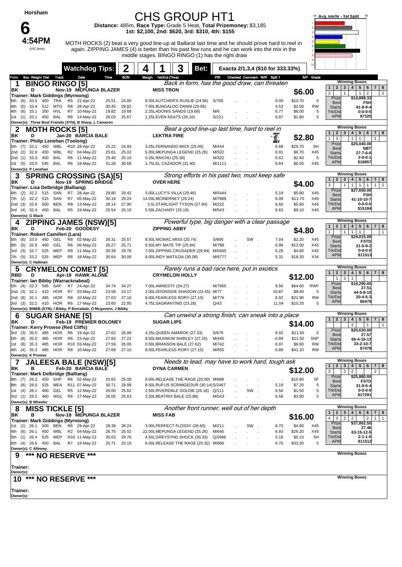**Horsham**

## **6**<br>4:54PM (VIC time)

#### CHS GROUP HT1

**Distance:** 485m, **Race Type:** Grade 5 Heat, **Total Prizemoney:** \$3,185 **1st: \$2,100, 2nd: \$620, 3rd: \$310, 4th: \$155**

MOTH ROCKS (2) beat a very good line-up at Ballarat last time and he should prove hard to reel in again. ZIPPING JAMES (4) is better than his past few runs and he can work into the mix in the middle stages. BINGO RINGO (1) has the right draw



|                                           |            |              |            |                                         |                      | <b>Watchdog Tips:</b>                                                                                |                |                |                       | 3                                                                  | Bet: |                  |                                 |     | Exacta 2/1,3,4 (\$10 for 333.33%) |                   | 10 <sup>10</sup>       |                                                                  |                                                                                                                     |
|-------------------------------------------|------------|--------------|------------|-----------------------------------------|----------------------|------------------------------------------------------------------------------------------------------|----------------|----------------|-----------------------|--------------------------------------------------------------------|------|------------------|---------------------------------|-----|-----------------------------------|-------------------|------------------------|------------------------------------------------------------------|---------------------------------------------------------------------------------------------------------------------|
| Form                                      |            |              |            | <b>Box Weight Dist Track</b>            |                      | Date                                                                                                 | Time           | <b>BON</b>     | Margin 1st/2nd (Time) |                                                                    |      |                  | PIR Checked Comment W/R Split 1 |     |                                   |                   | S/P Grade              |                                                                  | <b>Winning Boxes</b>                                                                                                |
| ΒK                                        |            | D            |            | <b>BINGO RINGO [5]</b>                  |                      | Nov-19 MEPUNGA BLAZER                                                                                |                |                | <b>MISS TRON</b>      | Back in form, has the good draw, can threaten                      |      |                  |                                 |     |                                   |                   |                        | $\overline{2}$<br>3<br>$\mathbf{1}$                              | 5 <sup>5</sup><br>$\overline{\mathbf{4}}$<br>6<br>$\overline{7}$<br>8                                               |
|                                           |            |              |            |                                         |                      | <b>Trainer: Mark Giddings (Myrniong)</b>                                                             |                |                |                       |                                                                    |      |                  |                                 |     |                                   | \$6.00            |                        | $\overline{2}$<br>$\mathbf{1}$<br>Prize                          | $\overline{2}$<br>$\overline{2}$<br>1<br>\$14,898.33                                                                |
| 5th.                                      | (6)        | 33.0         |            | 450 TRA                                 |                      | R5 22-Apr-22<br>28-Apr-22                                                                            | 25.51          | 24.80          |                       | 8.50LKUTCHER'S RUSLIE (24.96)                                      |      | S/765            |                                 |     | 0.00                              | \$10.70           | 5                      | <b>Best</b>                                                      | <b>FSH</b>                                                                                                          |
| 4th.<br>4th                               | (5)<br>(6) | 33.4<br>33.1 | 512<br>350 | MTG<br>HVL                              | R8<br>R7             | 10-May-22                                                                                            | 30.45<br>19.82 | 29.82<br>19.68 |                       | 7.00LBUNGALOO DANNI (29.95)<br>2.25LADONIS SANDS (19.68)           |      | M/6              |                                 |     | 4.53<br>6.77                      | \$2.00<br>\$6.00  | <b>RW</b><br>5         | <b>Starts</b><br>Trk/Dst                                         | 41-8-9-4<br>$0 - 0 - 0 - 0$                                                                                         |
|                                           |            |              |            | 1st (1) 33.1 450 BAL                    |                      | R8 14-May-22                                                                                         | 26.03          | 25.67          |                       | 1.25LEVEN KEATS (26.10)                                            |      | S/221            |                                 |     | 6.87                              | \$1.80            | 5                      | <b>APM</b>                                                       | \$7325                                                                                                              |
|                                           |            |              |            | <b>ROCKS [5]</b>                        |                      | Owner(s): Three Best Friends (SYN), B Sharp, L Cameron                                               |                |                |                       | Beat a good line-up last time, hard to reel in                     |      |                  |                                 |     |                                   |                   |                        |                                                                  | <b>Winning Boxes</b>                                                                                                |
| 2<br>ΒK                                   |            | MO I<br>D    | н          |                                         |                      | Jan-20 BARCIA BALE                                                                                   |                |                | <b>LEKTRA FIRE</b>    |                                                                    |      |                  |                                 |     |                                   |                   |                        | 1<br>$\overline{2}$<br>3 <sup>1</sup>                            | 5 <sup>1</sup><br>4 <br>6<br>7 <br>8                                                                                |
|                                           |            |              |            |                                         |                      | Trainer: Philip Lenehan (Toolong)                                                                    |                |                |                       |                                                                    |      |                  |                                 |     | இ                                 | \$2.80            |                        | $\mathbf{1}$<br>3<br>Prize                                       | $\mathbf{1}$<br>$\mathbf{1}$<br>$\mathbf{1}$<br>\$25,040.00                                                         |
| 5th (7)<br>2nd (2)                        |            | 33.1<br>32.8 | 450<br>450 | WBL<br>WBL                              |                      | R10 28-Apr-22<br>R2 04-May-22                                                                        | 25.22<br>25.61 | 24.93<br>25.02 |                       | 3.25LFERNANDO MICK (25.00)<br>5.00LMEPUNGA LEGEND (25.26)          |      | M/444<br>M/522   |                                 |     | 6.68<br>6.91                      | \$29.70<br>\$6.70 | <b>SH</b><br>X45       | <b>Best</b><br><b>Starts</b>                                     | <b>NBT</b><br>27-7-6-6                                                                                              |
| 2nd (1)                                   |            | 33.3         | 450        | BAL                                     | R <sub>6</sub>       | 11-Mav-22                                                                                            | 25.40          | 25.10          | 0.25LRAICHU (25.38)   |                                                                    |      | M/322            |                                 |     | 6.62                              | \$2.40            | 5                      | Trk/Dst                                                          | $2 - 0 - 0 - 1$                                                                                                     |
| 1st (5) 33.0 545                          |            |              |            | BAL                                     | R6                   | 19-May-22                                                                                            | 31.28          | 30.69          |                       | 1.75LEL CAZADOR (31.40)                                            |      | M/1111           |                                 |     | 6.64                              | \$6.50            | X45                    | <b>APM</b>                                                       | \$16857                                                                                                             |
| Owner(s): P Lenehan<br>3                  |            |              |            |                                         |                      | <b>SPRING CROSSING (SA)[5]</b>                                                                       |                |                |                       | Strong efforts in his past two, must keep safe                     |      |                  |                                 |     |                                   |                   |                        |                                                                  | <b>Winning Boxes</b>                                                                                                |
| ΒK                                        |            | D            |            |                                         |                      | <b>Nov-19 SPRING BRIDGE</b>                                                                          |                |                | <b>OVER HERE</b>      |                                                                    |      |                  |                                 |     |                                   | \$4.00            |                        | 1<br>$2 \mid 3 \mid$                                             | 5 <sub>1</sub><br>$6\phantom{.}6$<br>4 <br>7 <sup>1</sup><br>8                                                      |
|                                           |            |              |            | Trainer: Lisa Delbridge (Balliang)      |                      |                                                                                                      |                |                |                       |                                                                    |      |                  |                                 |     |                                   |                   |                        | 3<br>$\mathbf{1}$<br>Prize                                       | $\mathbf{1}$<br>$\overline{2}$<br>1<br>$\mathbf{1}$<br>$\mathbf{1}$<br>\$27,650.00                                  |
| 4th (2)<br>7th                            | (2)        | 32.2<br>32.2 | 515<br>515 | SAN<br>SAN                              | R7<br>R7             | 28-Apr-22<br>05-May-22                                                                               | 29.80<br>30.18 | 29.42<br>29.24 |                       | 5.00LLUCY'S VILLA (29.46)<br>14.00LMCINERNEY (29.24)               |      | M/5444<br>M/7888 |                                 |     | 5.19<br>6.09                      | \$5.80<br>\$11.70 | X45<br>X45             | <b>Best</b><br><b>Starts</b>                                     | <b>FSH</b><br>41-10-10-7                                                                                            |
| 2nd (3)                                   |            | 32.6         | 500        | <b>BEN</b>                              | R8                   | 13-May-22                                                                                            | 28.14          | 27.90          |                       | 3.5LSTARLIGHT TYSON (27.90)                                        |      | M/222            |                                 |     | 6.60                              | \$5.90            | X45                    | Trk/Dst                                                          | $0 - 0 - 0 - 0$                                                                                                     |
| 3rd (4) 32.4 450 BAL<br>Owner(s): G Black |            |              |            |                                         | R <sub>5</sub>       | 19-May-22                                                                                            | 25.54          | 25.19          |                       | 5.50LZACHARY (25.19)                                               |      | M/543            |                                 |     | 6.63                              | \$9.10            | X45                    | <b>APM</b>                                                       | \$15184                                                                                                             |
| 4                                         |            |              |            |                                         |                      | <b>ZIPPING JAMES (NSW)[5]</b>                                                                        |                |                |                       | Powerful type, big danger with a clear passage                     |      |                  |                                 |     |                                   |                   |                        |                                                                  | <b>Winning Boxes</b>                                                                                                |
| ΒK                                        |            | D            |            |                                         |                      | Feb-20 GOODESY                                                                                       |                |                | <b>ZIPPING ABBY</b>   |                                                                    |      |                  |                                 |     |                                   | \$4.80            |                        | 1<br>$\overline{2}$<br>3 <sup>1</sup><br>$\mathbf{1}$            | 4 <br>5 6 <br>7 <sup>1</sup><br>8                                                                                   |
|                                           |            | 33.0         |            | Trainer: Robert Camilleri (Lara)<br>GEL |                      |                                                                                                      |                |                |                       |                                                                    |      |                  |                                 | SW. | 7.04                              | \$2.20            | X45                    | 1<br>Prize                                                       | $\mathbf{1}$<br>$\mathbf{1}$<br>1<br>\$24,015.00                                                                    |
| 5th<br>8th (5)                            | (6)        | 32.8         | 460<br>460 | GEL                                     | R8<br>R <sub>6</sub> | 02-May-22<br>06-May-22                                                                               | 26.31<br>26.27 | 25.57<br>25.71 |                       | 8.50LNICMAC MISS (25.74)<br>6.50LMY MATE TIP (25.84)               |      | S/666<br>M/788   |                                 |     | 6.96                              | \$13.50           | X45                    | <b>Best</b><br><b>Starts</b>                                     | <b>FSTD</b><br>$21 - 5 - 9 - 2$                                                                                     |
| 3rd                                       | (3)        | 32.7         | 525        | MEP                                     | R8                   | 11-May-22                                                                                            | 30.39          | 29.76          |                       | 7.00LZIPPING CRUSADER (29.94)                                      |      | M/5665           |                                 |     | 5.26                              | \$4.80            | X45                    | Trk/Dst                                                          | $0 - 0 - 0 - 0$                                                                                                     |
| 7th (5) 33.2 525<br>Owner(s): C Hallinan  |            |              |            | MEP                                     | R <sub>8</sub>       | 18-May-22                                                                                            | 30.64          | 30.06          |                       | 8.00LINDY MATILDA (30.08)                                          |      | M/6777           |                                 |     | 5.31                              | \$18.20           | X34                    | <b>APM</b>                                                       | \$11513                                                                                                             |
| 5                                         |            |              |            |                                         |                      | <b>CRYMELON COMET [5]</b>                                                                            |                |                |                       | Rarely runs a bad race here, put in exotics                        |      |                  |                                 |     |                                   |                   |                        |                                                                  | <b>Winning Boxes</b>                                                                                                |
| <b>RBD</b>                                |            | D            |            |                                         |                      | Apr-19 HAWK ALONE                                                                                    |                |                |                       | <b>CRYMELON HOLLY</b>                                              |      |                  |                                 |     |                                   | \$12.00           |                        | 1<br>2 <br>$\mathbf{1}$<br>3                                     | 4   5   6   7   8<br>3 <br>$\mathbf{1}$                                                                             |
| 5th (4)                                   |            | 32.3         |            | 595 SAP                                 |                      | Trainer: Ian Bibby (Warracknabeal)<br>R7 24-Apr-22                                                   | 34.74          | 34.27          |                       | 7.00LAMNESTY (34.27)                                               |      | M/7665           |                                 |     | 9.56                              | \$64.60           | <b>RWF</b>             | Prize                                                            | \$18,290.00                                                                                                         |
| 2nd (3)                                   |            | 32.1         | 410        | HOR                                     | R7                   | 03-May-22                                                                                            | 23.58          | 23.17          |                       | 2.00LDOONSIDE SHADOW (23.45) M/77                                  |      |                  |                                 |     | 10.87                             | \$8.40            | 5                      | <b>Best</b><br><b>Starts</b>                                     | 27.51<br>44-5-8-10                                                                                                  |
| 2nd (8)                                   |            | 32.1         | 485        | HOR                                     | R8                   | 10-May-22                                                                                            | 27.63          | 27.10          |                       | 8.00LFEARLESS RORY (27.10)                                         |      | M/776            |                                 |     | 6.92                              | \$21.90           | <b>RW</b>              | Trk/Dst<br><b>APM</b>                                            | $20 - 4 - 5 - 3$<br>\$6478                                                                                          |
|                                           |            |              |            |                                         |                      | 3rd (3) 32.2 410 HOR R6 17-May-22<br>Owner(s): BMBB (SYN), I Bibby, P Borradale, O Mcgovern, J Bibby | 23.60          | 22.95          |                       | 4.75LSAGRANTINO (23.28)                                            |      | Q/43             |                                 |     | 11.04                             | \$10.20           | 5                      |                                                                  |                                                                                                                     |
| 6                                         |            |              |            |                                         |                      | <b>SUGAR SHANE [5]</b>                                                                               |                |                |                       | Can unwind a strong finish, can sneak into a place                 |      |                  |                                 |     |                                   |                   |                        |                                                                  | <b>Winning Boxes</b>                                                                                                |
| ΒK                                        |            | D            |            |                                         |                      | Feb-19 PREMIER BOLONEY                                                                               |                |                | <b>SUGAR LIPS</b>     |                                                                    |      |                  |                                 |     |                                   | \$14.00           |                        | 1<br>2 <sub>1</sub><br>3 <sup>1</sup>                            | $4 \mid 5 \mid$<br>6 <sup>1</sup><br>7 <sup>1</sup><br>8<br>$\overline{\mathbf{c}}$<br>$\mathbf{1}$<br>$\mathbf{1}$ |
| 3rd                                       | (3)        | 35.0         | 485        | HOR                                     | R6                   | Trainer: Kerry Prowse (Red Cliffs)<br>19-Apr-22                                                      | 27.62          | 26.99          |                       | 4.25LQUEEN AMAROK (27.33)                                          |      | S/676            |                                 |     | 6.92                              | \$11.50           | 5                      | Prize                                                            | \$20,630.00                                                                                                         |
| 5th                                       | (8)        | 35.0         | 485        | HOR                                     | R <sub>6</sub>       | 23-Apr-22                                                                                            | 27.83          | 27.22          |                       | 8.50LMAXIMUM SHIRLEY (27.25)                                       |      | M/445            |                                 |     | 6.89                              | \$11.50           | 5NP                    | <b>Best</b><br><b>Starts</b>                                     | 27.57<br>66-4-16-13                                                                                                 |
| 1st                                       | (8)        | 35.3         | 485<br>485 | <b>HOR</b><br>HOR                       |                      | R10 03-May-22<br>R8 10-May-22                                                                        | 27.59          | 26.95<br>27.10 |                       | 0.50LBRANSON BALE (27.62)                                          |      | M/742            |                                 |     | 6.97<br>6.89                      | \$6.60<br>\$41.10 | <b>RW</b><br><b>RW</b> | Trk/Dst<br><b>APM</b>                                            | 33-2-10-7<br>\$7478                                                                                                 |
| 4th (4) 35.3<br>Owner(s): K Prowse        |            |              |            |                                         |                      |                                                                                                      | 27.69          |                |                       | 8.50LFEARLESS RORY (27.10)                                         |      | M/655            |                                 |     |                                   |                   |                        |                                                                  |                                                                                                                     |
| 7                                         |            |              |            |                                         |                      | <b>JALEESA BALE (NSW)[5]</b>                                                                         |                |                |                       | Needs to lead, may have to work hard, tough ask                    |      |                  |                                 |     |                                   |                   |                        | $\boxed{1}$                                                      | <b>Winning Boxes</b>                                                                                                |
| ΒK                                        |            | в            |            |                                         |                      | Feb-20 BARCIA BALE                                                                                   |                |                |                       | <b>DYNA CARMEN</b>                                                 |      |                  |                                 |     |                                   | \$12.00           |                        | 3<br>$\overline{2}$                                              | 2 3 4 5 6 7 8<br>$\overline{2}$<br>$\overline{2}$                                                                   |
| 8th (7)                                   |            | 28.2 450     |            | SHP                                     |                      | Trainer: Mark Delbridge (Balliang)<br>R6 02-May-22                                                   | 25.62          | 25.00          |                       | 9.00LRELEASE THE RAGE (25.00) M/888                                |      |                  |                                 |     |                                   | \$10.60           | 5F                     | Prize                                                            | \$25,880.00<br><b>FSTD</b>                                                                                          |
| 8th (8)                                   |            | 28.0         | 525        | MEA                                     |                      | R11 07-May-22                                                                                        | 30.71          | 29.99          |                       | 8.50LRUFUS SCRIMGEOUR (30.14) S/2467                               |      |                  |                                 |     | 5.19                              | \$7.20            | 5                      | <b>Best</b><br><b>Starts</b>                                     | $31 - 9 - 5 - 4$                                                                                                    |
| 1st (4) 28.1<br>3rd (1) 28.2 460          |            |              | 460        | GEL                                     |                      | R5 12-May-22<br>WGL R6 17-May-22                                                                     | 26.00<br>26.05 | 25.62<br>25.63 |                       | 2.50LRIVERDALE GOLDIE (26.16) Q/111<br>2.50LBEATRIX BALE (25.88)   |      | M/543            |                                 | SW  | 6.56<br>6.58                      | \$1.50<br>\$3.90  | 5<br>5                 | Trk/Dst<br><b>APM</b>                                            | $0 - 0 - 0 - 0$<br>\$17291                                                                                          |
| Owner(s): B Wheeler                       |            |              |            |                                         |                      |                                                                                                      |                |                |                       |                                                                    |      |                  |                                 |     |                                   |                   |                        |                                                                  |                                                                                                                     |
| 8                                         |            |              |            | <b>MISS TICKLE [5]</b>                  |                      |                                                                                                      |                |                |                       | Another front runner, well out of her depth                        |      |                  |                                 |     |                                   |                   |                        |                                                                  | <b>Winning Boxes</b>                                                                                                |
| ΒK                                        |            | в            |            |                                         |                      | Nov-18 MEPUNGA BLAZER                                                                                |                |                | <b>MISS FAB</b>       |                                                                    |      |                  |                                 |     |                                   | \$16.00           |                        | 3 <br>$\mathbf{1}$<br>2 <sup>1</sup><br>4<br>3<br>$\overline{2}$ | 4   5  <br>6<br>7 <sub>1</sub><br>8<br>$\overline{2}$<br>$\overline{2}$<br>$\mathbf{1}$<br>$\mathbf{1}$             |
| 1st (1) 26.1 500                          |            |              |            | BEN                                     |                      | Trainer: Mark Giddings (Myrniong)<br>R6 29-Apr-22                                                    | 28.39          | 28.24          |                       | 3.00LPERFECT FLOSSY (28.60)                                        |      | M/211            |                                 | SW  | 6.70                              | \$4.90            | X45                    | Prize<br><b>Best</b>                                             | \$37,802.50<br>27.46                                                                                                |
| 4th (6)                                   |            | 26.1         | 450        | WBL                                     |                      | R2 04-May-22                                                                                         | 26.75          | 25.02          |                       | 22.00LMEPUNGA LEGEND (25.26)                                       |      | M/645            |                                 |     | 6.93                              | \$26.20           | X45                    | <b>Starts</b>                                                    | 63-15-12-5                                                                                                          |
| 5th (1) 26.4<br>6th (4) 26.5 450          |            |              | 525        | MEP<br>BAL                              |                      | R10 11-May-22<br>R7 19-May-22                                                                        | 30.63<br>25.71 | 29.76<br>25.19 |                       | 4.50LGREYSYND SHOCK (30.33)<br>6.00LRELEASE THE RAGE (25.32) M/666 |      | Q/2666           |                                 |     | 5.16<br>6.70                      | \$5.10<br>\$33.20 | 5H<br>5                | Trk/Dst<br><b>APM</b>                                            | 2-1-1-0<br>\$11512                                                                                                  |
| Owner(s): C Alleway                       |            |              |            |                                         |                      |                                                                                                      |                |                |                       |                                                                    |      |                  |                                 |     |                                   |                   |                        |                                                                  |                                                                                                                     |
| 9                                         |            | ***          |            |                                         |                      | <b>NO RESERVE ***</b>                                                                                |                |                |                       |                                                                    |      |                  |                                 |     |                                   |                   |                        |                                                                  | <b>Winning Boxes</b>                                                                                                |
| Trainer:                                  |            |              |            |                                         |                      |                                                                                                      |                |                |                       |                                                                    |      |                  |                                 |     |                                   |                   |                        |                                                                  |                                                                                                                     |
| Owner(s):                                 |            |              |            |                                         |                      |                                                                                                      |                |                |                       |                                                                    |      |                  |                                 |     |                                   |                   |                        |                                                                  |                                                                                                                     |
|                                           |            |              |            |                                         |                      | 10 *** NO RESERVE ***                                                                                |                |                |                       |                                                                    |      |                  |                                 |     |                                   |                   |                        |                                                                  | <b>Winning Boxes</b>                                                                                                |
| Trainer:                                  |            |              |            |                                         |                      |                                                                                                      |                |                |                       |                                                                    |      |                  |                                 |     |                                   |                   |                        |                                                                  |                                                                                                                     |
| Owner(s):                                 |            |              |            |                                         |                      |                                                                                                      |                |                |                       |                                                                    |      |                  |                                 |     |                                   |                   |                        |                                                                  |                                                                                                                     |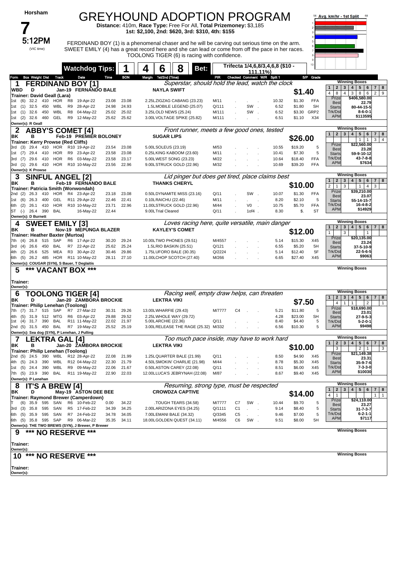| Horsham                                                                 |                                                                     |                                  | <b>GREYHOUND ADOPTION PROGRAM</b>                                                                                                                |                                          |                                              |                |                                       | 58 Avg. km/hr - 1st Split                                                                                                                                                     |
|-------------------------------------------------------------------------|---------------------------------------------------------------------|----------------------------------|--------------------------------------------------------------------------------------------------------------------------------------------------|------------------------------------------|----------------------------------------------|----------------|---------------------------------------|-------------------------------------------------------------------------------------------------------------------------------------------------------------------------------|
|                                                                         |                                                                     |                                  | Distance: 410m, Race Type: Free For All, Total Prizemoney: \$3,185<br>1st: \$2,100, 2nd: \$620, 3rd: \$310, 4th: \$155                           |                                          |                                              |                |                                       |                                                                                                                                                                               |
| 5:12PM                                                                  |                                                                     |                                  | FERDINAND BOY (1) is a phenomenal chaser and he will be carving out serious time on the arm.                                                     |                                          |                                              |                |                                       |                                                                                                                                                                               |
| (VIC time)                                                              |                                                                     |                                  | SWEET EMILY (4) has a great record here and she can lead or come from off the pace in her races.<br>TOOLONG TIGER (6) is racing with confidence. |                                          |                                              |                |                                       |                                                                                                                                                                               |
|                                                                         | <b>Watchdog Tips:</b>                                               |                                  | 6<br>8<br>Bet:<br>4                                                                                                                              |                                          | Trifecta 1/4,6,8/3,4,6,8 (\$10 -<br>111.11%) |                |                                       |                                                                                                                                                                               |
| <b>Box Weight Dist Track</b><br>Form<br>1                               | Date<br><b>FERDINAND BOY [1]</b>                                    | <b>BON</b><br>Time               | Margin 1st/2nd (Time)<br>Superstar, should hold the lead, watch the clock                                                                        | PIR                                      | Checked Comment W/R Split 1                  |                | S/P Grade                             | <b>Winning Boxes</b>                                                                                                                                                          |
| <b>WBD</b><br>D                                                         | Jan-19 FERNANDO BALE                                                |                                  | <b>NAYLA SWIFT</b>                                                                                                                               |                                          |                                              |                | \$1.40                                | $5\phantom{.0}$<br>$\mathbf{1}$<br>$\mathbf{2}$<br>3<br>$\overline{\mathbf{4}}$<br>6<br>$\overline{7}$<br>8<br>8<br>$\overline{4}$<br>3<br>8<br>6<br>$\overline{2}$<br>9<br>4 |
| Trainer: David Geall (Lara)<br>32.2<br>410<br>1st<br>(6)                | HOR<br>R8<br>19-Apr-22                                              | 23.08<br>23.08                   | 2.25LZIGZAG CABANG (23.23)                                                                                                                       | M/11                                     |                                              | 10.32          | \$1.30<br><b>FFA</b>                  | \$406,580.00<br>Prize<br><b>Best</b><br>22.79                                                                                                                                 |
| 32.5<br>450<br>1st (1)<br>32.6<br>450<br>1st (1)                        | 28-Apr-22<br>WBL<br>R9<br><b>WBL</b><br>R <sub>8</sub><br>04-May-22 | 24.98<br>24.93<br>25.02<br>25.02 | 1.5LMOBILE LEGEND (25.07)<br>3.25LOLD NEWS (25.24)                                                                                               | Q/111<br>M/111                           | SW.<br>SW                                    | 6.52<br>6.52   | \$1.80<br><b>SH</b><br>GRP2<br>\$3.30 | <b>Starts</b><br>80-44-15-5<br>Trk/Dst<br>$8 - 6 - 0 - 1$                                                                                                                     |
| 1st (2) 32.6 460                                                        | GEL<br>R9 12-May-22                                                 | 25.62<br>25.62                   | 3.00LVOLTAGE SPIKE (25.82)                                                                                                                       | M/111                                    |                                              | 6.51           | \$1.10<br>X34                         | <b>APM</b><br>\$113595                                                                                                                                                        |
| Owner(s): R Geall<br>2                                                  | <b>ABBY'S COMET [4]</b>                                             |                                  | Front runner, meets a few good ones, tested                                                                                                      |                                          |                                              |                |                                       | <b>Winning Boxes</b><br>$\overline{2}$<br>3<br>$\overline{4}$<br>5<br>6<br>$\overline{7}$<br>8                                                                                |
| в<br>ΒK<br>Trainer: Kerry Prowse (Red Cliffs)                           | Feb-19 PREMIER BOLONEY                                              |                                  | <b>SUGAR LIPS</b>                                                                                                                                |                                          |                                              |                | \$26.00                               | 3<br>4<br>$\mathbf{1}$<br>$\overline{1}$<br>\$22,560.00                                                                                                                       |
| 3rd (3)<br>29.4<br>410<br>29.4<br>410<br>1st (7)                        | HOR<br>R10 19-Apr-22<br>HOR<br>R9 23-Apr-22                         | 23.08<br>23.54<br>23.58<br>23.08 | 5.00LSOLEUS (23.19)<br>0.25LKING KABOOM (23.60)                                                                                                  | M/53<br>M/11                             |                                              | 10.55<br>10.41 | \$19.20<br>5<br>\$7.30<br>5           | Prize<br><b>Best</b><br>23.28                                                                                                                                                 |
| 3rd (7) 29.6 410                                                        | HOR<br>R6 03-May-22                                                 | 23.58<br>23.17                   | 5.00LWEST SONG (23.23)                                                                                                                           | M/22                                     |                                              | 10.64          | <b>FFA</b><br>\$18.40                 | <b>Starts</b><br>59-9-10-12<br>Trk/Dst<br>43-7-8-8                                                                                                                            |
| 3rd (1) 29.6 410<br>Owner(s): K Prowse                                  | HOR R10 10-May-22                                                   | 23.56<br>22.96                   | 9.00LSTRUCK GOLD (22.96)                                                                                                                         | M/32                                     |                                              | 10.69          | <b>FFA</b><br>\$39.20                 | <b>APM</b><br>\$7634                                                                                                                                                          |
| 3                                                                       | <b>SINFUL ANGEL [2]</b>                                             |                                  | Lid pinger but does get tired, place claims best                                                                                                 |                                          |                                              |                |                                       | <b>Winning Boxes</b><br>$\mathbf{1}$<br>$\overline{2}$<br>3<br>$\overline{4}$<br>5<br>6<br>$\overline{7}$<br>8                                                                |
| ΒK<br>в<br>Trainer: Patricia Smith (Wonwondah)                          | Feb-19 FERNANDO BALE                                                |                                  | <b>THANKS CHERYL</b>                                                                                                                             |                                          |                                              |                | \$10.00                               | $\overline{2}$<br>$\mathbf{1}$<br>3<br>$\mathbf{1}$<br>4<br>3                                                                                                                 |
| 2nd (2)<br>26.3<br>410                                                  | HOR<br>R4 23-Apr-22                                                 | 23.18<br>23.08<br>22.46<br>22.41 | 0.50LDYNAMITE MISS (23.16)                                                                                                                       | Q/11<br>M/11                             | SW.                                          | 10.07<br>8.20  | \$1.30<br><b>FFA</b><br>\$2.10<br>5   | \$39,210.00<br>Prize<br><b>Best</b><br>23.07                                                                                                                                  |
| 26.3 400<br>1st (6)<br>26.1 410<br>6th (2)                              | GEL<br>R11 29-Apr-22<br><b>HOR</b><br>R10 10-May-22                 | 23.71<br>22.96                   | 0.10LRAICHU (22.46)<br>11.00LSTRUCK GOLD (22.96)                                                                                                 | M/44                                     | V0                                           | 10.75          | \$5.70<br><b>FFA</b>                  | <b>Starts</b><br>55-14-15-7<br>Trk/Dst<br>16-4-8-2                                                                                                                            |
| ST (-) 26.4 390<br>Owner(s): D Burnett                                  | BAL<br>16-May-22                                                    | 22.44                            | 9.00LTrial Cleared                                                                                                                               | Q/11                                     | $10f4$ .                                     | 8.30           | <b>ST</b><br>\$.                      | \$14929<br><b>APM</b>                                                                                                                                                         |
| 4                                                                       | <b>SWEET EMILY [3]</b>                                              |                                  | Loves racing here, quite versatile, main danger                                                                                                  |                                          |                                              |                |                                       | <b>Winning Boxes</b><br>4 <br>$\mathbf{2}$<br>3<br>$5 \mid 6$<br>  7  <br>8<br>$\mathbf{1}$                                                                                   |
| ΒK<br>в<br>Trainer: Heather Baxter (Murtoa)                             | Nov-19 MEPUNGA BLAZER                                               |                                  | <b>KAYLEY'S COMET</b>                                                                                                                            |                                          |                                              |                | \$12.00                               | $\mathbf{1}$<br>3<br>$\mathbf{1}$                                                                                                                                             |
| 26.8<br>515<br>SAP<br>7th<br>(4)                                        | R6 17-Apr-22                                                        | 30.20<br>29.24<br>25.24          | 10.00LTWO PHONES (29.51)                                                                                                                         | M/4557                                   |                                              | 5.14           | \$15.30<br>X45                        | \$20,135.00<br>Prize<br><b>Best</b><br>23.24                                                                                                                                  |
| 26.6<br>450<br>3rd (4)<br>26.6<br>525<br>4th (2)                        | BAL<br>R7<br>22-Apr-22<br>R <sub>3</sub><br>MEA<br>30-Apr-22        | 25.62<br>29.86<br>30.46          | 1.5LRIO BASKIN (25.51)<br>1.75LUFORO BALE (30.35)                                                                                                | Q/121<br>Q/2224                          |                                              | 6.55<br>5.14   | \$5.20<br>5H<br>5F<br>\$12.40         | <b>Starts</b><br>37-5-10-9<br>Trk/Dst<br>$22 - 5 - 6 - 5$                                                                                                                     |
| 6th (5) 26.2 485<br>Owner(s): COUGAR (SYN), S Bauer, T Deglaitis        | HOR<br>R11 10-May-22                                                | 28.11<br>27.10                   | 11.00LCHOP SCOTCH (27.40)                                                                                                                        | M/266                                    |                                              | 6.65           | \$27.40<br>X45                        | <b>APM</b><br>\$9063                                                                                                                                                          |
| ***<br>5                                                                | <b>VACANT BOX ***</b>                                               |                                  |                                                                                                                                                  |                                          |                                              |                |                                       | <b>Winning Boxes</b>                                                                                                                                                          |
| Trainer:<br>Owner(s):                                                   |                                                                     |                                  |                                                                                                                                                  |                                          |                                              |                |                                       |                                                                                                                                                                               |
| 6                                                                       | <b>TOOLONG TIGER [4]</b>                                            |                                  | Racing well, empty draw helps, can threaten                                                                                                      |                                          |                                              |                |                                       | <b>Winning Boxes</b><br>3 4 <br>5 <sub>5</sub>                                                                                                                                |
| ΒK<br>D<br>Trainer: Philip Lenehan (Toolong)                            | Jan-20 ZAMBORA BROCKIE                                              |                                  | <b>LEKTRA VIKI</b>                                                                                                                               |                                          |                                              |                | \$7.50                                | $\mathbf{2}$<br>6<br>$\overline{7}$<br>8<br>$\mathbf{1}$<br>1 <sub>1</sub><br>4                                                                                               |
| 7th (7) 31.7 515 SAP                                                    | R7 27-Mar-22                                                        | 29.26<br>30.31                   | 13.00LWHARFIE (29.43)                                                                                                                            | M/7777<br>C4                             |                                              | 5.21           | 5<br>\$11.80                          | Prize<br>\$18,690.00<br><b>Best</b><br>23.01                                                                                                                                  |
| 4th (5)<br>31.9 512 MTG<br>1st (4) 31.7 390 BAL                         | R6 03-Apr-22<br>R11 11-May-22                                       | 29.88<br>29.52<br>22.02<br>21.97 | 2.25LWHOLE WAY (29.72)<br>5.00LARCHIE (22.36)                                                                                                    | Q/11                                     |                                              | 4.28<br>8.40   | \$23.00<br>SH<br>\$4.40<br>5          | <b>Starts</b><br>27-9-5-3<br>Trk/Dst<br>5-2-0-1                                                                                                                               |
| 2nd (5) 31.5 450 BAL<br>Owner(s): Sea dog (SYN), P Lenehan, J Pulling   | R7 19-May-22                                                        | 25.52<br>25.19                   | 3.00LRELEASE THE RAGE (25.32) M/332                                                                                                              |                                          |                                              | 6.56           | \$10.30<br>5                          | \$9498<br><b>APM</b>                                                                                                                                                          |
| 7                                                                       | LEKTRA GAL [4]                                                      |                                  | Too much pace inside, may have to work hard                                                                                                      |                                          |                                              |                |                                       | <b>Winning Boxes</b><br>$\mathbf{2}$<br>3<br>$\overline{\mathbf{4}}$<br>5<br>6<br>8<br>1<br>$\overline{7}$                                                                    |
|                                                                         |                                                                     |                                  |                                                                                                                                                  |                                          |                                              |                | \$10.00                               | 3<br>$\overline{2}$<br>3<br>$\overline{1}$                                                                                                                                    |
| ΒK<br>в                                                                 | Jan-20 ZAMBORA BROCKIE                                              |                                  | <b>LEKTRA VIKI</b>                                                                                                                               |                                          |                                              |                |                                       |                                                                                                                                                                               |
| Trainer: Philip Lenehan (Toolong)<br>2nd (5) 24.5 390 WBL R12 28-Apr-22 |                                                                     | 22.08<br>21.99                   | 1.25LQUARTER BALE (21.99)                                                                                                                        | Q/11                                     |                                              | 8.50           | \$4.90<br>X45                         | \$21,149.38<br>Prize<br>Best<br>23.31                                                                                                                                         |
| 4th (5) 24.3 390<br>1st (5) 24.4<br>390                                 | WBL<br>R12 04-May-22<br>WBL<br>R9 09-May-22                         | 22.30<br>21.79<br>22.06<br>21.67 | 4.50LSMOKIN' CHARLIE (21.98)<br>0.50LASTON CAREY (22.08)                                                                                         | M/44<br>Q/11                             |                                              | 8.78<br>8.51   | \$5.30<br>X45<br>X45<br>\$6.00        | 35-9-7-6<br><b>Starts</b><br>Trk/Dst<br>7-3-3-0                                                                                                                               |
| 7th (5) 23.9 390                                                        | BAL<br>R11 19-May-22                                                | 22.90<br>22.03                   | 12.00LLUCA'S JEBRYNAH (22.08)                                                                                                                    | M/87                                     |                                              | 8.67           | \$9.40<br>X45                         | <b>APM</b><br>\$10030                                                                                                                                                         |
| Owner(s): P Lenehan<br>8<br>IT'S                                        | A BREW [4]                                                          |                                  | Resuming, strong type, must be respected                                                                                                         |                                          |                                              |                |                                       | <b>Winning Boxes</b>                                                                                                                                                          |
| ΒK<br>D                                                                 | May-19 ASTON DEE BEE                                                |                                  | <b>CROWDZA CAPTIVE</b>                                                                                                                           |                                          |                                              |                | \$14.00                               | $\mathbf{2}$<br>3<br>4<br>5<br>6<br>$\overline{7}$<br>8<br>1<br>$\overline{4}$<br>$\mathbf{1}$<br>$\mathbf{1}$<br>$\mathbf{1}$                                                |
| 35.9<br>595                                                             | Trainer: Raymond Brewer (Camperdown)<br>10-Feb-22<br>SAN<br>R6      | 34.22<br>0.00                    | TOUGH TEARS (34.58)                                                                                                                              | M/7777<br>C7                             | SW.                                          | 10.44          | \$9.70<br>5                           | \$24,110.00<br>Prize<br>23.27<br>Best                                                                                                                                         |
| 3rd (3)<br>35.8<br>595<br>6th (5)<br>35.9<br>595                        | SAN<br>R5 17-Feb-22<br>R7 24-Feb-22<br>SAN                          | 34.39<br>34.25<br>34.78<br>34.05 | 2.00LARIZONA EYES (34.25)<br>7.00LEMANI BALE (34.32)                                                                                             | Q/1111<br>C <sub>1</sub><br>Q/3345<br>C5 | $\mathbf{r}$                                 | 9.14<br>9.46   | \$8.40<br>5<br>\$7.00<br>5            | $31 - 7 - 3 - 7$<br><b>Starts</b><br>Trk/Dst<br>$6 - 2 - 1 - 1$                                                                                                               |
| 6th (5) 35.8 595                                                        | SAP<br>R9 06-Mar-22                                                 | 35.35<br>34.11                   | 18.00LGOLDEN QUEST (34.11)                                                                                                                       | M/4556                                   | C6<br>SW.                                    | 9.51           | \$8.00<br>5H                          | <b>APM</b><br>\$7117                                                                                                                                                          |
| 9                                                                       | Owner(s): THE TWO BREWS (SYN), J Brewer, P Brewer<br>***            |                                  |                                                                                                                                                  |                                          |                                              |                |                                       | <b>Winning Boxes</b>                                                                                                                                                          |
| *** NO RESERVE                                                          |                                                                     |                                  |                                                                                                                                                  |                                          |                                              |                |                                       |                                                                                                                                                                               |
| Trainer:<br>Owner(s):                                                   |                                                                     |                                  |                                                                                                                                                  |                                          |                                              |                |                                       |                                                                                                                                                                               |
| ***<br>10                                                               | <b>NO RESERVE ***</b>                                               |                                  |                                                                                                                                                  |                                          |                                              |                |                                       | <b>Winning Boxes</b>                                                                                                                                                          |
| Trainer:<br>Owner(s):                                                   |                                                                     |                                  |                                                                                                                                                  |                                          |                                              |                |                                       |                                                                                                                                                                               |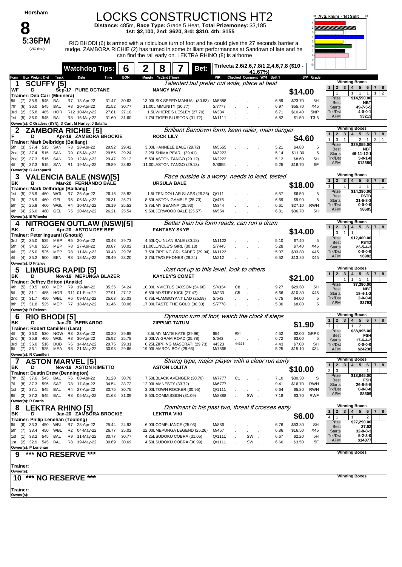#### LOCKS CONSTRUCTIONS HT2

**Distance:** 485m, **Race Type:** Grade 5 Heat, **Total Prizemoney:** \$3,185 **1st: \$2,100, 2nd: \$620, 3rd: \$310, 4th: \$155**



5:36PM RIO BHODI (6) is armed with a ridiculous turn of foot and he could give the 27 seconds barrier a nudge. ZAMBORA RICHIE (2) has turned in some brilliant performances at Sandown of late and he can find the rail early on. LEKTRA RHINO (8) is airborne



|                          |                                          |            |              |                | <b>Watchdog Tips:</b>                                                  |                | 6              | 2 | 8                     |                                                          | Bet:                                              |                  |                                 |     | 41.67%) |              | Trifecta 2,6/2,6,7,8/1,2,4,6,7,8 (\$10 - | 10 <sub>10</sub> |                                                                                |                                                                                                     |
|--------------------------|------------------------------------------|------------|--------------|----------------|------------------------------------------------------------------------|----------------|----------------|---|-----------------------|----------------------------------------------------------|---------------------------------------------------|------------------|---------------------------------|-----|---------|--------------|------------------------------------------|------------------|--------------------------------------------------------------------------------|-----------------------------------------------------------------------------------------------------|
| Form                     | <b>Box Weight Dist Track</b>             |            |              |                | Date                                                                   | Time           | <b>BON</b>     |   | Margin 1st/2nd (Time) |                                                          |                                                   |                  | PIR Checked Comment W/R Split 1 |     |         |              |                                          | S/P Grade        |                                                                                | <b>Winning Boxes</b>                                                                                |
| 1                        | <b>SCUFFY [5]</b><br>D                   |            |              |                |                                                                        |                |                |   | <b>NANCY MAY</b>      |                                                          | Talented but prefer out wide, place at best       |                  |                                 |     |         |              |                                          |                  | $\mathbf{2}$<br>$\mathbf{3}$<br>$\mathbf{1}$                                   | 4 <br>$5 \mid 6$<br>7 8                                                                             |
| WF                       | Trainer: Deb Carr (Mininera)             |            |              |                | <b>Sep-17 PURE OCTANE</b>                                              |                |                |   |                       |                                                          |                                                   |                  |                                 |     |         |              | \$14.00                                  |                  | $\mathbf{1}$                                                                   | $\overline{2}$<br>$\overline{1}$<br>$\mathbf{1}$<br>$\mathbf{1}$<br>$\mathbf{1}$                    |
| 8th<br>(7)               | 35.9                                     | 545        | BAL          | R7             | 13-Apr-22                                                              | 31.47          | 30.63          |   |                       |                                                          | 13.00LSIX SPEED MANUAL (30.63) M/5888             |                  |                                 |     |         | 6.89         | \$23.70                                  | 5H               | Prize<br>Best                                                                  | \$14,590.00<br>NBT                                                                                  |
| (6)<br>7th               | 36.0                                     | 545        | BAL          |                | R8 20-Apr-22                                                           | 31.52          | 30.77          |   |                       | 11.00LIMMUNITY (30.77)                                   |                                                   | S/7777           |                                 |     |         | 6.97         | \$55.70                                  | X45              | <b>Starts</b>                                                                  | 49-7-5-5                                                                                            |
| (2)<br>3rd               | 35.8                                     | 485        | HOR          |                | R12 10-May-22                                                          | 27.81          | 27.10          |   |                       | 1.5LWHERE'S LESLEY (27.70)                               |                                                   | M/334            |                                 |     |         | 6.71         | \$10.40                                  | 5NP              | Trk/Dst<br><b>APM</b>                                                          | $4 - 0 - 0 - 1$<br>\$3213                                                                           |
| (5)<br>1st               |                                          |            | 36.0 545 BAL |                | R8 16-May-22<br>Owner(s): C Graders (SYN), D Carr, M Hurley, J Salafia | 31.60          | 31.60          |   |                       | 1.75LTIGER BLURTON (31.72)                               |                                                   | M/1111           |                                 |     |         | 6.82         | \$1.50                                   | $T3-5$           |                                                                                |                                                                                                     |
|                          |                                          |            |              |                | <b>ZAMBORA RICHIE [5]</b>                                              |                |                |   |                       |                                                          | Brilliant Sandown form, keen railer, main danger  |                  |                                 |     |         |              |                                          |                  |                                                                                | <b>Winning Boxes</b>                                                                                |
|                          | D                                        |            |              |                | Apr-19 ZAMBORA BROCKIE                                                 |                |                |   | <b>ROCK LILY</b>      |                                                          |                                                   |                  |                                 |     |         |              |                                          |                  | $\overline{2}$<br>$\mathbf{1}$<br>3                                            | 5 <sub>5</sub><br>$\overline{7}$<br>4<br>6<br>8                                                     |
|                          | Trainer: Mark Delbridge (Balliang)       |            |              |                |                                                                        |                |                |   |                       |                                                          |                                                   |                  |                                 |     |         |              | \$4.60                                   |                  | 3<br>1<br>$\mathbf{1}$<br>Prize                                                | $\overline{2}$<br>$\overline{2}$<br>$\overline{1}$<br>$\overline{1}$<br>\$39,055.00                 |
| (3)<br>5th               | 37.4                                     | 515        | SAN          |                | R3 28-Apr-22                                                           | 29.92          | 29.42          |   |                       | 3.00LHANNELE BALE (29.72)                                |                                                   | M/5555           |                                 |     |         | 5.21         | \$4.80                                   | 5                | Best                                                                           | NBT                                                                                                 |
| 2nd (3)<br>(2)<br>2nd    | 37.4<br>37.3                             | 515<br>515 | SAN<br>SAN   |                | R9 05-May-22<br>R9 12-May-22                                           | 29.55<br>29.47 | 29.24<br>29.12 |   |                       | 2.25LSHIMA PEARL (29.41)<br>5.50LASTON TANGO (29.12)     |                                                   | M/3222<br>M/2222 |                                 |     |         | 5.14<br>5.12 | \$11.30<br>\$8.60                        | 5<br>5H          | <b>Starts</b><br>Trk/Dst                                                       | 46-11-12-1<br>$3 - 0 - 1 - 0$                                                                       |
| (5)<br>4th               | 37.3 515                                 |            | SAN          |                | R1 19-May-22                                                           | 29.89          | 28.82          |   |                       | 11.00LASTON TANGO (29.13)                                |                                                   | S/8655           |                                 |     |         | 5.25         | \$16.70                                  | 5F               | <b>APM</b>                                                                     | \$12680                                                                                             |
|                          | Owner(s): C Azzopardi                    |            |              |                |                                                                        |                |                |   |                       |                                                          |                                                   |                  |                                 |     |         |              |                                          |                  |                                                                                |                                                                                                     |
| 3                        |                                          |            |              |                | <b>VALENCIA BALE (NSW)[5]</b>                                          |                |                |   |                       |                                                          | Pace outside is a worry, needs to lead, tested    |                  |                                 |     |         |              |                                          |                  |                                                                                | <b>Winning Boxes</b>                                                                                |
| ΒK                       | в                                        |            |              |                | Mar-20 FERNANDO BALE                                                   |                |                |   |                       | <b>URSULA BALE</b>                                       |                                                   |                  |                                 |     |         |              | \$18.00                                  |                  | $\overline{2}$<br>$\mathbf{3}$<br>$\mathbf{1}$<br>$\mathbf{1}$                 | $\overline{\mathbf{4}}$<br>$5 \mid 6$<br>7 <sup>1</sup><br>8<br>$\mathbf{1}$<br>1<br>$\overline{1}$ |
|                          | Trainer: Mark Delbridge (Balliang)       |            |              |                |                                                                        |                |                |   |                       |                                                          |                                                   |                  |                                 |     |         |              |                                          | 5                | Prize                                                                          | \$14,380.00                                                                                         |
| 1st<br>(5)<br>7th        | $(5)$ 25.9<br>25.9                       | 460<br>460 | GEL          |                | WGL R7 26-Apr-22<br>R5 06-May-22                                       | 26.16<br>26.31 | 25.82<br>25.71 |   |                       | 8.50LASTON GAMBLE (25.73)                                | 1.5LTEN DOLLAR SLAPS (26.26)                      | Q/111<br>Q/476   |                                 |     |         | 6.57<br>6.69 | \$6.50<br>\$9.90                         | 5                | <b>Bes</b><br><b>Starts</b>                                                    | <b>FSTD</b><br>$31 - 5 - 8 - 3$                                                                     |
| 5th (1)                  | 25.9                                     | 460        | WGL          |                | R4 10-May-22                                                           | 26.19          | 25.52          |   |                       | 3.75LMY SEANNA (25.93)                                   |                                                   | M/344            |                                 |     |         | 6.61         | \$27.10                                  | <b>RWH</b>       | Trk/Dst                                                                        | $0 - 0 - 0 - 0$                                                                                     |
| 4th (4)                  | 26.0                                     | 460        | GEL          |                | R5 20-May-22                                                           | 26.21          | 25.54          |   |                       | 9.50LJERWOOD BALE (25.57)                                |                                                   | M/554            |                                 |     |         | 6.81         | \$36.70                                  | 5H               | <b>APM</b>                                                                     | \$8685                                                                                              |
|                          | Owner(s): B Wheeler                      |            |              |                |                                                                        |                |                |   |                       |                                                          |                                                   |                  |                                 |     |         |              |                                          |                  |                                                                                | <b>Winning Boxes</b>                                                                                |
| 4                        |                                          |            |              |                | <b>NITROGEN OUTLAW (NSW)[5]</b>                                        |                |                |   |                       |                                                          | Better than his form reads, can run a drum        |                  |                                 |     |         |              |                                          |                  | $\overline{2}$<br>3                                                            | $\overline{\mathbf{4}}$<br>5 6 <br>7 8                                                              |
| ΒK                       | D<br>Trainer: Peter Inguanti (Gnotuk)    |            |              |                | Apr-20 ASTON DEE BEE                                                   |                |                |   |                       | <b>FANTASY SKYE</b>                                      |                                                   |                  |                                 |     |         |              | \$14.00                                  |                  | 3<br>$\mathbf{1}$                                                              | $\mathbf{1}$                                                                                        |
| (2)<br>3rd               | 35.0                                     | 525        | MEP          |                | R5 20-Apr-22                                                           | 30.48          | 29.73          |   |                       | 4.50LQUINLAN BALE (30.18)                                |                                                   | M/1122           |                                 |     |         | 5.10         | \$7.40                                   | 5                | Prize<br>Best                                                                  | \$12,400.00<br><b>FSTD</b>                                                                          |
| (4)<br>5th               | 34.8                                     | 525        | MEP          |                | R8 27-Apr-22                                                           | 30.87          | 30.02          |   |                       | 11.00LUNCLE'S GIRL (30.13)                               |                                                   | S/7445           |                                 |     |         | 5.28         | \$7.40                                   | X45              | <b>Starts</b>                                                                  | 23-5-4-3                                                                                            |
| 4th (7)                  | 35.0                                     | 525        | MEP          |                | R8 11-May-22                                                           | 30.43          | 29.76          |   |                       |                                                          | 7.50LZIPPING CRUSADER (29.94)                     | M/1123           |                                 |     |         | 5.07         | \$33.80                                  | X45              | Trk/Dst<br><b>APM</b>                                                          | $0 - 0 - 0 - 0$<br>\$6982                                                                           |
| 4th (4)                  | 35.2<br>Owner(s): D Fitzroy              | 500        | <b>BEN</b>   |                | R8 18-May-22                                                           | 28.49          | 28.20          |   |                       | 3.75LTWO PHONES (28.24)                                  |                                                   | M/212            |                                 |     |         | 6.52         | \$13.20                                  | X45              |                                                                                |                                                                                                     |
| 5                        |                                          |            |              |                | <b>LIMBURG RAPID [5]</b>                                               |                |                |   |                       |                                                          | Just not up to this level, look to others         |                  |                                 |     |         |              |                                          |                  |                                                                                | <b>Winning Boxes</b>                                                                                |
| ΒK                       | D                                        |            |              |                | Nov-19 MEPUNGA BLAZER                                                  |                |                |   |                       | <b>KAYLEY'S COMET</b>                                    |                                                   |                  |                                 |     |         |              |                                          |                  | $\mathbf{1}$<br>$\overline{2}$<br>3                                            | $\overline{\mathbf{4}}$<br>$5 \mid 6$<br>7 8                                                        |
|                          | Trainer: Jeffrey Britton (Anakie)        |            |              |                |                                                                        |                |                |   |                       |                                                          |                                                   |                  |                                 |     |         |              | \$21.00                                  |                  | $\mathbf{1}$<br>Prize                                                          | $\mathbf{1}$<br>$\mathbf{1}$<br>$\overline{1}$<br>\$7,390.00                                        |
| (5)<br>4th.              | 30.5                                     | 600        | MEP          |                | R9 19-Jan-22                                                           | 35.35          | 34.24          |   |                       | 10.00LINVICTUS JAXSON (34.66)                            |                                                   | S/4334           | C8                              |     |         | 9.27         | \$29.60                                  | 5H               | <b>Bes</b>                                                                     | NBT                                                                                                 |
| (5)<br>5th<br>2nd<br>(3) | 31.1<br>31.7                             | 485<br>450 | HOR<br>WBL   |                | R11 01-Feb-22<br>R6 09-May-22                                          | 27.91<br>25.63 | 27.12<br>25.03 |   |                       | 6.50LMYSTIFY KICK (27.47)<br>0.75LFLAMBOYANT LAD (25.59) |                                                   | M/233<br>S/543   | C <sub>5</sub>                  |     |         | 6.66<br>6.75 | \$10.80<br>\$4.00                        | X45<br>5         | <b>Starts</b><br>Trk/Dst                                                       | $18 - 4 - 1 - 2$<br>$2 - 0 - 0 - 0$                                                                 |
|                          | 8th (7) 31.8                             | 525        | MEP          |                | R7 18-May-22                                                           | 31.46          | 30.06          |   |                       | 17.00LTASTE THE GOLD (30.33)                             |                                                   | S/7778           |                                 |     |         | 5.30         | \$8.80                                   | 5                | <b>APM</b>                                                                     | \$2793                                                                                              |
|                          | Owner(s): R Reivers                      |            |              |                |                                                                        |                |                |   |                       |                                                          |                                                   |                  |                                 |     |         |              |                                          |                  |                                                                                |                                                                                                     |
| 6                        | <b>RIO BHODI [5]</b>                     |            |              |                |                                                                        |                |                |   |                       |                                                          | Dynamic turn of foot, watch the clock if steps    |                  |                                 |     |         |              |                                          |                  | $\overline{2}$<br>3<br>$\mathbf{1}$                                            | <b>Winning Boxes</b><br>5 6 <br>$\overline{\mathbf{4}}$<br>7 <sup>1</sup><br>8                      |
| ΒK                       | D                                        |            |              |                | Jan-20 BERNARDO                                                        |                |                |   |                       | <b>ZIPPING TATUM</b>                                     |                                                   |                  |                                 |     |         |              | \$1.90                                   |                  | $\overline{2}$<br>$\mathbf{1}$                                                 | 1<br>$\overline{2}$                                                                                 |
| (5)<br>4th               | Trainer: Robert Camilleri (Lara)<br>36.0 | 520        |              |                | NOW R3 23-Apr-22                                                       | 30.20          | 29.68          |   |                       | 3.5LMY MATE KATE (29.96)                                 |                                                   | 654              | 654                             |     |         | 4.52         |                                          | \$2.00 GRP3      | Prize                                                                          | \$38,995.00                                                                                         |
| (6)<br>2nd               | 35.9                                     | 460        | WGL          | R8             | 30-Apr-22                                                              | 25.92          | 25.78          |   |                       | 2.00LWIGRAM ROAD (25.78)                                 |                                                   | S/643            |                                 |     |         | 6.72         | \$3.00                                   | 5                | Best<br><b>Starts</b>                                                          | <b>FSH</b><br>17-6-4-2                                                                              |
| (3)<br>3rd               | 36.0                                     | 516        | <b>DUB</b>   | R <sub>5</sub> | 14-May-22                                                              | 29.75          | 29.31          |   |                       |                                                          | 0.25LZIPPING MASERATI (29.73)                     | 44323<br>M/7565  | 44323                           |     |         | 4.43         | \$7.00                                   | <b>SH</b><br>X34 | Trk/Dst                                                                        | $0 - 0 - 0 - 0$                                                                                     |
| 6th (7)                  | 36.1<br>Owner(s): R Camilleri            | 525        | MEA          |                | R8 21-May-22                                                           | 30.98          | 29.66          |   |                       | 19.00LAMRON BOY (29.66)                                  |                                                   |                  |                                 |     |         | 5.25         | \$15.10                                  |                  | <b>APM</b>                                                                     | \$24238                                                                                             |
|                          |                                          |            |              |                | <b>ASTON MARVEL [5]</b>                                                |                |                |   |                       |                                                          | Strong type, maior player with a clear run early  |                  |                                 |     |         |              |                                          |                  |                                                                                | <b>Winning Boxes</b>                                                                                |
| ΒK                       | D                                        |            |              |                | <b>Nov-19 ASTON KIMETTO</b>                                            |                |                |   |                       | <b>ASTON LOLITA</b>                                      |                                                   |                  |                                 |     |         |              | \$10.00                                  |                  | $\overline{\mathbf{2}}$<br>3<br>$\mathbf{1}$<br>2 <sup>1</sup><br>$\mathbf{3}$ | 4   5   6  <br>7 <sup>1</sup><br>8                                                                  |
|                          |                                          |            |              |                | <b>Trainer: Dustin Drew (Dennington)</b>                               |                |                |   |                       |                                                          |                                                   |                  |                                 |     |         |              |                                          |                  | Prize                                                                          | $\mathbf{1}$<br>\$18,845.00                                                                         |
| 7th                      | (5) 37.6 545 BAL<br>7th (8) 37.3         | 595        | SAP          |                | R6 08-Apr-22<br>R8 17-Apr-22                                           | 31.20<br>34.54 | 30.70<br>33.72 |   |                       | 7.50LBLACK AVENGER (30.70)<br>12.00LAMNESTY (33.72)      |                                                   | M/7777<br>M/6777 | C <sub>1</sub>                  |     |         | 7.10<br>9.41 | \$30.30<br>\$16.70                       | S<br>RWH         | Best                                                                           | FSH                                                                                                 |
|                          | 1st (2) 37.1 545                         |            | BAL          |                | R4 27-Apr-22                                                           | 30.75          | 30.75          |   |                       | 3.00LTOWN ROCKER (30.95)                                 |                                                   | Q/1111           |                                 |     |         | 6.64         | \$5.80                                   | <b>RWH</b>       | <b>Starts</b><br>Trk/Dst                                                       | $26 - 6 - 5 - 5$<br>$0 - 0 - 0 - 0$                                                                 |
|                          | 8th (3) 37.2 545 BAL                     |            |              |                | R8 05-May-22                                                           | 31.68          | 31.09          |   |                       | 8.50LCOMMISSION (31.09)                                  |                                                   | M/8888           |                                 | SW. |         | 7.18         | \$3.70                                   | <b>RWF</b>       | <b>APM</b>                                                                     | \$8609                                                                                              |
|                          | Owner(s): R Borda                        |            |              |                |                                                                        |                |                |   |                       |                                                          |                                                   |                  |                                 |     |         |              |                                          |                  |                                                                                |                                                                                                     |
| 8                        |                                          |            |              |                | <b>LEKTRA RHINO [5]</b>                                                |                |                |   |                       |                                                          | Dominant in his past two, threat if crosses early |                  |                                 |     |         |              |                                          |                  | $\overline{2}$<br>3<br>1                                                       | <b>Winning Boxes</b><br>$5 \mid 6$<br>4 <br>7 8                                                     |
| ΒK                       | D<br>Trainer: Philip Lenehan (Toolong)   |            |              |                | Jan-20 ZAMBORA BROCKIE                                                 |                |                |   | <b>LEKTRA VIKI</b>    |                                                          |                                                   |                  |                                 |     |         |              | \$6.00                                   |                  | $\overline{4}$<br>$\overline{1}$                                               | 2<br>1                                                                                              |
|                          |                                          |            |              |                | 6th (6) 33.3 450 WBL R7 28-Apr-22                                      | 25.44          | 24.93          |   |                       | 6.00LCOMPLIANCE (25.03)                                  |                                                   | M/886            |                                 |     |         | 6.76         | \$53.80                                  | <b>SH</b>        | Prize<br><b>Best</b>                                                           | \$27,290.00<br>27.52                                                                                |
|                          | 5th (7) 33.4 450                         |            | WBL          |                | R2 04-May-22                                                           | 26.77          | 25.02          |   |                       |                                                          | 22.00LMEPUNGA LEGEND (25.26)                      | M/457            |                                 |     |         | 6.86         | \$16.50                                  | X45              | <b>Starts</b>                                                                  | 32-8-8-3                                                                                            |
|                          | 1st (1) 33.2 545                         |            | BAL          |                | R9 11-May-22                                                           | 30.77          | 30.77          |   |                       | 4.25LSUDOKU COBRA (31.05)                                |                                                   | Q/1111           |                                 | SW. |         | 6.67         | \$2.20                                   | 5H               | Trk/Dst<br><b>APM</b>                                                          | $5 - 2 - 3 - 0$<br>\$14877                                                                          |
|                          | 1st (2) 32.9 545<br>Owner(s): P Lenehan  |            | BAL          |                | R8 19-May-22                                                           | 30.69          | 30.69          |   |                       | 4.50LSUDOKU COBRA (30.99)                                |                                                   | Q/1111           |                                 | SW. |         | 6.60         | \$3.50                                   | 5F               |                                                                                |                                                                                                     |
|                          | ***                                      |            |              |                | <b>NO RESERVE ***</b>                                                  |                |                |   |                       |                                                          |                                                   |                  |                                 |     |         |              |                                          |                  |                                                                                | <b>Winning Boxes</b>                                                                                |
|                          |                                          |            |              |                |                                                                        |                |                |   |                       |                                                          |                                                   |                  |                                 |     |         |              |                                          |                  |                                                                                |                                                                                                     |
| Trainer:                 |                                          |            |              |                |                                                                        |                |                |   |                       |                                                          |                                                   |                  |                                 |     |         |              |                                          |                  |                                                                                |                                                                                                     |
| Owner(s):                |                                          |            |              |                |                                                                        |                |                |   |                       |                                                          |                                                   |                  |                                 |     |         |              |                                          |                  |                                                                                | <b>Winning Boxes</b>                                                                                |
| $10^{***}$               |                                          |            |              |                | <b>NO RESERVE ***</b>                                                  |                |                |   |                       |                                                          |                                                   |                  |                                 |     |         |              |                                          |                  |                                                                                |                                                                                                     |
| Trainer:                 |                                          |            |              |                |                                                                        |                |                |   |                       |                                                          |                                                   |                  |                                 |     |         |              |                                          |                  |                                                                                |                                                                                                     |
| Owner(s):                |                                          |            |              |                |                                                                        |                |                |   |                       |                                                          |                                                   |                  |                                 |     |         |              |                                          |                  |                                                                                |                                                                                                     |
|                          |                                          |            |              |                |                                                                        |                |                |   |                       |                                                          |                                                   |                  |                                 |     |         |              |                                          |                  |                                                                                |                                                                                                     |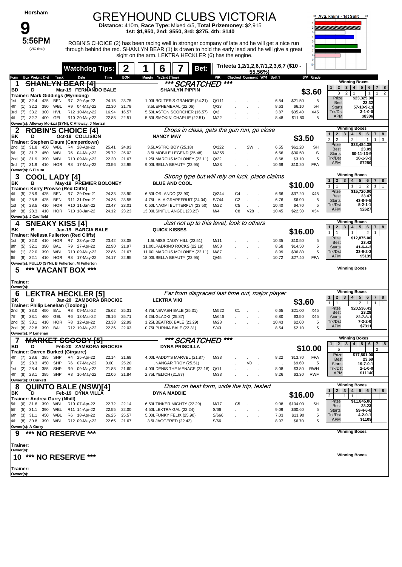**9**<br>5:56PM

(VIC time)

#### GREYHOUND CLUBS VICTORIA

sight on the arm. LEKTRA HECKLER (6) has the engine.

**Distance:** 410m, **Race Type:** Mixed 4/5, **Total Prizemoney:** \$2,915 **1st: \$1,950, 2nd: \$550, 3rd: \$275, 4th: \$140**

5:56PM ROBIN'S CHOICE (2) has been racing well in stronger company of late and he will get a nice run through behind the red. SHANLYN BEAR (1) is drawn to hold the early lead and he will give a great



|             |                                           |            | <b>Watchdog Tips:</b>                                                        |                | 2              | 6                     | Bet:                                                     |                |                | 55.56%)                        | Trifecta 1,2/1,2,6,7/1,2,3,6,7 (\$10 - |                   | 10 <sub>10</sub> |                                                |                                                                                  |
|-------------|-------------------------------------------|------------|------------------------------------------------------------------------------|----------------|----------------|-----------------------|----------------------------------------------------------|----------------|----------------|--------------------------------|----------------------------------------|-------------------|------------------|------------------------------------------------|----------------------------------------------------------------------------------|
| Form        | <b>Box Weight Dist Track</b>              |            | Date                                                                         | Time           | <b>BON</b>     | Margin 1st/2nd (Time) |                                                          | PR             |                |                                | Checked Comment W/R Split 1            |                   | S/P Grade        |                                                |                                                                                  |
| 1           |                                           |            | <b>SHANLYN BEAR [4]</b>                                                      |                |                |                       | *** SCRATCHED                                            |                | $***$          |                                |                                        |                   |                  |                                                | <b>Winning Boxes</b>                                                             |
| BD          | D                                         |            | Mar-19 FERNANDO BALE                                                         |                |                |                       | <b>SHANLYN PIPPIN</b>                                    |                |                |                                |                                        |                   |                  | $\overline{2}$<br>$\mathbf{3}$<br>$\mathbf{1}$ | 4 <br>$5 \mid 6$<br>7 <sup>1</sup><br>8                                          |
|             | Trainer: Mark Giddings (Myrniong)         |            |                                                                              |                |                |                       |                                                          |                |                |                                |                                        |                   | \$3.60           | 3                                              | $\overline{2}$<br>$\mathbf{1}$<br>$\overline{2}$<br>$\mathbf{1}$<br>$\mathbf{1}$ |
| (6)<br>1st  | 32.4<br>425                               | BEN        | R7 29-Apr-22                                                                 | 24.15          | 23.75          |                       | 1.00LBOLTER'S GRANGE (24.21)                             | Q/111          |                |                                | 6.54                                   | \$21.50           | 5                | Prize<br><b>Best</b>                           | \$23,325.00<br>23.32                                                             |
| (1)<br>4th. | 32.2 390                                  |            | WBL R9 04-May-22                                                             | 22.30          | 21.79          |                       | 3.5LEPHEMERAL (22.06)                                    | Q/33           |                |                                | 8.63                                   | \$6.10            | 5H               | <b>Starts</b>                                  | 57-10-9-11                                                                       |
| 3rd (7)     | 33.2 300                                  | HVL        | R12 10-May-22                                                                | 16.94          | 16.57          |                       | 5.50LASTON SCORCHER (16.57)                              | Q/2            |                |                                | 3.87                                   | \$35.40           | X45              | Trk/Dst                                        | $3 - 1 - 0 - 0$                                                                  |
|             |                                           |            | 4th (7) 32.7 400 GEL R10 20-May-22                                           | 22.88          | 22.51          |                       | 5.50LSMOKIN' CHARLIE (22.51)                             | M/22           |                |                                | 8.48                                   | \$11.80           | 5                | <b>APM</b>                                     | \$8306                                                                           |
|             |                                           |            | Owner(s): Alleway Morizzi (SYN), C Alleway, J Morizzi                        |                |                |                       |                                                          |                |                |                                |                                        |                   |                  |                                                |                                                                                  |
|             |                                           |            | <b>ROBIN'S CHOICE [4]</b>                                                    |                |                |                       | Drops in class, gets the gun run, go close               |                |                |                                |                                        |                   |                  | $\overline{2}$<br>3                            | <b>Winning Boxes</b><br>$\overline{\mathbf{4}}$<br>$5\phantom{.0}$               |
| ΒK          | D                                         |            | Oct-18 COLLISION                                                             |                |                | <b>NANCY MAY</b>      |                                                          |                |                |                                |                                        | \$3.50            |                  | 1<br>$\overline{2}$<br>$\overline{2}$          | 6<br>$\overline{7}$<br>8<br>$\overline{2}$<br>3<br>$\mathbf{1}$<br>$\mathbf{1}$  |
|             |                                           |            | Trainer: Stephen Elsum (Camperdown)                                          |                |                |                       |                                                          |                |                |                                |                                        |                   |                  | Prize                                          | \$33,484.38                                                                      |
| 2nd (2)     | 31.8<br>450                               |            | WBL R4 28-Apr-22                                                             | 25.41          | 24.93          |                       | 3.5LASTRO BOY (25.18)                                    | Q/222          |                | SW.                            | 6.55                                   | \$61.20           | <b>SH</b>        | <b>Best</b>                                    | 23.09                                                                            |
| 5th (3)     | 31.7 450                                  | WBL        | R6 04-May-22                                                                 | 25.72          | 25.02          |                       | 3.5LMOBILE LEGEND (25.48)                                | M/355          |                |                                | 6.66                                   | \$30.50           | S                | <b>Starts</b><br>Trk/Dst                       | 60-11-13-9<br>$10 - 1 - 3 - 3$                                                   |
| (4)<br>2nd  | 31.9 390<br>3rd (7) 31.9 410              | WBL        | R10 09-May-22<br>HOR R8 17-May-22                                            | 22.20<br>23.56 | 21.67<br>22.95 |                       | 1.25LMARCUS MOLONEY (22.11)<br>9.00LBELLA BEAUTY (22.95) | Q/22<br>M/33   |                |                                | 8.68<br>10.68                          | \$3.10<br>\$10.20 | 5<br><b>FFA</b>  | <b>APM</b>                                     | \$7250                                                                           |
|             | Owner(s): S Elsum                         |            |                                                                              |                |                |                       |                                                          |                |                |                                |                                        |                   |                  |                                                |                                                                                  |
|             |                                           |            |                                                                              |                |                |                       | Strong type but will rely on luck, place claims          |                |                |                                |                                        |                   |                  |                                                | <b>Winning Boxes</b>                                                             |
| З<br>ΒK     | <b>COOL LADY [4]</b><br>в                 |            |                                                                              |                |                |                       | <b>BLUE AND COOL</b>                                     |                |                |                                |                                        |                   |                  | $\overline{2}$<br>3<br>$\mathbf{1}$            | $5 \mid 6$<br>$7 \mid 8$<br>4 <sup>1</sup>                                       |
|             | Trainer: Kerry Prowse (Red Cliffs)        |            | May-19 PREMIER BOLONEY                                                       |                |                |                       |                                                          |                |                |                                |                                        | \$10.00           |                  | 1<br>$\mathbf{1}$                              | 1<br>1<br>$\overline{2}$<br>$\mathbf{1}$<br>$\mathbf{1}$                         |
| 4th (5)     | 28.9<br>425                               | BEN        | R7 29-Dec-21                                                                 | 24.33          | 23.90          | 6.50LORLANDO (23.90)  |                                                          | Q/244          | C4             |                                | 6.66                                   | \$37.20           | X45              | Prize                                          | \$15,720.00                                                                      |
| (4)<br>5th  | 28.8<br>425                               | BEN        | R11 31-Dec-21                                                                | 24.36          | 23.55          |                       | 4.75LLALA GRAPEFRUIT (24.04)                             | S/744          | C <sub>2</sub> |                                | 6.76                                   | \$6.90            | 5                | Best<br><b>Starts</b>                          | 23.47<br>43-8-9-5                                                                |
| 1st (4)     | 28.5<br>410                               |            | HOR R10 11-Jan-22                                                            | 23.47          | 23.01          |                       | 0.50LNAOMI BUTTERFLY (23.50)                             | M/22           | C5             |                                | 10.40                                  | \$4.70            | 5                | Trk/Dst                                        | $5 - 2 - 1 - 1$                                                                  |
| 6th<br>(8)  | 28.3 410                                  |            | HOR R10 18-Jan-22                                                            |                | 24.12 23.23    |                       | 13.00LSINFUL ANGEL (23.23)                               | M/4            | C8             | $V28$ .                        | 10.45                                  | \$22.30           | X34              | <b>APM</b>                                     | \$2627                                                                           |
|             | Owner(s): J Caulfield                     |            |                                                                              |                |                |                       |                                                          |                |                |                                |                                        |                   |                  |                                                |                                                                                  |
| 4           | <b>SNEAKY KISS [4]</b>                    |            |                                                                              |                |                |                       | Just not up to this level, look to others                |                |                |                                |                                        |                   |                  |                                                | <b>Winning Boxes</b>                                                             |
| ΒK          | в                                         |            | Jan-19 BARCIA BALE                                                           |                |                |                       | <b>QUICK KISSES</b>                                      |                |                |                                |                                        | \$16.00           |                  | 3<br>$\mathbf{2}$<br>1                         | $5\phantom{.0}$<br>$\overline{4}$<br>6<br>7 <sup>1</sup><br>8                    |
|             |                                           |            | Trainer: Melissa Fullerton (Red Cliffs)                                      |                |                |                       |                                                          |                |                |                                |                                        |                   |                  | $\mathbf{1}$<br>$\mathbf{1}$<br>Prize          | $\overline{2}$<br>$\mathbf{1}$<br>$\mathbf{1}$<br>\$12,875.00                    |
| (6)<br>1st  | 32.0<br>410                               | HOR        | R7 23-Apr-22                                                                 | 23.42          | 23.08          |                       | 1.5LMISS DAISY HILL (23.51)                              | M/11           |                |                                | 10.35                                  | \$10.50           | 5                | <b>Best</b>                                    | 23.42                                                                            |
| (5)<br>8th  | 32.1<br>390                               | BAL        | R9 27-Apr-22                                                                 | 22.90          | 21.97          |                       | 11.00LPADRINO ROCKS (22.19)                              | M/58           |                |                                | 8.58                                   | \$14.50           | 5                | <b>Starts</b>                                  | 41-6-4-3                                                                         |
| 8th (1)     | 32.0 390                                  |            | WBL R10 09-May-22                                                            | 22.86          | 21.67          |                       | 11.00LMARCUS MOLONEY (22.11)                             | M/87           |                |                                | 8.99                                   | \$36.80           | 5                | Trk/Dst<br><b>APM</b>                          | $33-6-2-3$<br>\$5139                                                             |
| (8)<br>6th  |                                           |            | 32.1 410 HOR R8 17-May-22<br>Owner(s): FULLO (SYN), B Fullerton, M Fullerton | 24.17          | 22.95          |                       | 18.00LBELLA BEAUTY (22.95)                               | Q/45           |                |                                | 10.72                                  | \$27.40           | <b>FFA</b>       |                                                |                                                                                  |
| 5           | ***                                       |            | <b>VACANT BOX ***</b>                                                        |                |                |                       |                                                          |                |                |                                |                                        |                   |                  |                                                | <b>Winning Boxes</b>                                                             |
|             |                                           |            |                                                                              |                |                |                       |                                                          |                |                |                                |                                        |                   |                  |                                                |                                                                                  |
|             |                                           |            |                                                                              |                |                |                       |                                                          |                |                |                                |                                        |                   |                  |                                                |                                                                                  |
| Trainer:    |                                           |            |                                                                              |                |                |                       |                                                          |                |                |                                |                                        |                   |                  |                                                |                                                                                  |
| Owner(s):   |                                           |            |                                                                              |                |                |                       |                                                          |                |                |                                |                                        |                   |                  |                                                |                                                                                  |
| 6           |                                           |            | EKTRA HECKLER [5].                                                           |                |                |                       | Far from disgraced last time out, major player           |                |                |                                |                                        |                   |                  | 1<br>2 <sup>1</sup>                            | <b>Winning Boxes</b><br>$3 \mid 4 \mid$<br>5 6 7 8                               |
| ΒK          | D                                         |            | Jan-20 ZAMBORA BROCKIE                                                       |                |                | <b>LEKTRA VIKI</b>    |                                                          |                |                |                                |                                        | \$3.60            |                  | $\mathbf{1}$<br>$\mathbf{1}$                   | 2 <sub>1</sub><br>$\overline{1}$<br>$\mathbf{1}$<br>$\overline{1}$               |
| 2nd (6)     | Trainer: Philip Lenehan (Toolong)<br>33.0 | BAL        | 09-Mar-22                                                                    |                |                |                       |                                                          |                | C1             |                                | 6.65                                   |                   | X45              | Prize                                          | \$20,536.43                                                                      |
| (8)<br>7th  | 450<br>33.1<br>460                        | GEL        | R8<br>R6 13-Mar-22                                                           | 25.62<br>26.16 | 25.31<br>25.71 | 4.25LGLADKI (25.87)   | 4.75LNEVAEH BALE (25.31)                                 | M/522<br>M/646 |                |                                | 6.80                                   | \$21.00<br>\$3.50 | X45              | <b>Best</b>                                    | 23.28                                                                            |
| 2nd (5)     | 33.1<br>410                               | HOR        | R8 12-Apr-22                                                                 | 23.38          | 22.99          |                       | 1.25LBEATRIX BALE (23.29)                                | M/23           |                |                                | 10.43                                  | \$2.60            | 5                | <b>Starts</b><br>Trk/Dst                       | $22 - 7 - 8 - 1$<br>7-2-2-0                                                      |
|             | 390<br>2nd (8) 32.8                       | <b>BAL</b> | R12 19-May-22                                                                | 22.36          | 22.03          |                       | 0.75LPURNIA BALE (22.31)                                 | S/43           |                |                                | 8.54                                   | \$2.10            | 5                | <b>APM</b>                                     | \$7311                                                                           |
|             | Owner(s): P Lenehan                       |            |                                                                              |                |                |                       |                                                          |                |                |                                |                                        |                   |                  |                                                |                                                                                  |
|             |                                           |            | <b>MARKET SCOOBY [5]</b>                                                     |                |                |                       | *** SCRATCHED                                            |                | ***            |                                |                                        |                   |                  |                                                | <b>Winning Boxes</b>                                                             |
| BD          | D                                         |            | Feb-20 ZAMBORA BROCKIE                                                       |                |                |                       | <b>DYNA PRISCILLA</b>                                    |                |                |                                |                                        |                   |                  | $\mathbf{1}$                                   | 2   3   4   5   6<br>78                                                          |
|             | Trainer: Darren Burkett (Girgarre)        |            |                                                                              |                |                |                       |                                                          |                |                |                                |                                        |                   | \$10.00          | 5<br>Prize                                     | $\overline{2}$<br>\$17,501.00                                                    |
|             |                                           |            | 4th (7) 28.6 385 SHP R4 25-Apr-22                                            |                | 22.14 21.68    |                       | 4.00LPADDY'S MARVEL (21.87)                              | M/33           |                |                                | 8.22                                   | \$13.70           | FFA              | <b>Best</b>                                    | 23.69                                                                            |
|             |                                           |            | (2) 28.3 450 SHP R6 07-May-22                                                | 0.00           | 25.20          |                       | .NANGAR TROY (25.51)                                     |                |                | V <sub>0</sub>                 |                                        | \$9.60            |                  | Starts                                         | 19-7-0-1                                                                         |
|             | 1st (2) 28.4 385 SHP                      |            | R9 09-May-22                                                                 | 21.88          | 21.60          |                       | 4.00LDENIS THE MENACE (22.16) Q/11                       |                |                |                                | 8.08                                   | \$3.80            | RWH              | Trk/Dst<br><b>APM</b>                          | $2 - 1 - 0 - 0$                                                                  |
|             | 4th (8) 28.1 385 SHP                      |            | R3 16-May-22                                                                 |                | 22.06 21.84    | 2.75LYELICH (21.87)   |                                                          | M/33           |                |                                | 8.26                                   | \$3.30            | <b>RWF</b>       |                                                | \$11140                                                                          |
|             | Owner(s): D Burkett                       |            |                                                                              |                |                |                       |                                                          |                |                |                                |                                        |                   |                  |                                                | <b>Winning Boxes</b>                                                             |
| 8           |                                           |            | <b>QUINTO BALE (NSW)[4]</b>                                                  |                |                |                       | Down on best form, wide the trip, tested                 |                |                |                                |                                        |                   |                  |                                                | $1 \mid 2 \mid 3 \mid 4 \mid 5 \mid 6 \mid 7 \mid 8$                             |
| ΒK          | D                                         |            | Feb-19 DYNA VILLA                                                            |                |                |                       | <b>DYNA MADDIE</b>                                       |                |                |                                |                                        | \$16.00           |                  | $\overline{2}$<br>-1                           | $\mathbf{1}$                                                                     |
|             | Trainer: Andrea Gurry (Nhill)             |            |                                                                              |                | 22.72 22.14    |                       | 6.50LTINKER MIGHTY (22.29)                               | M/77           | C5             | $\sim$                         | 9.08                                   | \$104.00          | 5H               | Prize                                          | \$11,845.00                                                                      |
|             |                                           |            | 5th (6) 31.6 390 WBL R10 07-Apr-22<br>5th (5) 31.1 390 WBL R11 14-Apr-22     |                | 22.55 22.00    |                       | 4.50LLEKTRA GAL (22.24)                                  | S/66           |                | $\ddot{\phantom{a}}$<br>$\sim$ | 9.09                                   | \$60.60           | 5                | <b>Best</b><br><b>Starts</b>                   | 23.23<br>$59 - 4 - 6 - 8$                                                        |
|             |                                           |            | 6th (3) 31.1 450 WBL R6 18-Apr-22                                            | 26.25          | 25.57          |                       | 5.00LFUNKY FELIX (25.90)                                 | S/666          |                |                                | 7.03                                   | \$11.90           | 5                | Trk/Dst                                        | $4 - 2 - 0 - 1$                                                                  |
|             |                                           |            | 4th (8) 30.8 390 WBL R12 09-May-22                                           |                | 22.65 21.67    |                       | 3.5LJAGGERED (22.42)                                     | S/66           |                |                                | 8.97                                   | \$6.70            | 5                | <b>APM</b>                                     | \$1109                                                                           |
|             | Owner(s): A Gurry                         |            |                                                                              |                |                |                       |                                                          |                |                |                                |                                        |                   |                  |                                                |                                                                                  |
| 9           |                                           |            | *** NO RESERVE ***                                                           |                |                |                       |                                                          |                |                |                                |                                        |                   |                  |                                                | <b>Winning Boxes</b>                                                             |
|             |                                           |            |                                                                              |                |                |                       |                                                          |                |                |                                |                                        |                   |                  |                                                |                                                                                  |
| Trainer:    |                                           |            |                                                                              |                |                |                       |                                                          |                |                |                                |                                        |                   |                  |                                                |                                                                                  |
| Owner(s):   |                                           |            |                                                                              |                |                |                       |                                                          |                |                |                                |                                        |                   |                  |                                                |                                                                                  |
|             |                                           |            | 10 *** NO RESERVE ***                                                        |                |                |                       |                                                          |                |                |                                |                                        |                   |                  |                                                | <b>Winning Boxes</b>                                                             |
| Trainer:    |                                           |            |                                                                              |                |                |                       |                                                          |                |                |                                |                                        |                   |                  |                                                |                                                                                  |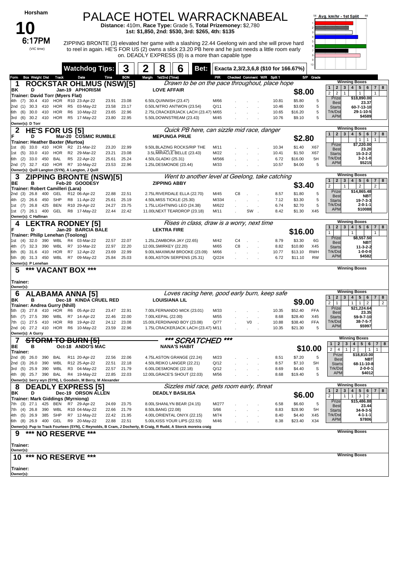| Horsham |
|---------|
|---------|

(VIC time)

**10**

### PALACE HOTEL WARRACKNABEAL

**Distance:** 410m, **Race Type:** Grade 5, **Total Prizemoney:** \$2,780 **1st: \$1,850, 2nd: \$530, 3rd: \$265, 4th: \$135**

 $6:17PM$  ZIPPING BRONTE (3) elevated her game with a slashing 22.44 Geelong win and she will prove hard to reel in again. HE'S FOR US (2) owns a slick 23.20 PB here and he just needs a little room early on. DEADLY EXPRESS (8) is a more than capable type



|                                                                                                                                                          | <b>Watchdog Tips:</b>                     |                |                | 2<br>8                                                        | 6<br>Bet:                                       |               |    |                      |                             |                | Exacta 2,3/2,3,6,8 (\$10 for 166.67%) |            |                                                                     |                                                                                                                                              |
|----------------------------------------------------------------------------------------------------------------------------------------------------------|-------------------------------------------|----------------|----------------|---------------------------------------------------------------|-------------------------------------------------|---------------|----|----------------------|-----------------------------|----------------|---------------------------------------|------------|---------------------------------------------------------------------|----------------------------------------------------------------------------------------------------------------------------------------------|
| <b>Box Weight Dist Track</b><br>Form                                                                                                                     | Date                                      | Time           | <b>BON</b>     | Margin 1st/2nd (Time)                                         |                                                 | PIR           |    |                      | Checked Comment W/R Split 1 |                |                                       | S/P Grade  |                                                                     |                                                                                                                                              |
| 1                                                                                                                                                        | <b>ROCKSTAR OHLMUS (NSW)[5]</b>           |                |                |                                                               | Drawn to be on the pace throughout, place hope  |               |    |                      |                             |                |                                       |            | $\mathbf{1}$<br>$\mathbf{2}$<br>$\mathbf{3}$                        | <b>Winning Boxes</b><br>78<br>4   5   6                                                                                                      |
| D<br>BK<br><b>Trainer: David Torr (Myers Flat)</b>                                                                                                       | Jan-19 APHORISM                           |                |                | <b>LOVE AFFAIR</b>                                            |                                                 |               |    |                      |                             |                | \$8.00                                |            | $\overline{2}$<br>$\overline{2}$                                    | $\mathbf{1}$                                                                                                                                 |
| 30.4 410<br>4th (7)                                                                                                                                      | HOR R10 23-Apr-22                         | 23.91          | 23.08          | 6.50LQUINNISH (23.47)                                         |                                                 | M/66          |    |                      |                             | 10.81          | \$5.80                                | 5          | Prize<br><b>Best</b>                                                | \$18,890.00<br>23.37                                                                                                                         |
| HOR<br>2nd (1)<br>30.3<br>-410                                                                                                                           | R5 03-May-22                              | 23.58          | 23.17          | 0.50LNITRO ANTWON (23.54)                                     |                                                 | Q/11          |    |                      |                             | 10.46          | \$3.00                                | 5          | <b>Starts</b>                                                       | 60-7-13-10                                                                                                                                   |
| HOR<br>(6)<br>30.0<br>410<br>6th<br>3rd (6)<br>30.2 410                                                                                                  | R6<br>10-May-22<br>HOR R5 17-May-22       | 23.65<br>23.80 | 22.96<br>22.95 | 2.75LCRACKERJACK LACH (23.47) M/65<br>5.50LDOWNSTREAM (23.43) |                                                 | M/45          |    |                      |                             | 10.65<br>10.76 | \$16.20<br>\$9.10                     | 5<br>5     | Trk/Dst<br><b>APM</b>                                               | 29-1-10-5<br>\$4589                                                                                                                          |
| Owner(s): D Torr                                                                                                                                         |                                           |                |                |                                                               |                                                 |               |    |                      |                             |                |                                       |            |                                                                     |                                                                                                                                              |
| <b>HE'S FOR US [5]</b>                                                                                                                                   |                                           |                |                |                                                               | Quick PB here, can sizzle mid race, danger      |               |    |                      |                             |                |                                       |            | $\mathbf{1}$<br>$\overline{2}$<br>$\mathbf{3}$                      | <b>Winning Boxes</b><br>$\overline{4}$<br>5 <sub>1</sub><br>$6\overline{6}$<br>$\overline{7}$<br>8                                           |
| D                                                                                                                                                        | Mar-20 COSMIC RUMBLE                      |                |                | <b>MEPUNGA PRUE</b>                                           |                                                 |               |    |                      |                             |                | \$2.80                                |            |                                                                     | $\mathbf{1}$<br>$\mathbf{1}$<br>$\mathbf{1}$                                                                                                 |
| Trainer: Heather Baxter (Murtoa)<br>33.0<br>410<br>HOR<br>1st (6)                                                                                        | R2 21-Mar-22                              | 23.20          | 22.99          | 9.50LBLAZING ROCKS/RIP THE                                    |                                                 | M/11          |    |                      |                             | 10.34          | \$1.40                                | X67        | Prize<br><b>Best</b>                                                | \$7,220.00<br>23.20                                                                                                                          |
| 33.0<br>HOR<br>1st (5)<br>410                                                                                                                            | R2 29-Mar-22                              | 23.21          | 23.08          | 3.5LMIRACLE BELLE (23.43)                                     |                                                 | M/22          |    |                      |                             | 10.41          | \$1.50                                | X67        | <b>Starts</b>                                                       | 15-3-2-2                                                                                                                                     |
| 33.0<br><b>BAL</b><br>6th (2)<br>450<br>2nd (7)                                                                                                          | R5 22-Apr-22<br>32.7 410 HOR R7 10-May-22 | 25.61<br>23.53 | 25.24<br>22.96 | 4.50LGLADKI (25.31)<br>1.25LDESMONDE (23.44)                  |                                                 | M/566<br>M/33 |    |                      |                             | 6.72<br>10.57  | \$16.00<br>\$4.00                     | 5H<br>5    | Trk/Dst<br><b>APM</b>                                               | $3 - 2 - 1 - 0$<br>\$5215                                                                                                                    |
| Owner(s): Quill Langton (SYN), A Langton, J Quill                                                                                                        |                                           |                |                |                                                               |                                                 |               |    |                      |                             |                |                                       |            |                                                                     |                                                                                                                                              |
| 3                                                                                                                                                        | <b>ZIPPING BRONTE (NSW)[5]</b>            |                |                |                                                               | Went to another level at Geelong, take catching |               |    |                      |                             |                |                                       |            |                                                                     | <b>Winning Boxes</b>                                                                                                                         |
| ВE<br>в                                                                                                                                                  | Feb-20 GOODESY                            |                |                | <b>ZIPPING ABBY</b>                                           |                                                 |               |    |                      |                             |                | \$3.40                                |            | $\mathbf{1}$<br>$\overline{2}$<br>$\overline{2}$                    | 5 <sup>5</sup><br>7 8<br>$3 \mid 4 \mid$<br>6 <sup>1</sup><br>$\overline{2}$<br>$\overline{2}$                                               |
| Trainer: Robert Camilleri (Lara)<br>400<br>2nd (3)<br>26.8<br>GEL                                                                                        | R12 06-Apr-22                             | 22.88          | 22.51          | 2.75LRIVERDALE ELLA (22.70)                                   |                                                 | M/45          | C8 | $\ddot{\phantom{a}}$ |                             | 8.57           | \$1.80                                | 5          | Prize<br>Best                                                       | \$14,865.48<br>NBT                                                                                                                           |
| 450<br>SHP<br>4th (2)<br>26.6                                                                                                                            | R8 11-Apr-22                              | 25.61          | 25.19          | 4.50LMISS TICKLE (25.30)                                      |                                                 | M/334         |    |                      |                             | 7.12           | \$3.30                                | 5          | <b>Starts</b>                                                       | 19-7-3-3                                                                                                                                     |
| <b>BEN</b><br>425<br>1st (7)<br>26.8<br>GEL                                                                                                              | R10 29-Apr-22                             | 24.27<br>22.44 | 23.75          | 1.75LLIGHTNING LEO (24.38)                                    |                                                 | M/622<br>M/11 |    | SW                   |                             | 6.74<br>8.42   | \$2.70                                | 5<br>X45   | Trk/Dst<br><b>APM</b>                                               | $2 - 0 - 1 - 1$<br>\$10088                                                                                                                   |
| 1st (7) 26.1 400<br>Owner(s): C Hallinan                                                                                                                 | R8 17-May-22                              |                | 22.42          | 11.00LNEXT TEARDROP (23.18)                                   |                                                 |               |    |                      |                             |                | \$1.30                                |            |                                                                     |                                                                                                                                              |
| 4                                                                                                                                                        | <b>LEKTRA RODNEY [5]</b>                  |                |                |                                                               | Rises in class, draw is a worry, next time      |               |    |                      |                             |                |                                       |            |                                                                     | <b>Winning Boxes</b>                                                                                                                         |
| D                                                                                                                                                        | Jan-20 BARCIA BALE                        |                |                | <b>LEKTRA FIRE</b>                                            |                                                 |               |    |                      |                             |                | \$16.00                               |            | $\mathbf{1}$<br>$\overline{2}$<br>$\mathbf{3}$                      | 4 <sup>1</sup><br>5 6 <br>$\overline{7}$<br>8<br>1                                                                                           |
| Trainer: Philip Lenehan (Toolong)<br>32.0<br>390<br>WBL<br>(4)<br>1st                                                                                    | R4<br>03-Mar-22                           | 22.57          | 22.07          | 1.25LZAMBORA JAY (22.65)                                      |                                                 | M/42          | C4 |                      |                             | 8.79           | \$3.30                                | 6G         | Prize                                                               | \$8,557.50                                                                                                                                   |
| 32.3<br>390<br>WBL<br>4th (7)                                                                                                                            | R7<br>10-Mar-22                           | 22.97          | 22.20          | 12.00LSMIRKEY (22.20)                                         |                                                 | M/65          | C8 | $\sim$               |                             | 8.82           | \$10.80                               | X45        | <b>Best</b><br><b>Starts</b>                                        | NBT<br>11-3-2-2                                                                                                                              |
| 31.6<br><b>HOR</b><br>6th (6)<br>410                                                                                                                     | R7<br>12-Apr-22                           | 23.69          | 22.99          | 9.00LMAXIMUM BROOKE (23.09)                                   |                                                 | M/66          |    |                      |                             | 10.77          | \$13.10                               | <b>RWH</b> | Trk/Dst<br><b>APM</b>                                               | 1-0-0-0<br>\$4582                                                                                                                            |
| 5th (8) 31.3 450<br>WBL<br>Owner(s): P Lenehan                                                                                                           | R7 09-May-22                              | 25.84          | 25.03          | 8.00LASTON SERPENS (25.31)                                    |                                                 | Q/224         |    |                      |                             | 6.72           | \$11.10                               | <b>RW</b>  |                                                                     |                                                                                                                                              |
| *** VACANT BOX ***<br>5                                                                                                                                  |                                           |                |                |                                                               |                                                 |               |    |                      |                             |                |                                       |            |                                                                     | <b>Winning Boxes</b>                                                                                                                         |
|                                                                                                                                                          |                                           |                |                |                                                               |                                                 |               |    |                      |                             |                |                                       |            |                                                                     |                                                                                                                                              |
|                                                                                                                                                          |                                           |                |                |                                                               |                                                 |               |    |                      |                             |                |                                       |            |                                                                     |                                                                                                                                              |
| Trainer:<br>Owner(s):                                                                                                                                    |                                           |                |                |                                                               |                                                 |               |    |                      |                             |                |                                       |            |                                                                     |                                                                                                                                              |
| 6                                                                                                                                                        | <b>ALABAMA ANNA [5]</b>                   |                |                |                                                               | Loves racing here, good early burn, keep safe   |               |    |                      |                             |                |                                       |            |                                                                     | <b>Winning Boxes</b>                                                                                                                         |
| в<br>ΒK                                                                                                                                                  | Dec-18 KINDA CRUEL RED                    |                |                | <b>LOUISIANA LIL</b>                                          |                                                 |               |    |                      |                             |                | \$9.00                                |            | $\mathbf{2}$<br>3<br>$\mathbf{1}$<br>$\overline{2}$<br>$\mathbf{1}$ | $\overline{\mathbf{4}}$<br>5 <sup>5</sup><br>6<br>$\overline{7}$<br>8<br>$\overline{2}$<br>2<br>$\mathbf{1}$<br>1                            |
| Trainer: Andrea Gurry (Nhill)<br>27.8<br>HOR<br>5th (3)<br>410                                                                                           | R6<br>05-Apr-22                           | 23.47          | 22.91          | 7.00LFERNANDO MICK (23.01)                                    |                                                 | M/33          |    |                      |                             | 10.35          | \$52.40                               | <b>FFA</b> | Prize                                                               | \$21,224.64                                                                                                                                  |
| 27.5<br>390<br>WBL<br>5th (7)                                                                                                                            | R7<br>14-Apr-22                           | 22.46          | 22.00          | 7.00LKEPAL (22.00)                                            |                                                 | M/55          |    |                      |                             | 8.68           | \$28.40                               | X45        | Best<br><b>Starts</b>                                               | 23.35<br>59-9-7-10                                                                                                                           |
| 27.5<br><b>HOR</b><br>7th (1)<br>-410                                                                                                                    | R8<br>19-Apr-22                           | 24.12          | 23.08          | 15.00LFERDINAND BOY (23.08)                                   |                                                 | Q/77          |    | V <sub>0</sub>       |                             | 10.88          | \$38.40                               | <b>FFA</b> | Trk/Dst<br><b>APM</b>                                               | 38-7-5-7<br>\$5997                                                                                                                           |
| Owner(s): A Gurry                                                                                                                                        | 10-May-22                                 | 23.59          | 22.96          | 1.75LCRACKERJACK LACH (23.47) M/11                            |                                                 |               |    |                      |                             | 10.35          | \$21.30                               | 5          |                                                                     |                                                                                                                                              |
|                                                                                                                                                          | <del>TORM TO BURN [5]</del>               |                |                |                                                               | *** SCRATCHED                                   | $***$         |    |                      |                             |                |                                       |            |                                                                     | <b>Winning Boxes</b>                                                                                                                         |
| BE<br>в                                                                                                                                                  | Oct-18 ANDO'S MAC                         |                |                | <b>NANA'S HABIT</b>                                           |                                                 |               |    |                      |                             |                |                                       | \$10.00    | $\mathbf{2}$<br>$\mathbf{1}$<br>$\overline{2}$<br>$\overline{4}$    | 5 <sup>5</sup><br>3<br>$\overline{\mathbf{4}}$<br>6<br>7 <sup>1</sup><br>8<br>$\overline{2}$<br>$\mathbf{1}$<br>$\mathbf{1}$<br>$\mathbf{1}$ |
| 2nd (4) 27.2 410 HOR R6<br>Trainer:<br>26.0<br>390<br>BAL<br>2nd (8)                                                                                     | R11 20-Apr-22                             | 22.56          | 22.06          | 4.75LASTON GRANGE (22.24)                                     |                                                 | M/23          |    |                      |                             | 8.51           | \$7.20                                | 5          | Prize                                                               | \$18,810.00                                                                                                                                  |
| WBL<br>390                                                                                                                                               | R12 25-Apr-22                             | 22.51          | 22.18          | 4.50LREIKO LANGER (22.21)                                     |                                                 | Q/12          |    |                      |                             | 8.57           | \$7.10                                | SH         | <b>Best</b><br><b>Starts</b>                                        | NBT<br>68-11-10-8                                                                                                                            |
| 2nd (3) 26.0<br>3rd (5) 25.9 390 WBL R3 04-May-22                                                                                                        |                                           | 22.57 21.79    |                | 6.00LDESMONDE (22.18)                                         |                                                 | Q/12          |    |                      |                             | 8.69           | \$4.40                                | S          | Trk/Dst                                                             | $2 - 0 - 0 - 1$                                                                                                                              |
| Owner(s): berry wyn (SYN), L Goodwin, M Berry, M Alexander                                                                                               |                                           | 22.85          | 22.03          | 12.00LGRACE'S SHOUT (22.03)                                   |                                                 | M/56          |    |                      |                             | 8.68           | \$19.40                               | 5          | <b>APM</b>                                                          | \$4012                                                                                                                                       |
| 8                                                                                                                                                        | <b>DEADLY EXPRESS [5]</b>                 |                |                |                                                               | Sizzles mid race, gets room early, threat       |               |    |                      |                             |                |                                       |            |                                                                     | <b>Winning Boxes</b>                                                                                                                         |
| 4th (8) 25.7 390 BAL R4 19-May-22<br>ΒK<br>D                                                                                                             | Dec-19 ORSON ALLEN                        |                |                | <b>DEADLY BASILISA</b>                                        |                                                 |               |    |                      |                             |                |                                       |            | $\mathbf{2}$<br>3<br>1<br>$\overline{2}$<br>$\mathbf{1}$            | 5 <sup>1</sup><br>$\overline{\mathbf{4}}$<br>$6\overline{6}$<br>7 <sup>1</sup><br>8<br>$\mathbf{1}$                                          |
| <b>Trainer: Mark Giddings (Myrniong)</b><br>7th (3) 27.1 425 BEN R7 29-Apr-22                                                                            |                                           |                |                |                                                               |                                                 |               |    |                      |                             |                | \$6.00                                |            | Prize                                                               | $3 \mid 2$<br>\$15,486.88                                                                                                                    |
| 7th (4)<br>26.8<br>390<br>WBL                                                                                                                            | R10 04-May-22                             | 24.69<br>22.66 | 23.75<br>21.79 | 8.00LSHANLYN BEAR (24.15)<br>8.50LBANG (22.08)                |                                                 | M/277<br>S/66 |    |                      |                             | 6.58<br>8.83   | \$6.60<br>\$28.90                     | 5<br>5H    | Best<br><b>Starts</b>                                               | 23.44<br>34-9-3-5                                                                                                                            |
| 4th (5) 26.9<br>385<br>SHP                                                                                                                               | R7 12-May-22                              | 22.42          | 21.95          | 4.00LORIENTAL ONYX (22.15)                                    |                                                 | M/74          |    |                      |                             | 8.40           | \$4.40                                | X45        | Trk/Dst                                                             | $4 - 1 - 1 - 1$                                                                                                                              |
|                                                                                                                                                          |                                           | 22.88          | 22.51          | 5.00LKISS YOUR LIPS (22.53)                                   |                                                 | M/46          |    |                      |                             | 8.38           | \$23.40                               | X34        | <b>APM</b>                                                          | \$7806                                                                                                                                       |
| 6th (8) 26.9 400 GEL R9 20-May-22<br>Owner(s): Pup to Track Fourteen (SYN), C Reynolds, B Cram, J Docherty, B Craig, R Rudd, A Storck moreira craig<br>9 | ***                                       |                |                |                                                               |                                                 |               |    |                      |                             |                |                                       |            |                                                                     | <b>Winning Boxes</b>                                                                                                                         |
| *** NO RESERVE                                                                                                                                           |                                           |                |                |                                                               |                                                 |               |    |                      |                             |                |                                       |            |                                                                     |                                                                                                                                              |
| Trainer:                                                                                                                                                 |                                           |                |                |                                                               |                                                 |               |    |                      |                             |                |                                       |            |                                                                     |                                                                                                                                              |
| Owner(s):<br>10                                                                                                                                          |                                           |                |                |                                                               |                                                 |               |    |                      |                             |                |                                       |            |                                                                     | <b>Winning Boxes</b>                                                                                                                         |
| *** NO RESERVE ***                                                                                                                                       |                                           |                |                |                                                               |                                                 |               |    |                      |                             |                |                                       |            |                                                                     |                                                                                                                                              |
| Trainer:<br>Owner(s):                                                                                                                                    |                                           |                |                |                                                               |                                                 |               |    |                      |                             |                |                                       |            |                                                                     |                                                                                                                                              |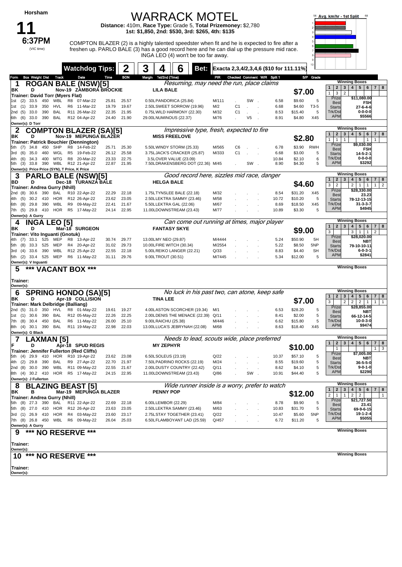## WARRACK MOTEL

**Distance:** 410m, **Race Type:** Grade 5, **Total Prizemoney:** \$2,780 **1st: \$1,850, 2nd: \$530, 3rd: \$265, 4th: \$135**

**11** (VIC time)

 $6:37PM$  COMPTON BLAZER (2) is a highly talented speedster when fit and he is expected to fire after a freshen up. PARLO BALE (3) has a good record here and he can dial up the pressure mid race. INGA LEO (4) won't be too far away.



|                                                                 | <b>Watchdog Tips:</b>         |                | 2                    | 3      | 4                    | 6                                                       | Bet:                                                         |                |                |                      | Exacta 2,3,4/2,3,4,6 (\$10 for 111.11%)        |                    |                |                                            |                                                                                                         |
|-----------------------------------------------------------------|-------------------------------|----------------|----------------------|--------|----------------------|---------------------------------------------------------|--------------------------------------------------------------|----------------|----------------|----------------------|------------------------------------------------|--------------------|----------------|--------------------------------------------|---------------------------------------------------------------------------------------------------------|
| <b>Box Weight Dist Track</b><br>Form                            | Date                          | Time           | <b>BON</b>           | Margin | 1st/2nd (Time)       |                                                         |                                                              | PR             |                |                      | Checked Comment W/R Split 1                    |                    | S/P Grade      |                                            |                                                                                                         |
| 1                                                               | <b>ROGAN BALE (NSW)[5]</b>    |                |                      |        |                      |                                                         |                                                              |                |                |                      | Resuming, may need the run, place claims       |                    |                | $\mathbf{2}$<br>$\mathbf{1}$               | <b>Winning Boxes</b><br>4   5   6   7   8<br>3                                                          |
| ΒK<br>D                                                         | Nov-19 ZAMBORA BROCKIE        |                |                      |        | <b>LILA BALE</b>     |                                                         |                                                              |                |                |                      |                                                | \$7.00             |                | 1<br>3<br>$\overline{2}$                   |                                                                                                         |
| Trainer: David Torr (Myers Flat)<br>450<br>WBL<br>33.5          | R8<br>07-Mar-22               | 25.81          | 25.57                |        |                      | 0.50LPANDORICA (25.84)                                  |                                                              | M/111          |                | SW.                  | 6.58                                           | \$9.60             | 5              | Prize                                      | \$11,080.00                                                                                             |
| (2)<br>1st<br>33.9<br>350<br>HVL<br>1st (1)                     | R6 11-Mar-22                  | 19.79          | 19.67                |        |                      | 2.50LSWEET SORROW (19.96)                               |                                                              | M/2            | C <sub>1</sub> |                      | 6.68                                           | \$4.60             | T3-5           | <b>Best</b>                                | FSH                                                                                                     |
| 390<br>(5)<br>33.0<br>BAL<br>2nd                                | R11 26-Mar-22                 | 22.35          | 21.95                |        |                      | 0.75LWILD HARMONY (22.30)                               |                                                              | M/32           | C <sub>1</sub> |                      | 8.53                                           | \$15.40            | 5              | <b>Starts</b><br>Trk/Dst                   | 27-6-4-6<br>$0 - 0 - 0 - 0$                                                                             |
| 6th (6)<br>33.0<br>390<br>BAL                                   | R12 04-Apr-22                 | 24.40          | 21.90                |        |                      | 29.00LNUMINOUS (22.37)                                  |                                                              | M/76           |                | V5<br>$\mathbb{R}^2$ | 8.91                                           | \$4.80             | X45            | <b>APM</b>                                 | \$5566                                                                                                  |
| Owner(s): D Torr                                                |                               |                |                      |        |                      |                                                         |                                                              |                |                |                      |                                                |                    |                |                                            |                                                                                                         |
|                                                                 | <b>COMPTON BLAZER (SA)[5]</b> |                |                      |        |                      |                                                         | Impressive type, fresh, expected to fire                     |                |                |                      |                                                |                    |                |                                            | <b>Winning Boxes</b>                                                                                    |
| ΒK<br>D                                                         | Nov-19 MEPUNGA BLAZER         |                |                      |        |                      | <b>MISS FREELOVE</b>                                    |                                                              |                |                |                      |                                                | \$2.80             |                | $\mathbf{2}$<br>$\mathbf{1}$               | $5 \mid 6$<br>$\mathbf{3}$<br>4 <br>$7 \mid 8$                                                          |
| Trainer: Patrick Bouchier (Dennington)                          |                               |                |                      |        |                      |                                                         |                                                              |                |                |                      |                                                |                    |                | 1<br>$\mathbf{1}$<br>$\mathbf{1}$<br>Prize | $\mathbf{1}$<br>$\mathbf{1}$<br>\$9,030.00                                                              |
| 450<br>SHP<br>(7)<br>34.8<br>5th                                | R8 14-Feb-22                  | 25.71          | 25.30                |        |                      | 5.50LWINDY STORM (25.33)                                |                                                              | M/565          | C6             |                      | 6.78                                           | \$3.90             | <b>RWH</b>     | <b>Best</b>                                | <b>FSH</b>                                                                                              |
| (6)<br>35.0<br>460<br>WGL<br>3rd<br><b>MTG</b>                  | R5 19-Feb-22<br>R8 20-Mar-22  | 26.12          | 25.58                |        |                      | 3.75LJACK'S CRACKER (25.87)                             |                                                              | M/333          | C <sub>1</sub> |                      | 6.68                                           | \$3.00             | 5              | <b>Starts</b><br>Trk/Dst                   | 14-5-2-1<br>$0 - 0 - 0 - 0$                                                                             |
| 400<br>4th<br>(6)<br>34.3<br>390<br>WBL<br>(3)<br>33.8<br>5th   | R12 21-Apr-22                 | 23.33<br>22.87 | 22.75<br>21.95       |        |                      | 3.5LOVER VALUE (23.09)                                  | 7.50LDRAKENSBERG DOT (22.36) M/45                            |                |                | SW.                  | 10.84<br>8.90                                  | \$2.10<br>\$4.30   | 6<br>5         | <b>APM</b>                                 | \$3292                                                                                                  |
| Owner(s): Price Price (SYN), T Price, K Price                   |                               |                |                      |        |                      |                                                         |                                                              |                |                |                      |                                                |                    |                |                                            |                                                                                                         |
| 3                                                               | <b>PARLO BALE (NSW)[5]</b>    |                |                      |        |                      |                                                         |                                                              |                |                |                      | Good record here, sizzles mid race, danger     |                    |                |                                            | <b>Winning Boxes</b>                                                                                    |
| D<br>BD                                                         | Dec-18 TURANZA BALE           |                |                      |        | <b>HELGA BALE</b>    |                                                         |                                                              |                |                |                      |                                                | \$4.60             |                | 1<br>$\mathbf{2}$                          | 4 <br>$5 \mid 6$<br>3 <sup>1</sup><br>7   8                                                             |
| Trainer: Andrea Gurry (Nhill)                                   |                               |                |                      |        |                      |                                                         |                                                              |                |                |                      |                                                |                    |                | 3<br>$\overline{2}$<br>Prize               | 2   1   1<br>$1 \mid 2$<br>\$28,330.00                                                                  |
| 30.6<br>390<br>2nd (8)<br>BAL                                   | R10 22-Apr-22                 | 22.29          | 22.18                |        |                      | 1.75LTYNSLEE BALE (22.18)                               |                                                              | M/32           |                |                      | 8.54                                           | \$31.20            | X45            | <b>Best</b>                                | 23.23                                                                                                   |
| 30.2<br><b>HOR</b><br>(5)<br>410<br>4th<br>WBL                  | R12 26-Apr-22                 | 23.62          | 23.05                |        |                      | 2.50LLEKTRA SAMMY (23.46)<br>5.50LLEKTRA GAL (22.06)    |                                                              | M/58           |                |                      | 10.72                                          | \$10.20            | 5<br>X45       | <b>Starts</b><br>Trk/Dst                   | 78-12-13-15<br>$31 - 3 - 3 - 7$                                                                         |
| (8)<br>29.8<br>390<br>6th<br>7th (5)<br>29.8<br>410<br>HOR      | R9 09-May-22<br>R5 17-May-22  | 22.41<br>24.14 | 21.67<br>22.95       |        |                      | 11.00LDOWNSTREAM (23.43)                                |                                                              | M/67<br>M/77   |                |                      | 8.69<br>10.89                                  | \$18.50<br>\$3.30  | 5              | <b>APM</b>                                 | \$4945                                                                                                  |
| Owner(s): A Gurry                                               |                               |                |                      |        |                      |                                                         |                                                              |                |                |                      |                                                |                    |                |                                            |                                                                                                         |
| <b>INGA LEO [5]</b><br>4                                        |                               |                |                      |        |                      |                                                         |                                                              |                |                |                      | Can come out running at times, major player    |                    |                |                                            | <b>Winning Boxes</b>                                                                                    |
| ΒK<br>D                                                         | Mar-18 SURGEON                |                |                      |        |                      | <b>FANTASY SKYE</b>                                     |                                                              |                |                |                      |                                                | \$9.00             |                | $\mathbf{1}$<br>$2 \mid 3$                 | 4   5   6  <br>$7 \mid 8$                                                                               |
| Trainer: Vito Inguanti (Gnotuk)                                 |                               |                |                      |        |                      |                                                         |                                                              |                |                |                      |                                                |                    |                | 3<br>Prize                                 | $3 \mid 1 \mid 1$<br>$\overline{2}$<br>\$28,020.00                                                      |
| 33.1<br>525<br>MEP<br>4th (7)                                   | R8<br>13-Apr-22               | 30.74          | 29.77                |        | 13.00LMY NEO (29.87) |                                                         |                                                              | M/4444         |                |                      | 5.24                                           | \$50.90            | 5H             | <b>Best</b>                                | <b>NBT</b>                                                                                              |
| 33.3<br>525<br>MEP<br>(8)<br>5th                                | R4 20-Apr-22                  | 31.02          | 29.73                |        |                      | 10.00LFIRE WITCH (30.34)                                |                                                              | M/2554         |                |                      | 5.22                                           | \$8.50             | 5NP            | <b>Starts</b>                              | 79-10-10-11                                                                                             |
| WBL<br>3rd (4)<br>33.6<br>390<br>MEP<br>525                     | R12 25-Apr-22                 | 22.55          | 22.18<br>29.76       |        |                      | 5.00LREIKO LANGER (22.21)                               |                                                              | Q/33<br>M/7445 |                |                      | 8.83                                           | \$4.40             | <b>SH</b><br>5 | Trk/Dst<br><b>APM</b>                      | 6-0-3-1<br>\$2841                                                                                       |
| 5th (2) 33.4<br>Owner(s): V Inguanti                            | R6 11-May-22                  | 31.11          |                      |        | 9.00LTROUT (30.51)   |                                                         |                                                              |                |                |                      | 5.34                                           | \$12.00            |                |                                            |                                                                                                         |
| ***<br>5                                                        | <b>VACANT BOX ***</b>         |                |                      |        |                      |                                                         |                                                              |                |                |                      |                                                |                    |                |                                            | <b>Winning Boxes</b>                                                                                    |
|                                                                 |                               |                |                      |        |                      |                                                         |                                                              |                |                |                      |                                                |                    |                |                                            |                                                                                                         |
| Trainer:<br>Owner(s):                                           |                               |                |                      |        |                      |                                                         |                                                              |                |                |                      |                                                |                    |                |                                            |                                                                                                         |
| 6                                                               | <b>SPRING HONDO (SA)[5]</b>   |                |                      |        |                      |                                                         |                                                              |                |                |                      | No luck in his past two, can atone, keep safe  |                    |                | $\overline{2}$                             | <b>Winning Boxes</b>                                                                                    |
| ΒK<br>D                                                         | Apr-19 COLLISION              |                |                      |        | <b>TINA LEE</b>      |                                                         |                                                              |                |                |                      |                                                | \$7.00             |                | 3<br>$\mathbf{1}$<br>3                     | 4 <br>$5 \mid 6$<br>7   8<br>2 <br>$2^{\circ}$<br>$\overline{2}$<br>$\overline{1}$<br>1<br>$\mathbf{1}$ |
| Trainer: Mark Delbridge (Balliang)                              |                               |                |                      |        |                      |                                                         |                                                              |                |                |                      |                                                |                    |                | Prize                                      | \$28,855.00                                                                                             |
| 350<br>HVL<br>2nd (5)<br>31.0<br>30.6<br>390<br>BAL<br>'1st (1) | R8 01-May-22<br>R12 05-May-22 | 19.61<br>22.26 | 19.27<br>22.25       |        |                      |                                                         | 4.00LASTON SCORCHER (19.34)<br>2.00LDENIS THE MENACE (22.39) | M/1<br>Q/11    |                |                      | 6.53<br>8.41                                   | \$28.20<br>\$2.00  | 5<br>5         | <b>Best</b>                                | <b>NBT</b>                                                                                              |
| (8)<br>450<br>BAL<br>30.4<br>7th                                | R6 11-May-22                  | 26.00          | 25.10                |        | 9.00LRAICHU (25.38)  |                                                         |                                                              | M/446          |                |                      | 6.62                                           | \$15.80            | 5              | <b>Starts</b><br>Trk/Dst                   | 66-12-14-5<br>$10 - 0 - 3 - 0$                                                                          |
| 390<br>8th (4)<br>30.1<br>BAL                                   | R11 19-May-22                 | 22.98          | 22.03                |        |                      | 13.00LLUCA'S JEBRYNAH (22.08)                           |                                                              | M/68           |                |                      | 8.63                                           | \$18.40            | X45            | <b>APM</b>                                 | \$9474                                                                                                  |
| Owner(s): G Black                                               |                               |                |                      |        |                      |                                                         |                                                              |                |                |                      |                                                |                    |                |                                            |                                                                                                         |
| LAXMAN [5]                                                      |                               |                |                      |        |                      |                                                         |                                                              |                |                |                      | Needs to lead, scouts wide, place preferred    |                    |                | $\mathbf{1}$                               | <b>Winning Boxes</b><br>4   5   6<br>$7 \mid 8$                                                         |
| D                                                               | Apr-18 SPUD REGIS             |                |                      |        | <b>MY ZEPHYR</b>     |                                                         |                                                              |                |                |                      |                                                | \$10.00            |                | $\mathbf{2}$<br>$\mathbf{1}$               | $\mathbf{3}$<br>3<br>$1 \mid$                                                                           |
| Trainer: Jennifer Fullerton (Red Cliffs)                        |                               |                |                      |        |                      |                                                         |                                                              |                |                |                      |                                                |                    |                | Prize                                      | \$7,005.00                                                                                              |
| 5th (4) 29.9 410 HOR R10 19-Apr-22<br>4th (2) 29.8 390 BAL      | R9 27-Apr-22                  | 22.70          | 23.62 23.08<br>21.97 |        | 6.50LSOLEUS (23.19)  | 7.50LPADRINO ROCKS (22.19)                              |                                                              | Q/22<br>M/24   |                |                      | 10.37<br>8.55                                  | \$57.10<br>\$19.60 | 5<br>5         | <b>Best</b><br><b>Starts</b>               | NBT<br>$36 - 5 - 5 - 0$                                                                                 |
| 2nd (8) 30.0 390 WBL R11 09-May-22                              |                               | 22.55          | 21.67                |        |                      | 2.00LDUSTY COUNTRY (22.42)                              |                                                              | Q/11           |                |                      | 8.62                                           | \$4.10             | 5              | Trk/Dst                                    | $9 - 0 - 1 - 0$                                                                                         |
| 8th (4) 30.2 410                                                | HOR R5 17-May-22              |                | 24.15 22.95          |        |                      | 11.00LDOWNSTREAM (23.43)                                |                                                              | Q/86           |                | SW.                  | 10.91                                          | \$44.40            | 5              | <b>APM</b>                                 | \$2290                                                                                                  |
| Owner(s): J Fullerton                                           |                               |                |                      |        |                      |                                                         |                                                              |                |                |                      |                                                |                    |                |                                            |                                                                                                         |
| 8                                                               | <b>BLAZING BEAST [5]</b>      |                |                      |        |                      |                                                         |                                                              |                |                |                      | Wide runner inside is a worry, prefer to watch |                    |                |                                            | <b>Winning Boxes</b>                                                                                    |
| ΒK<br>в                                                         | Mar-19 MEPUNGA BLAZER         |                |                      |        | <b>PENNY POP</b>     |                                                         |                                                              |                |                |                      |                                                | \$12.00            |                | 2 <br>1<br>$\overline{2}$<br>$\mathbf{1}$  | 4   5   6   7   8<br>3 <sup>1</sup><br>$\mathbf{1}$                                                     |
| Trainer: Andrea Gurry (Nhill)                                   |                               |                |                      |        |                      |                                                         |                                                              |                |                |                      |                                                |                    |                | $\mathbf{1}$<br>Prize                      | $2 \mid 2$<br>\$21,727.50                                                                               |
| 5th (8) 27.3 390<br>BAL                                         | R11 22-Apr-22                 | 22.69          | 22.18                |        | 6.00LLEMBOR (22.29)  |                                                         |                                                              | M/84           |                |                      | 8.78                                           | \$9.90             | 5              | <b>Best</b>                                | 23.41                                                                                                   |
| 5th (8) 27.0<br>410<br>HOR<br>3rd (1) 26.9 410<br>HOR           | R12 26-Apr-22<br>R4 03-May-22 | 23.63<br>23.60 | 23.05<br>23.17       |        |                      | 2.50LLEKTRA SAMMY (23.46)<br>2.75LSTAY TOGETHER (23.41) |                                                              | M/63<br>Q/22   |                |                      | 10.83<br>10.47                                 | \$31.70<br>\$5.60  | 5<br>5NP       | <b>Starts</b><br>Trk/Dst                   | 69-9-6-15<br>19-1-2-4                                                                                   |
| 7th (8) 26.8 450<br>WBL                                         | R6 09-May-22                  | 26.04          | 25.03                |        |                      | 6.50LFLAMBOYANT LAD (25.59)                             |                                                              | Q/457          |                |                      | 6.72                                           | \$11.20            | 5              | <b>APM</b>                                 | \$5055                                                                                                  |
| Owner(s): A Gurry                                               |                               |                |                      |        |                      |                                                         |                                                              |                |                |                      |                                                |                    |                |                                            |                                                                                                         |
| 9                                                               | *** NO RESERVE ***            |                |                      |        |                      |                                                         |                                                              |                |                |                      |                                                |                    |                |                                            | <b>Winning Boxes</b>                                                                                    |
|                                                                 |                               |                |                      |        |                      |                                                         |                                                              |                |                |                      |                                                |                    |                |                                            |                                                                                                         |
| Trainer:                                                        |                               |                |                      |        |                      |                                                         |                                                              |                |                |                      |                                                |                    |                |                                            |                                                                                                         |
| Owner(s):                                                       |                               |                |                      |        |                      |                                                         |                                                              |                |                |                      |                                                |                    |                |                                            |                                                                                                         |
| 10 *** NO RESERVE ***                                           |                               |                |                      |        |                      |                                                         |                                                              |                |                |                      |                                                |                    |                |                                            | <b>Winning Boxes</b>                                                                                    |
|                                                                 |                               |                |                      |        |                      |                                                         |                                                              |                |                |                      |                                                |                    |                |                                            |                                                                                                         |
| Trainer:<br>Owner(s):                                           |                               |                |                      |        |                      |                                                         |                                                              |                |                |                      |                                                |                    |                |                                            |                                                                                                         |
|                                                                 |                               |                |                      |        |                      |                                                         |                                                              |                |                |                      |                                                |                    |                |                                            |                                                                                                         |